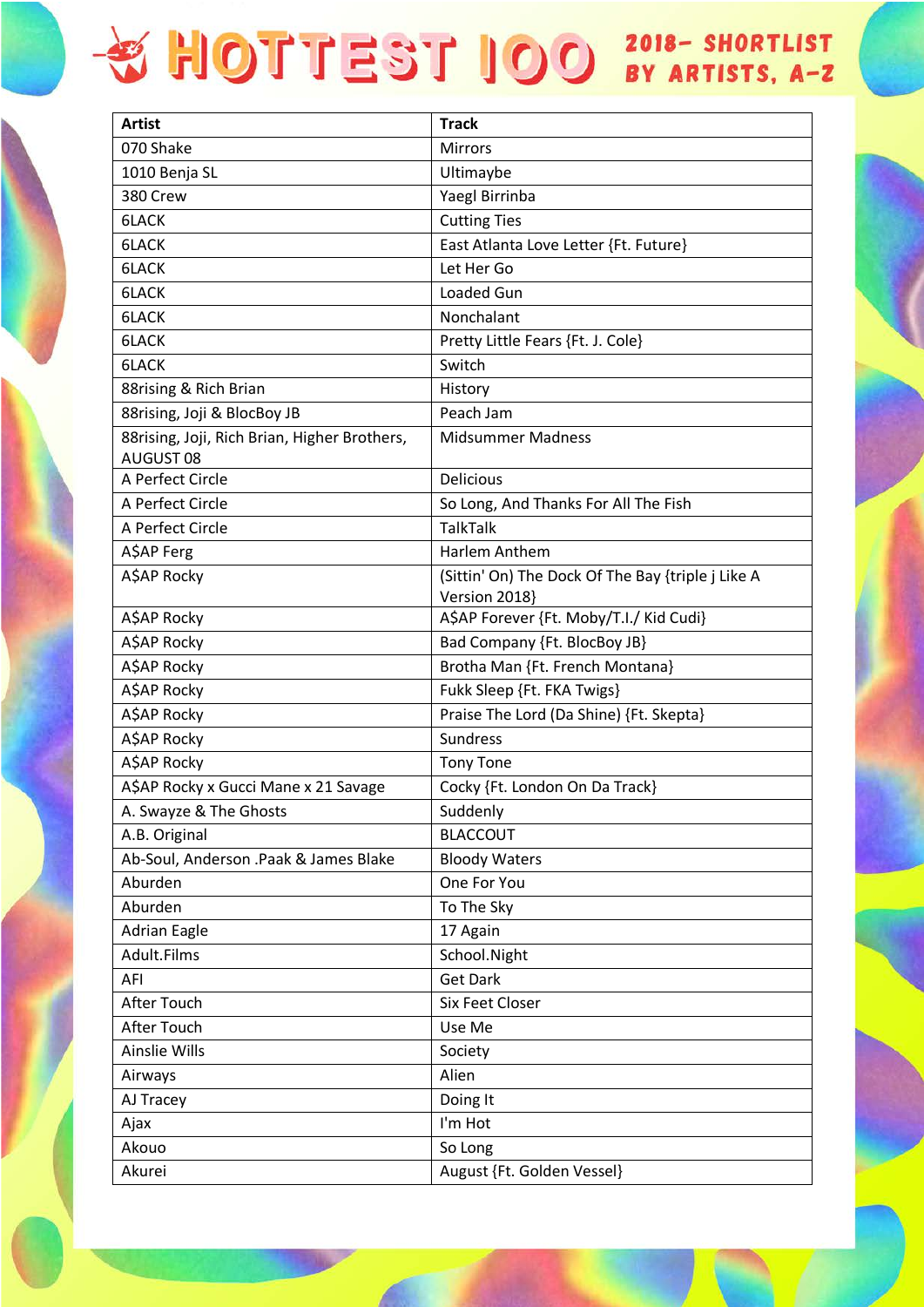| Artist                                                    | <b>Track</b>                                                       |
|-----------------------------------------------------------|--------------------------------------------------------------------|
| 070 Shake                                                 | <b>Mirrors</b>                                                     |
| 1010 Benja SL                                             | Ultimaybe                                                          |
| 380 Crew                                                  | Yaegl Birrinba                                                     |
| 6LACK                                                     | <b>Cutting Ties</b>                                                |
| 6LACK                                                     | East Atlanta Love Letter {Ft. Future}                              |
| 6LACK                                                     | Let Her Go                                                         |
| 6LACK                                                     | Loaded Gun                                                         |
| 6LACK                                                     | Nonchalant                                                         |
| 6LACK                                                     | Pretty Little Fears {Ft. J. Cole}                                  |
| 6LACK                                                     | Switch                                                             |
| 88rising & Rich Brian                                     | History                                                            |
| 88rising, Joji & BlocBoy JB                               | Peach Jam                                                          |
| 88rising, Joji, Rich Brian, Higher Brothers,<br>AUGUST 08 | <b>Midsummer Madness</b>                                           |
| A Perfect Circle                                          | <b>Delicious</b>                                                   |
| A Perfect Circle                                          | So Long, And Thanks For All The Fish                               |
| A Perfect Circle                                          | <b>TalkTalk</b>                                                    |
| A\$AP Ferg                                                | Harlem Anthem                                                      |
| A\$AP Rocky                                               | (Sittin' On) The Dock Of The Bay {triple j Like A<br>Version 2018} |
| A\$AP Rocky                                               | A\$AP Forever {Ft. Moby/T.I./ Kid Cudi}                            |
| A\$AP Rocky                                               | Bad Company {Ft. BlocBoy JB}                                       |
| A\$AP Rocky                                               | Brotha Man {Ft. French Montana}                                    |
| A\$AP Rocky                                               | Fukk Sleep {Ft. FKA Twigs}                                         |
| A\$AP Rocky                                               | Praise The Lord (Da Shine) {Ft. Skepta}                            |
| A\$AP Rocky                                               | Sundress                                                           |
| A\$AP Rocky                                               | <b>Tony Tone</b>                                                   |
| A\$AP Rocky x Gucci Mane x 21 Savage                      | Cocky {Ft. London On Da Track}                                     |
| A. Swayze & The Ghosts                                    | Suddenly                                                           |
| A.B. Original                                             | <b>BLACCOUT</b>                                                    |
| Ab-Soul, Anderson .Paak & James Blake                     | <b>Bloody Waters</b>                                               |
| Aburden                                                   | One For You                                                        |
| Aburden                                                   | To The Sky                                                         |
| <b>Adrian Eagle</b>                                       | 17 Again                                                           |
| Adult.Films                                               | School.Night                                                       |
| AFI                                                       | <b>Get Dark</b>                                                    |
| After Touch                                               | Six Feet Closer                                                    |
| After Touch                                               | Use Me                                                             |
| <b>Ainslie Wills</b>                                      | Society                                                            |
| Airways                                                   | Alien                                                              |
| AJ Tracey                                                 | Doing It                                                           |

I'm Hot

So Long

August {Ft. Golden Vessel}

Ajax Akouo

Akurei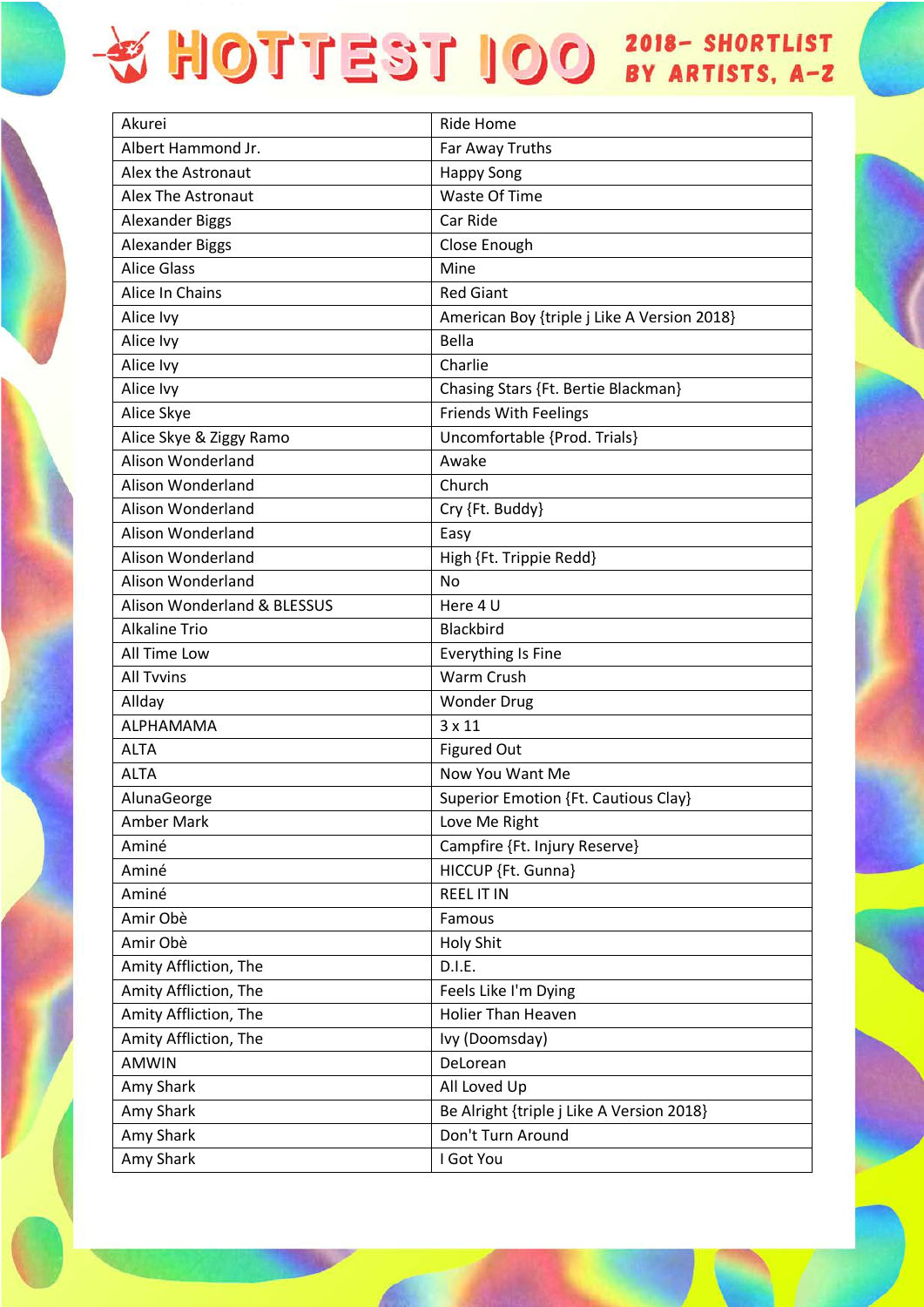| Akurei                      | Ride Home                                   |
|-----------------------------|---------------------------------------------|
| Albert Hammond Jr.          | Far Away Truths                             |
| Alex the Astronaut          | <b>Happy Song</b>                           |
| <b>Alex The Astronaut</b>   | Waste Of Time                               |
| <b>Alexander Biggs</b>      | Car Ride                                    |
| <b>Alexander Biggs</b>      | Close Enough                                |
| <b>Alice Glass</b>          | Mine                                        |
| Alice In Chains             | <b>Red Giant</b>                            |
| Alice Ivy                   | American Boy {triple j Like A Version 2018} |
| Alice Ivy                   | Bella                                       |
| Alice Ivy                   | Charlie                                     |
| Alice Ivy                   | Chasing Stars {Ft. Bertie Blackman}         |
| Alice Skye                  | <b>Friends With Feelings</b>                |
| Alice Skye & Ziggy Ramo     | Uncomfortable {Prod. Trials}                |
| <b>Alison Wonderland</b>    | Awake                                       |
| Alison Wonderland           | Church                                      |
| Alison Wonderland           | Cry {Ft. Buddy}                             |
| Alison Wonderland           | Easy                                        |
| Alison Wonderland           | High {Ft. Trippie Redd}                     |
| Alison Wonderland           | No                                          |
| Alison Wonderland & BLESSUS | Here 4 U                                    |
| <b>Alkaline Trio</b>        | Blackbird                                   |
| All Time Low                | <b>Everything Is Fine</b>                   |
| <b>All Tvvins</b>           | Warm Crush                                  |
| Allday                      | <b>Wonder Drug</b>                          |
| ALPHAMAMA                   | $3 \times 11$                               |
| <b>ALTA</b>                 | <b>Figured Out</b>                          |
| <b>ALTA</b>                 | Now You Want Me                             |
| AlunaGeorge                 | <b>Superior Emotion {Ft. Cautious Clay}</b> |
| Amber Mark                  | Love Me Right                               |
| Aminé                       | Campfire {Ft. Injury Reserve}               |
| Aminé                       | HICCUP {Ft. Gunna}                          |
| Aminé                       | <b>REEL IT IN</b>                           |
| Amir Obè                    | Famous                                      |
| Amir Obè                    | <b>Holy Shit</b>                            |
| Amity Affliction, The       | D.I.E.                                      |
| Amity Affliction, The       | Feels Like I'm Dying                        |
| Amity Affliction, The       | <b>Holier Than Heaven</b>                   |
| Amity Affliction, The       | Ivy (Doomsday)                              |
| <b>AMWIN</b>                | DeLorean                                    |
| Amy Shark                   | All Loved Up                                |
| Amy Shark                   | Be Alright {triple j Like A Version 2018}   |
| Amy Shark                   | Don't Turn Around                           |
| Amy Shark                   | I Got You                                   |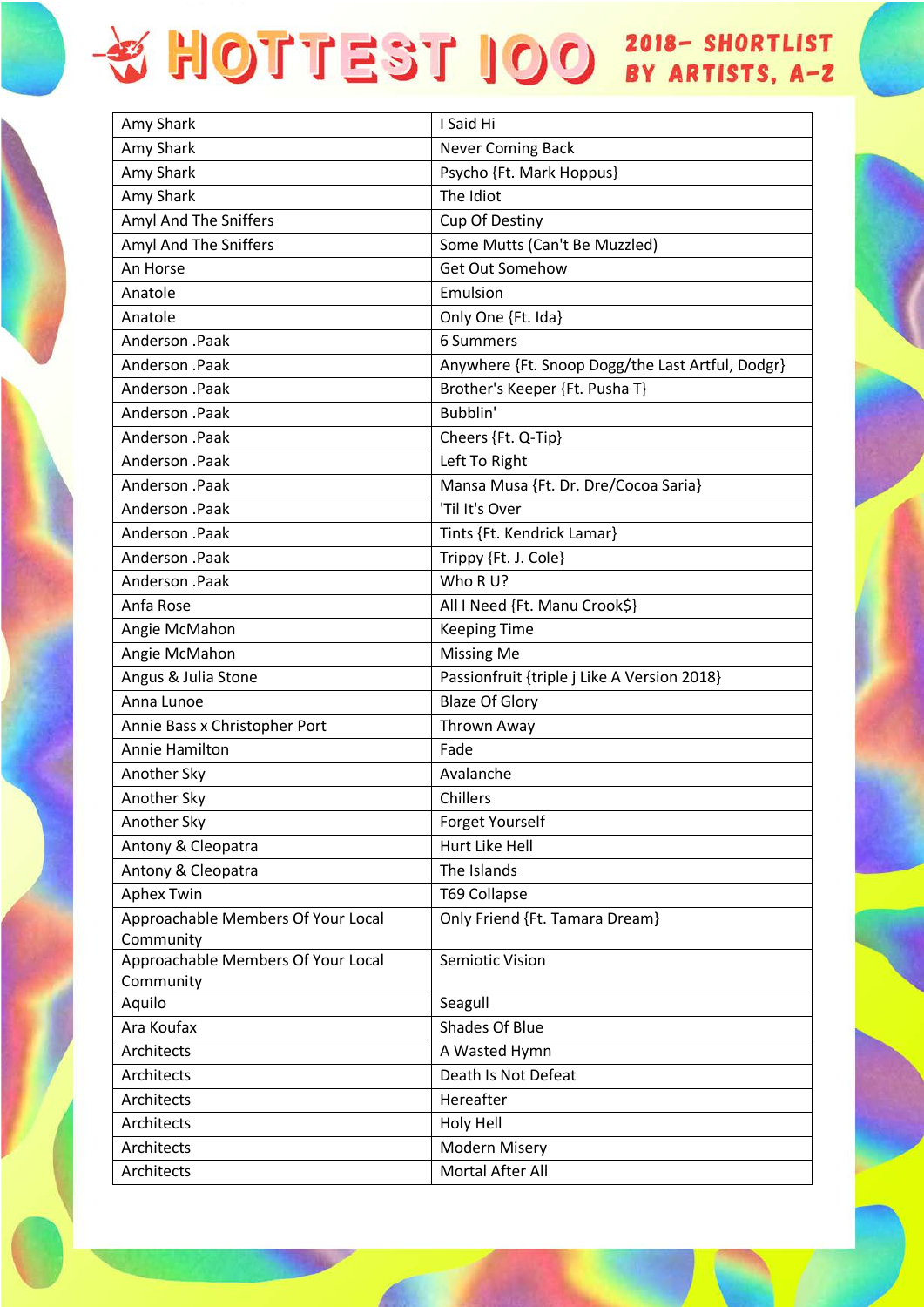| Amy Shark                                       | I Said Hi                                        |
|-------------------------------------------------|--------------------------------------------------|
| Amy Shark                                       | <b>Never Coming Back</b>                         |
| Amy Shark                                       | Psycho {Ft. Mark Hoppus}                         |
| Amy Shark                                       | The Idiot                                        |
| Amyl And The Sniffers                           | Cup Of Destiny                                   |
| Amyl And The Sniffers                           | Some Mutts (Can't Be Muzzled)                    |
| An Horse                                        | Get Out Somehow                                  |
| Anatole                                         | Emulsion                                         |
| Anatole                                         | Only One {Ft. Ida}                               |
| Anderson .Paak                                  | 6 Summers                                        |
| Anderson .Paak                                  | Anywhere {Ft. Snoop Dogg/the Last Artful, Dodgr} |
| Anderson .Paak                                  | Brother's Keeper {Ft. Pusha T}                   |
| Anderson .Paak                                  | Bubblin'                                         |
| Anderson .Paak                                  | Cheers {Ft. Q-Tip}                               |
| Anderson .Paak                                  | Left To Right                                    |
| Anderson .Paak                                  | Mansa Musa {Ft. Dr. Dre/Cocoa Saria}             |
| Anderson .Paak                                  | 'Til It's Over                                   |
| Anderson .Paak                                  | Tints {Ft. Kendrick Lamar}                       |
| Anderson .Paak                                  | Trippy {Ft. J. Cole}                             |
| Anderson .Paak                                  | Who R U?                                         |
| Anfa Rose                                       | All I Need {Ft. Manu Crook\$}                    |
| Angie McMahon                                   | <b>Keeping Time</b>                              |
| Angie McMahon                                   | <b>Missing Me</b>                                |
| Angus & Julia Stone                             | Passionfruit {triple j Like A Version 2018}      |
| Anna Lunoe                                      | <b>Blaze Of Glory</b>                            |
| Annie Bass x Christopher Port                   | Thrown Away                                      |
| <b>Annie Hamilton</b>                           | Fade                                             |
| Another Sky                                     | Avalanche                                        |
| Another Sky                                     | Chillers                                         |
| Another Sky                                     | Forget Yourself                                  |
| Antony & Cleopatra                              | Hurt Like Hell                                   |
| Antony & Cleopatra                              | The Islands                                      |
| <b>Aphex Twin</b>                               | <b>T69 Collapse</b>                              |
| Approachable Members Of Your Local<br>Community | Only Friend {Ft. Tamara Dream}                   |
| Approachable Members Of Your Local<br>Community | <b>Semiotic Vision</b>                           |
| Aquilo                                          | Seagull                                          |
| Ara Koufax                                      | Shades Of Blue                                   |
| Architects                                      | A Wasted Hymn                                    |
| Architects                                      | Death Is Not Defeat                              |
| Architects                                      | Hereafter                                        |
| Architects                                      | <b>Holy Hell</b>                                 |
| Architects                                      | Modern Misery                                    |
| Architects                                      | Mortal After All                                 |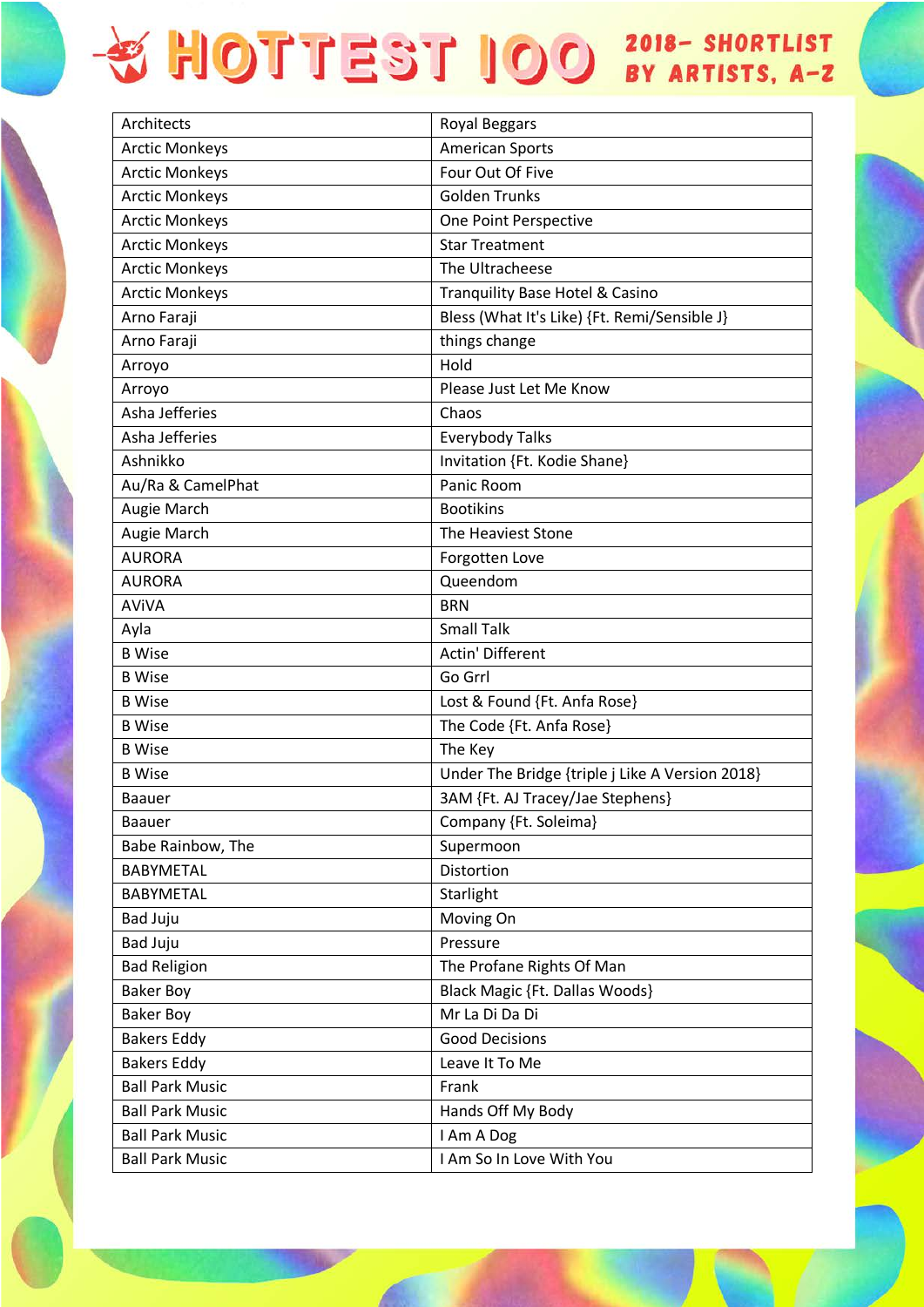| Architects             | Royal Beggars                                   |
|------------------------|-------------------------------------------------|
| <b>Arctic Monkeys</b>  | <b>American Sports</b>                          |
| <b>Arctic Monkeys</b>  | Four Out Of Five                                |
| <b>Arctic Monkeys</b>  | <b>Golden Trunks</b>                            |
| <b>Arctic Monkeys</b>  | One Point Perspective                           |
| <b>Arctic Monkeys</b>  | <b>Star Treatment</b>                           |
| <b>Arctic Monkeys</b>  | The Ultracheese                                 |
| <b>Arctic Monkeys</b>  | Tranquility Base Hotel & Casino                 |
| Arno Faraji            | Bless (What It's Like) {Ft. Remi/Sensible J}    |
| Arno Faraji            | things change                                   |
| Arroyo                 | Hold                                            |
| Arroyo                 | Please Just Let Me Know                         |
| Asha Jefferies         | Chaos                                           |
| Asha Jefferies         | <b>Everybody Talks</b>                          |
| Ashnikko               | Invitation {Ft. Kodie Shane}                    |
| Au/Ra & CamelPhat      | Panic Room                                      |
| Augie March            | <b>Bootikins</b>                                |
| Augie March            | The Heaviest Stone                              |
| <b>AURORA</b>          | Forgotten Love                                  |
| <b>AURORA</b>          | Queendom                                        |
| <b>AVIVA</b>           | <b>BRN</b>                                      |
| Ayla                   | <b>Small Talk</b>                               |
| <b>B</b> Wise          | Actin' Different                                |
| <b>B</b> Wise          | Go Grrl                                         |
| <b>B</b> Wise          | Lost & Found {Ft. Anfa Rose}                    |
| <b>B</b> Wise          | The Code {Ft. Anfa Rose}                        |
| <b>B</b> Wise          | The Key                                         |
| <b>B</b> Wise          | Under The Bridge {triple j Like A Version 2018} |
| <b>Baauer</b>          | 3AM {Ft. AJ Tracey/Jae Stephens}                |
| <b>Baauer</b>          | Company {Ft. Soleima}                           |
| Babe Rainbow, The      | Supermoon                                       |
| <b>BABYMETAL</b>       | Distortion                                      |
| <b>BABYMETAL</b>       | Starlight                                       |
| <b>Bad Juju</b>        | Moving On                                       |
| <b>Bad Juju</b>        | Pressure                                        |
| <b>Bad Religion</b>    | The Profane Rights Of Man                       |
| <b>Baker Boy</b>       | <b>Black Magic {Ft. Dallas Woods}</b>           |
| <b>Baker Boy</b>       | Mr La Di Da Di                                  |
| <b>Bakers Eddy</b>     | <b>Good Decisions</b>                           |
| <b>Bakers Eddy</b>     | Leave It To Me                                  |
| <b>Ball Park Music</b> | Frank                                           |
| <b>Ball Park Music</b> | Hands Off My Body                               |
| <b>Ball Park Music</b> | I Am A Dog                                      |
| <b>Ball Park Music</b> | I Am So In Love With You                        |
|                        |                                                 |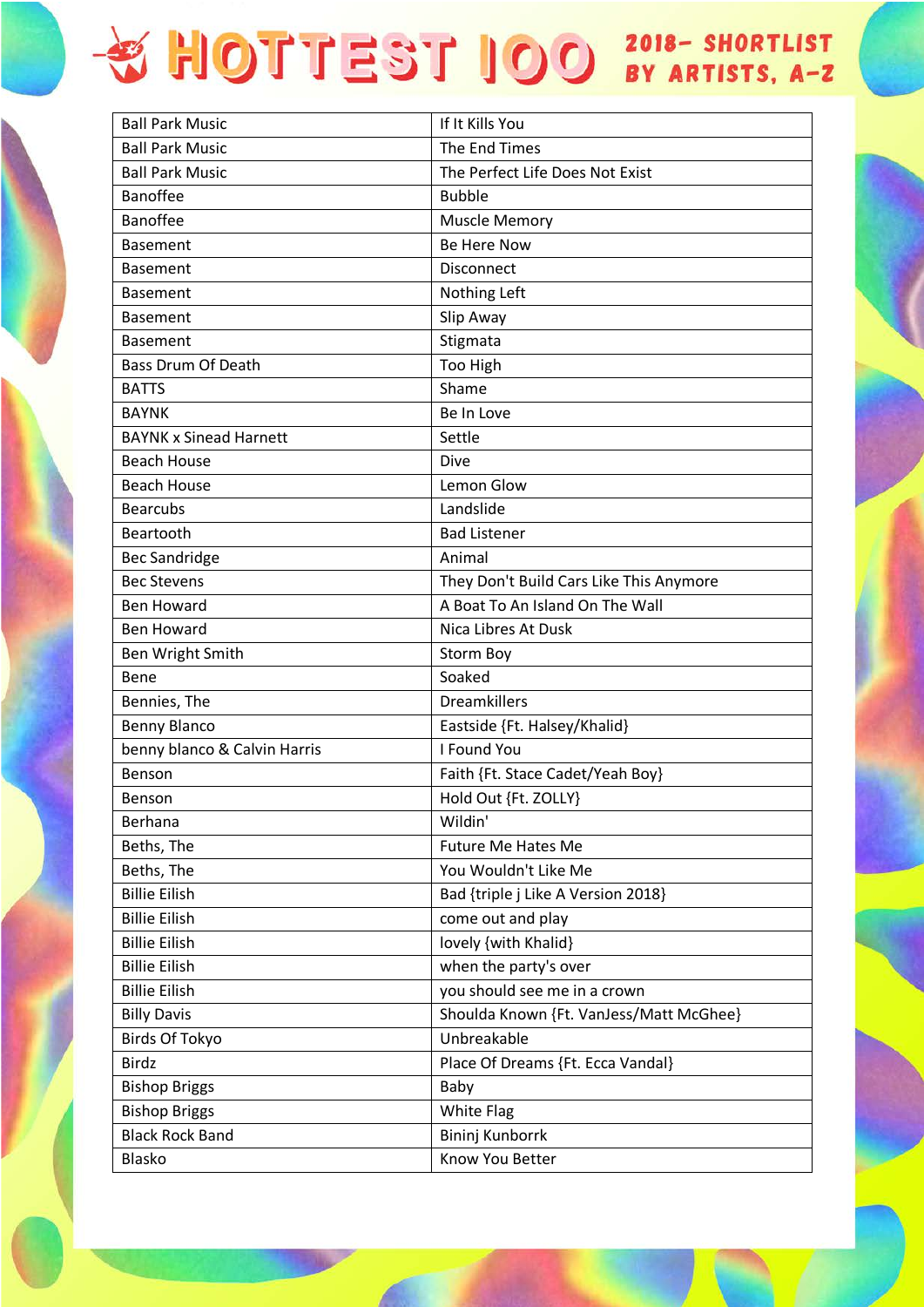| <b>Ball Park Music</b>        | If It Kills You                         |
|-------------------------------|-----------------------------------------|
| <b>Ball Park Music</b>        | The End Times                           |
| <b>Ball Park Music</b>        | The Perfect Life Does Not Exist         |
| <b>Banoffee</b>               | <b>Bubble</b>                           |
| <b>Banoffee</b>               | <b>Muscle Memory</b>                    |
| <b>Basement</b>               | Be Here Now                             |
| <b>Basement</b>               | <b>Disconnect</b>                       |
| <b>Basement</b>               | Nothing Left                            |
| <b>Basement</b>               | Slip Away                               |
| <b>Basement</b>               | Stigmata                                |
| <b>Bass Drum Of Death</b>     | Too High                                |
| <b>BATTS</b>                  | Shame                                   |
| <b>BAYNK</b>                  | Be In Love                              |
| <b>BAYNK x Sinead Harnett</b> | Settle                                  |
| <b>Beach House</b>            | Dive                                    |
| <b>Beach House</b>            | Lemon Glow                              |
| <b>Bearcubs</b>               | Landslide                               |
| Beartooth                     | <b>Bad Listener</b>                     |
| <b>Bec Sandridge</b>          | Animal                                  |
| <b>Bec Stevens</b>            | They Don't Build Cars Like This Anymore |
| <b>Ben Howard</b>             | A Boat To An Island On The Wall         |
| <b>Ben Howard</b>             | Nica Libres At Dusk                     |
| Ben Wright Smith              | Storm Boy                               |
| Bene                          | Soaked                                  |
| Bennies, The                  | <b>Dreamkillers</b>                     |
| <b>Benny Blanco</b>           | Eastside {Ft. Halsey/Khalid}            |
| benny blanco & Calvin Harris  | I Found You                             |
| Benson                        | Faith {Ft. Stace Cadet/Yeah Boy}        |
| Benson                        | Hold Out {Ft. ZOLLY}                    |
| Berhana                       | Wildin'                                 |
| Beths, The                    | <b>Future Me Hates Me</b>               |
| Beths, The                    | You Wouldn't Like Me                    |
| <b>Billie Eilish</b>          | Bad {triple j Like A Version 2018}      |
| <b>Billie Eilish</b>          | come out and play                       |
| <b>Billie Eilish</b>          | lovely {with Khalid}                    |
| <b>Billie Eilish</b>          | when the party's over                   |
| <b>Billie Eilish</b>          | you should see me in a crown            |
| <b>Billy Davis</b>            | Shoulda Known {Ft. VanJess/Matt McGhee} |
| <b>Birds Of Tokyo</b>         | Unbreakable                             |
| <b>Birdz</b>                  | Place Of Dreams {Ft. Ecca Vandal}       |
| <b>Bishop Briggs</b>          | Baby                                    |
| <b>Bishop Briggs</b>          | <b>White Flag</b>                       |
| <b>Black Rock Band</b>        | Bininj Kunborrk                         |
| Blasko                        | Know You Better                         |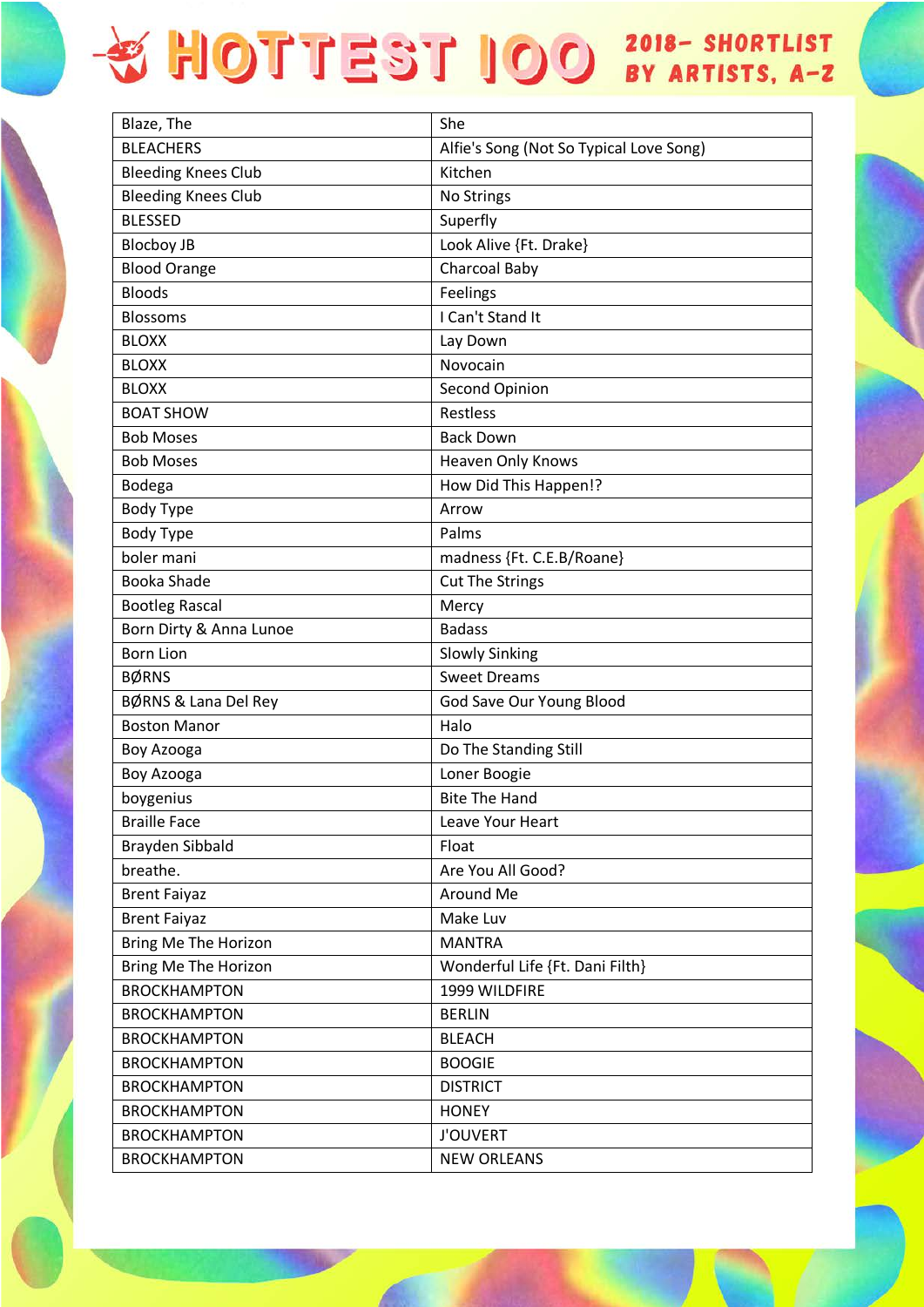## + HOTTEST IOO 2018- SHORTLIST

| Blaze, The                 | She                                     |
|----------------------------|-----------------------------------------|
| <b>BLEACHERS</b>           | Alfie's Song (Not So Typical Love Song) |
| <b>Bleeding Knees Club</b> | Kitchen                                 |
| <b>Bleeding Knees Club</b> | No Strings                              |
| <b>BLESSED</b>             | Superfly                                |
| <b>Blocboy JB</b>          | Look Alive {Ft. Drake}                  |
| <b>Blood Orange</b>        | <b>Charcoal Baby</b>                    |
| <b>Bloods</b>              | Feelings                                |
| <b>Blossoms</b>            | I Can't Stand It                        |
| <b>BLOXX</b>               | Lay Down                                |
| <b>BLOXX</b>               | Novocain                                |
| <b>BLOXX</b>               | Second Opinion                          |
| <b>BOAT SHOW</b>           | <b>Restless</b>                         |
| <b>Bob Moses</b>           | <b>Back Down</b>                        |
| <b>Bob Moses</b>           | Heaven Only Knows                       |
| Bodega                     | How Did This Happen!?                   |
| Body Type                  | Arrow                                   |
| <b>Body Type</b>           | Palms                                   |
| boler mani                 | madness {Ft. C.E.B/Roane}               |
| Booka Shade                | <b>Cut The Strings</b>                  |
| <b>Bootleg Rascal</b>      | Mercy                                   |
| Born Dirty & Anna Lunoe    | <b>Badass</b>                           |
| <b>Born Lion</b>           | <b>Slowly Sinking</b>                   |
| <b>BØRNS</b>               | <b>Sweet Dreams</b>                     |
| BØRNS & Lana Del Rey       | God Save Our Young Blood                |
| <b>Boston Manor</b>        | Halo                                    |
| Boy Azooga                 | Do The Standing Still                   |
| Boy Azooga                 | Loner Boogie                            |
| boygenius                  | <b>Bite The Hand</b>                    |
| <b>Braille Face</b>        | Leave Your Heart                        |
| Brayden Sibbald            | Float                                   |
| breathe.                   | Are You All Good?                       |
| <b>Brent Faiyaz</b>        | Around Me                               |
| <b>Brent Faiyaz</b>        | Make Luv                                |
| Bring Me The Horizon       | <b>MANTRA</b>                           |
| Bring Me The Horizon       | Wonderful Life {Ft. Dani Filth}         |
| <b>BROCKHAMPTON</b>        | 1999 WILDFIRE                           |
| <b>BROCKHAMPTON</b>        | <b>BERLIN</b>                           |
| <b>BROCKHAMPTON</b>        | <b>BLEACH</b>                           |
| <b>BROCKHAMPTON</b>        | <b>BOOGIE</b>                           |
| <b>BROCKHAMPTON</b>        | <b>DISTRICT</b>                         |
| <b>BROCKHAMPTON</b>        | <b>HONEY</b>                            |
| <b>BROCKHAMPTON</b>        | <b>J'OUVERT</b>                         |
| <b>BROCKHAMPTON</b>        | <b>NEW ORLEANS</b>                      |
|                            |                                         |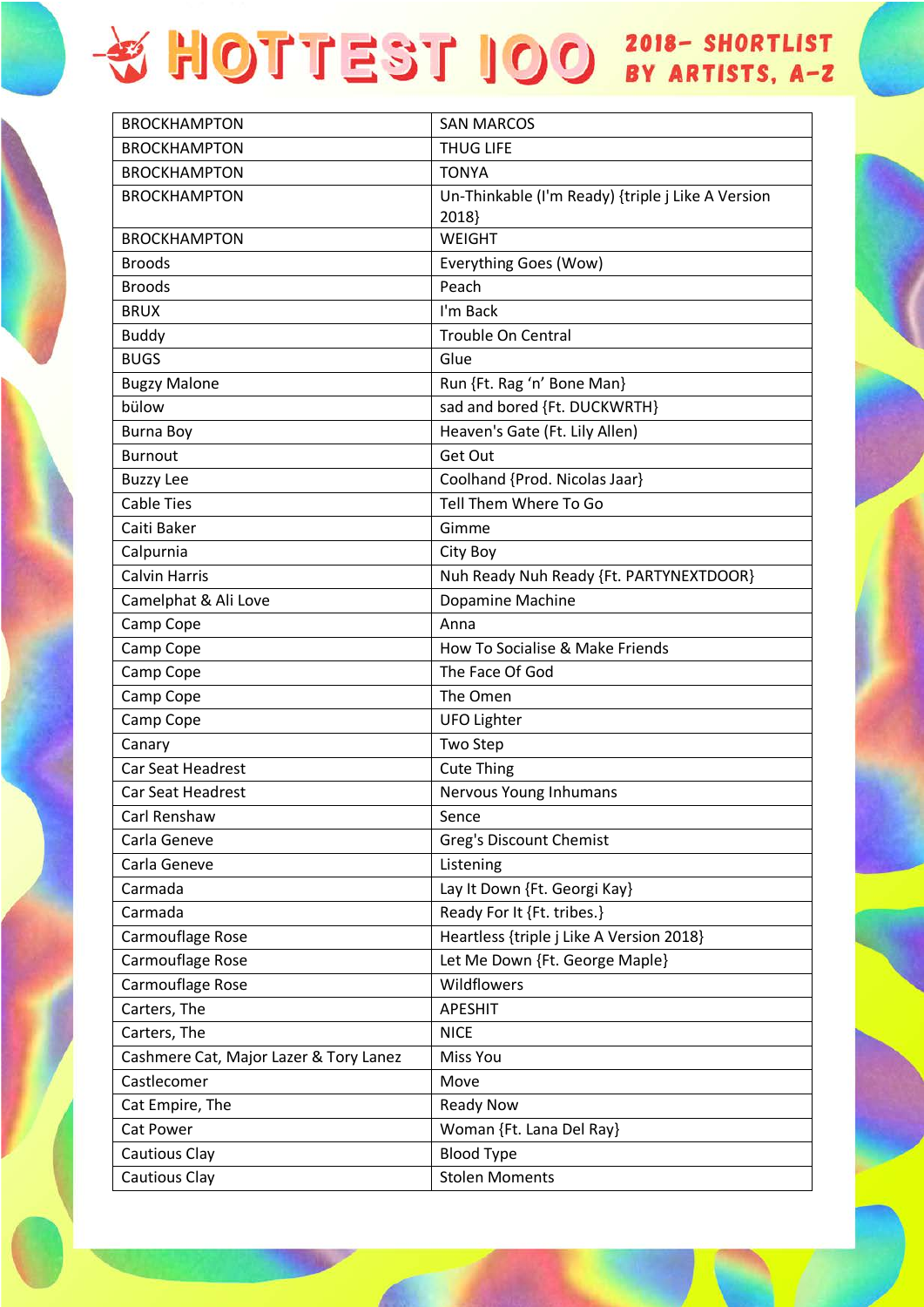| <b>BROCKHAMPTON</b>                    | <b>SAN MARCOS</b>                                 |
|----------------------------------------|---------------------------------------------------|
| <b>BROCKHAMPTON</b>                    | <b>THUG LIFE</b>                                  |
| <b>BROCKHAMPTON</b>                    | <b>TONYA</b>                                      |
| <b>BROCKHAMPTON</b>                    | Un-Thinkable (I'm Ready) {triple j Like A Version |
|                                        | 2018}                                             |
| <b>BROCKHAMPTON</b>                    | WEIGHT                                            |
| <b>Broods</b>                          | Everything Goes (Wow)                             |
| <b>Broods</b>                          | Peach                                             |
| <b>BRUX</b>                            | I'm Back                                          |
| <b>Buddy</b>                           | Trouble On Central                                |
| <b>BUGS</b>                            | Glue                                              |
| <b>Bugzy Malone</b>                    | Run {Ft. Rag 'n' Bone Man}                        |
| bülow                                  | sad and bored {Ft. DUCKWRTH}                      |
| <b>Burna Boy</b>                       | Heaven's Gate (Ft. Lily Allen)                    |
| <b>Burnout</b>                         | Get Out                                           |
| <b>Buzzy Lee</b>                       | Coolhand {Prod. Nicolas Jaar}                     |
| <b>Cable Ties</b>                      | Tell Them Where To Go                             |
| Caiti Baker                            | Gimme                                             |
| Calpurnia                              | City Boy                                          |
| <b>Calvin Harris</b>                   | Nuh Ready Nuh Ready {Ft. PARTYNEXTDOOR}           |
| Camelphat & Ali Love                   | Dopamine Machine                                  |
| Camp Cope                              | Anna                                              |
| Camp Cope                              | How To Socialise & Make Friends                   |
| Camp Cope                              | The Face Of God                                   |
| Camp Cope                              | The Omen                                          |
| Camp Cope                              | <b>UFO Lighter</b>                                |
| Canary                                 | Two Step                                          |
| <b>Car Seat Headrest</b>               | <b>Cute Thing</b>                                 |
| <b>Car Seat Headrest</b>               | Nervous Young Inhumans                            |
| Carl Renshaw                           | Sence                                             |
| Carla Geneve                           | Greg's Discount Chemist                           |
| Carla Geneve                           | Listening                                         |
| Carmada                                | Lay It Down {Ft. Georgi Kay}                      |
| Carmada                                | Ready For It {Ft. tribes.}                        |
| Carmouflage Rose                       | Heartless {triple j Like A Version 2018}          |
| Carmouflage Rose                       | Let Me Down {Ft. George Maple}                    |
| Carmouflage Rose                       | Wildflowers                                       |
| Carters, The                           | <b>APESHIT</b>                                    |
| Carters, The                           | <b>NICE</b>                                       |
| Cashmere Cat, Major Lazer & Tory Lanez | Miss You                                          |
| Castlecomer                            | Move                                              |
| Cat Empire, The                        | <b>Ready Now</b>                                  |
| Cat Power                              | Woman {Ft. Lana Del Ray}                          |
| Cautious Clay                          | <b>Blood Type</b>                                 |
| Cautious Clay                          | <b>Stolen Moments</b>                             |
|                                        |                                                   |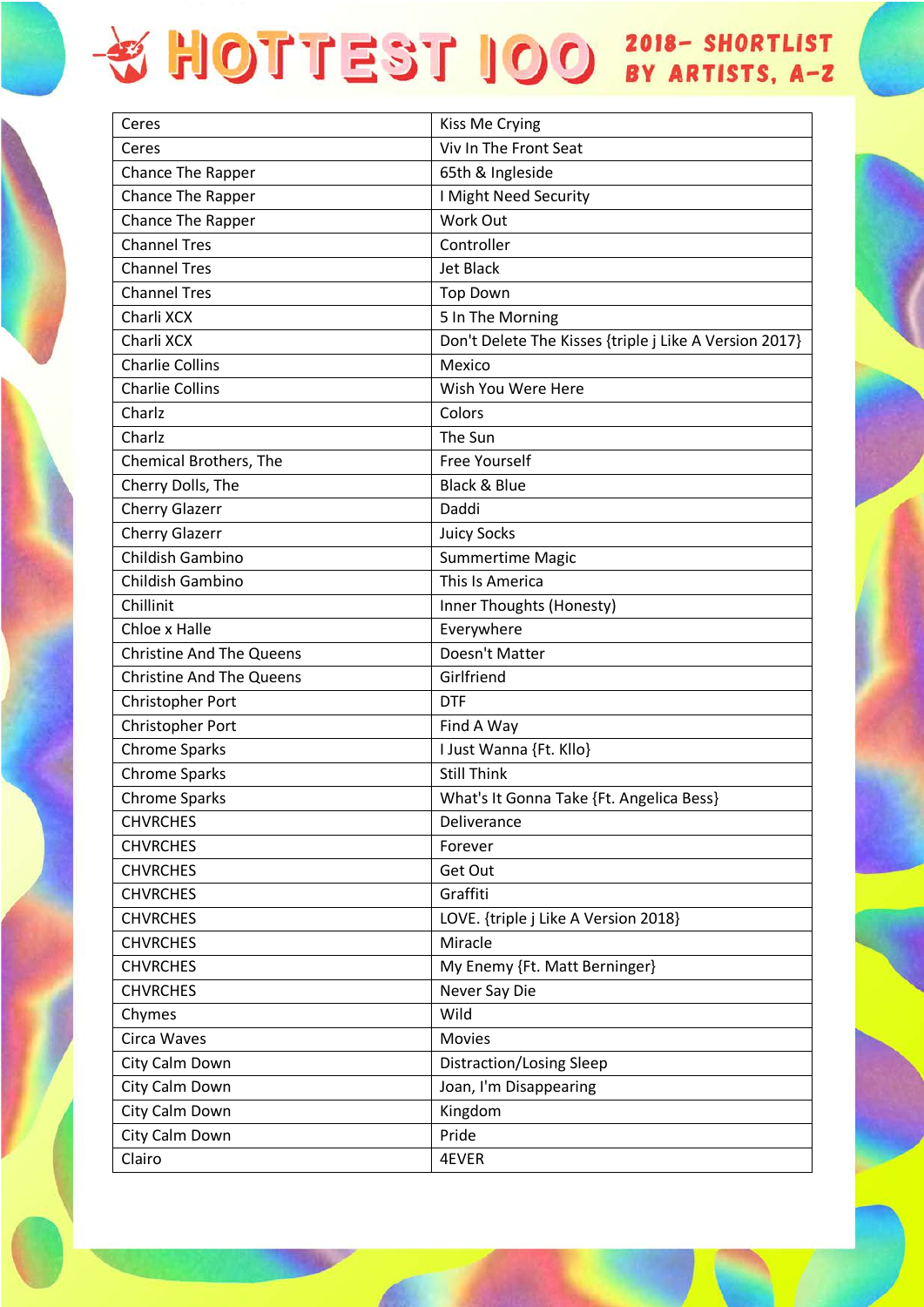| Ceres                           | Kiss Me Crying                                         |
|---------------------------------|--------------------------------------------------------|
| Ceres                           | Viv In The Front Seat                                  |
| Chance The Rapper               | 65th & Ingleside                                       |
| <b>Chance The Rapper</b>        | I Might Need Security                                  |
| Chance The Rapper               | Work Out                                               |
| <b>Channel Tres</b>             | Controller                                             |
| <b>Channel Tres</b>             | <b>Jet Black</b>                                       |
| <b>Channel Tres</b>             | <b>Top Down</b>                                        |
| Charli XCX                      | 5 In The Morning                                       |
| Charli XCX                      | Don't Delete The Kisses {triple j Like A Version 2017} |
| <b>Charlie Collins</b>          | Mexico                                                 |
| <b>Charlie Collins</b>          | Wish You Were Here                                     |
| Charlz                          | Colors                                                 |
| Charlz                          | The Sun                                                |
| Chemical Brothers, The          | <b>Free Yourself</b>                                   |
| Cherry Dolls, The               | <b>Black &amp; Blue</b>                                |
| <b>Cherry Glazerr</b>           | Daddi                                                  |
| <b>Cherry Glazerr</b>           | <b>Juicy Socks</b>                                     |
| Childish Gambino                | <b>Summertime Magic</b>                                |
| Childish Gambino                | This Is America                                        |
| Chillinit                       | Inner Thoughts (Honesty)                               |
| Chloe x Halle                   | Everywhere                                             |
| <b>Christine And The Queens</b> | Doesn't Matter                                         |
| <b>Christine And The Queens</b> | Girlfriend                                             |
| Christopher Port                | <b>DTF</b>                                             |
| Christopher Port                | Find A Way                                             |
| <b>Chrome Sparks</b>            | I Just Wanna {Ft. Kllo}                                |
| <b>Chrome Sparks</b>            | <b>Still Think</b>                                     |
| <b>Chrome Sparks</b>            | What's It Gonna Take {Ft. Angelica Bess}               |
| <b>CHVRCHES</b>                 | Deliverance                                            |
| <b>CHVRCHES</b>                 | Forever                                                |
| <b>CHVRCHES</b>                 | Get Out                                                |
| <b>CHVRCHES</b>                 | Graffiti                                               |
| <b>CHVRCHES</b>                 | LOVE. {triple j Like A Version 2018}                   |
| <b>CHVRCHES</b>                 | Miracle                                                |
| <b>CHVRCHES</b>                 | My Enemy {Ft. Matt Berninger}                          |
| <b>CHVRCHES</b>                 | Never Say Die                                          |
| Chymes                          | Wild                                                   |
| Circa Waves                     | <b>Movies</b>                                          |
| City Calm Down                  | Distraction/Losing Sleep                               |
| City Calm Down                  | Joan, I'm Disappearing                                 |
| City Calm Down                  | Kingdom                                                |
| City Calm Down                  | Pride                                                  |
| Clairo                          | 4EVER                                                  |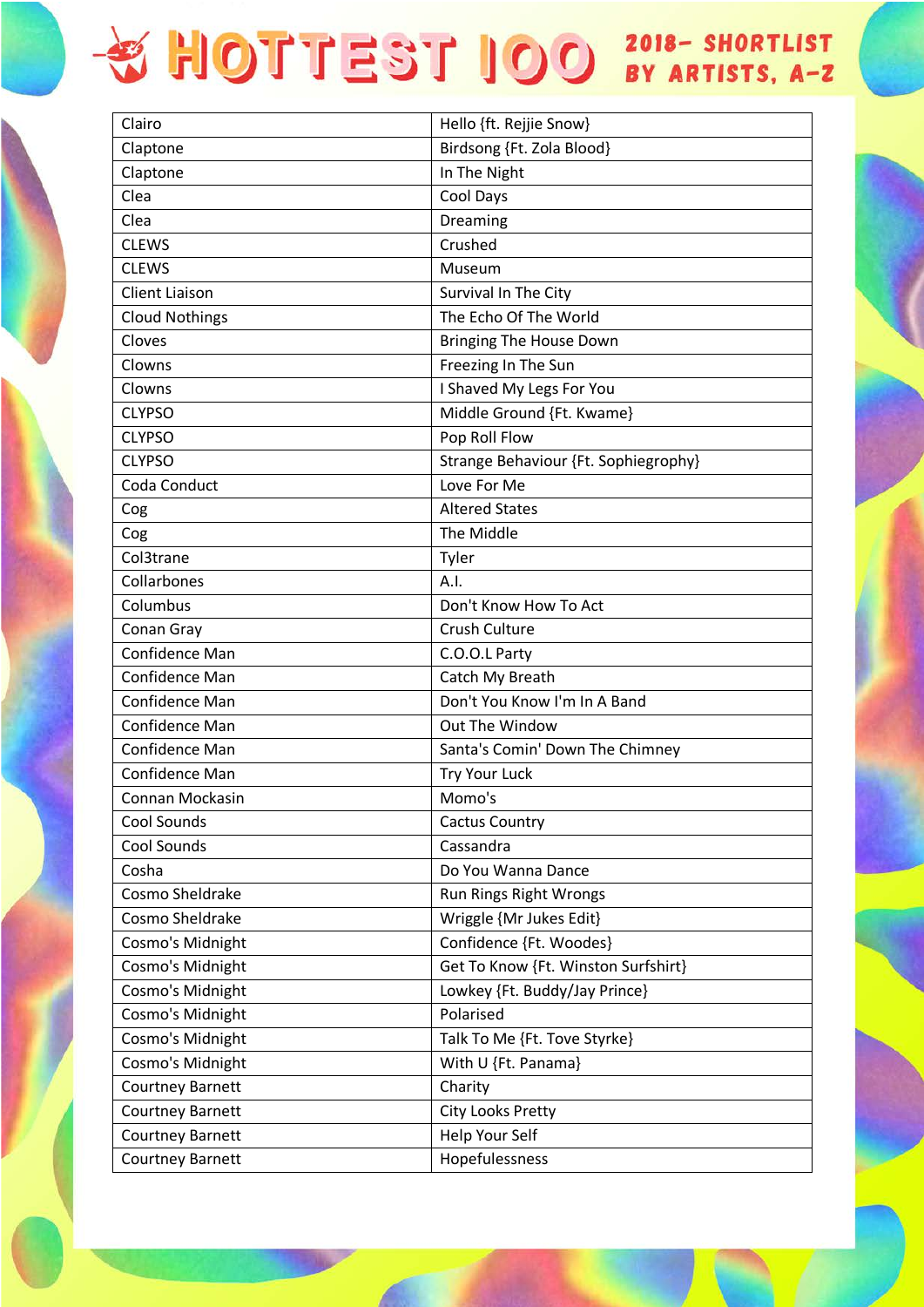| Clairo                  | Hello {ft. Rejjie Snow}              |
|-------------------------|--------------------------------------|
| Claptone                | Birdsong {Ft. Zola Blood}            |
| Claptone                | In The Night                         |
| Clea                    | Cool Days                            |
| Clea                    | Dreaming                             |
| <b>CLEWS</b>            | Crushed                              |
| <b>CLEWS</b>            | Museum                               |
| <b>Client Liaison</b>   | Survival In The City                 |
| <b>Cloud Nothings</b>   | The Echo Of The World                |
| Cloves                  | Bringing The House Down              |
| Clowns                  | Freezing In The Sun                  |
| Clowns                  | I Shaved My Legs For You             |
| <b>CLYPSO</b>           | Middle Ground {Ft. Kwame}            |
| <b>CLYPSO</b>           | Pop Roll Flow                        |
| <b>CLYPSO</b>           | Strange Behaviour {Ft. Sophiegrophy} |
| Coda Conduct            | Love For Me                          |
| Cog                     | <b>Altered States</b>                |
| Cog                     | The Middle                           |
| Col3trane               | Tyler                                |
| Collarbones             | A.I.                                 |
| Columbus                | Don't Know How To Act                |
| Conan Gray              | Crush Culture                        |
| Confidence Man          | C.O.O.L Party                        |
| Confidence Man          | Catch My Breath                      |
| Confidence Man          | Don't You Know I'm In A Band         |
| <b>Confidence Man</b>   | Out The Window                       |
| Confidence Man          | Santa's Comin' Down The Chimney      |
| Confidence Man          | Try Your Luck                        |
| Connan Mockasin         | Momo's                               |
| Cool Sounds             | <b>Cactus Country</b>                |
| Cool Sounds             | Cassandra                            |
| Cosha                   | Do You Wanna Dance                   |
| Cosmo Sheldrake         | Run Rings Right Wrongs               |
| Cosmo Sheldrake         | Wriggle {Mr Jukes Edit}              |
| Cosmo's Midnight        | Confidence {Ft. Woodes}              |
| Cosmo's Midnight        | Get To Know {Ft. Winston Surfshirt}  |
| Cosmo's Midnight        | Lowkey {Ft. Buddy/Jay Prince}        |
| Cosmo's Midnight        | Polarised                            |
| Cosmo's Midnight        | Talk To Me {Ft. Tove Styrke}         |
| Cosmo's Midnight        | With U {Ft. Panama}                  |
| <b>Courtney Barnett</b> | Charity                              |
| <b>Courtney Barnett</b> | City Looks Pretty                    |
| <b>Courtney Barnett</b> | Help Your Self                       |
| <b>Courtney Barnett</b> | Hopefulessness                       |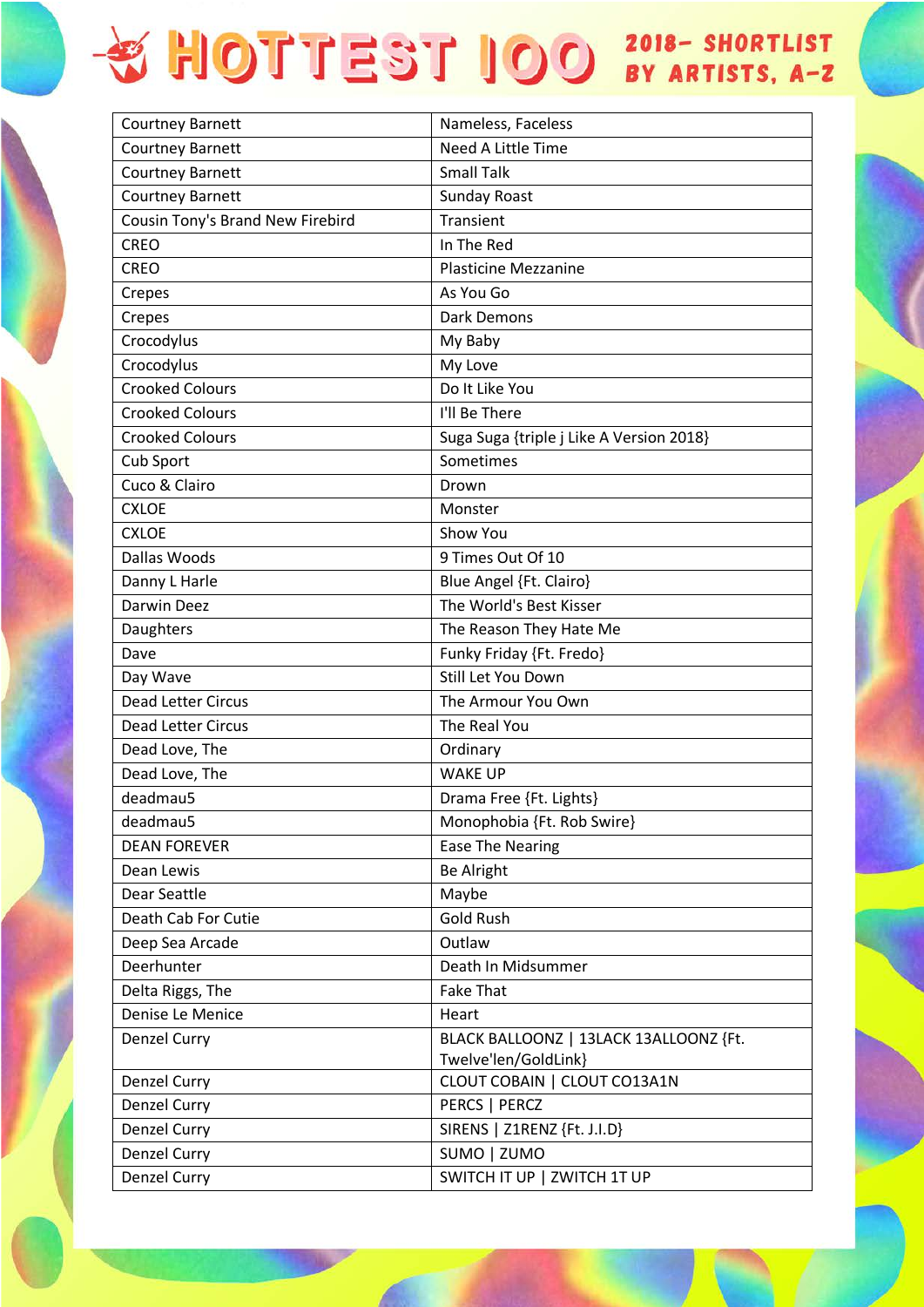| <b>Courtney Barnett</b>          | Nameless, Faceless                       |
|----------------------------------|------------------------------------------|
| <b>Courtney Barnett</b>          | Need A Little Time                       |
| <b>Courtney Barnett</b>          | <b>Small Talk</b>                        |
| <b>Courtney Barnett</b>          | <b>Sunday Roast</b>                      |
| Cousin Tony's Brand New Firebird | Transient                                |
| <b>CREO</b>                      | In The Red                               |
| <b>CREO</b>                      | <b>Plasticine Mezzanine</b>              |
| Crepes                           | As You Go                                |
| Crepes                           | Dark Demons                              |
| Crocodylus                       | My Baby                                  |
| Crocodylus                       | My Love                                  |
| <b>Crooked Colours</b>           | Do It Like You                           |
| <b>Crooked Colours</b>           | I'll Be There                            |
| <b>Crooked Colours</b>           | Suga Suga {triple j Like A Version 2018} |
| Cub Sport                        | Sometimes                                |
| Cuco & Clairo                    | Drown                                    |
| <b>CXLOE</b>                     | Monster                                  |
| <b>CXLOE</b>                     | Show You                                 |
| Dallas Woods                     | 9 Times Out Of 10                        |
| Danny L Harle                    | Blue Angel {Ft. Clairo}                  |
| Darwin Deez                      | The World's Best Kisser                  |
| Daughters                        | The Reason They Hate Me                  |
| Dave                             | Funky Friday {Ft. Fredo}                 |
| Day Wave                         | Still Let You Down                       |
| Dead Letter Circus               | The Armour You Own                       |
| Dead Letter Circus               | The Real You                             |
| Dead Love, The                   | Ordinary                                 |
| Dead Love, The                   | <b>WAKE UP</b>                           |
| deadmau5                         | Drama Free {Ft. Lights}                  |
| deadmau5                         | Monophobia {Ft. Rob Swire}               |
| <b>DEAN FOREVER</b>              | <b>Ease The Nearing</b>                  |
| Dean Lewis                       | <b>Be Alright</b>                        |
| Dear Seattle                     | Maybe                                    |
| Death Cab For Cutie              | <b>Gold Rush</b>                         |
| Deep Sea Arcade                  | Outlaw                                   |
| Deerhunter                       | Death In Midsummer                       |
| Delta Riggs, The                 | <b>Fake That</b>                         |
| Denise Le Menice                 | Heart                                    |
| Denzel Curry                     | BLACK BALLOONZ   13LACK 13ALLOONZ {Ft.   |
|                                  | Twelve'len/GoldLink}                     |
| Denzel Curry                     | CLOUT COBAIN   CLOUT CO13A1N             |
| <b>Denzel Curry</b>              | PERCS   PERCZ                            |
| Denzel Curry                     | SIRENS   Z1RENZ {Ft. J.I.D}              |
| Denzel Curry                     | SUMO   ZUMO                              |
| Denzel Curry                     | SWITCH IT UP   ZWITCH 1T UP              |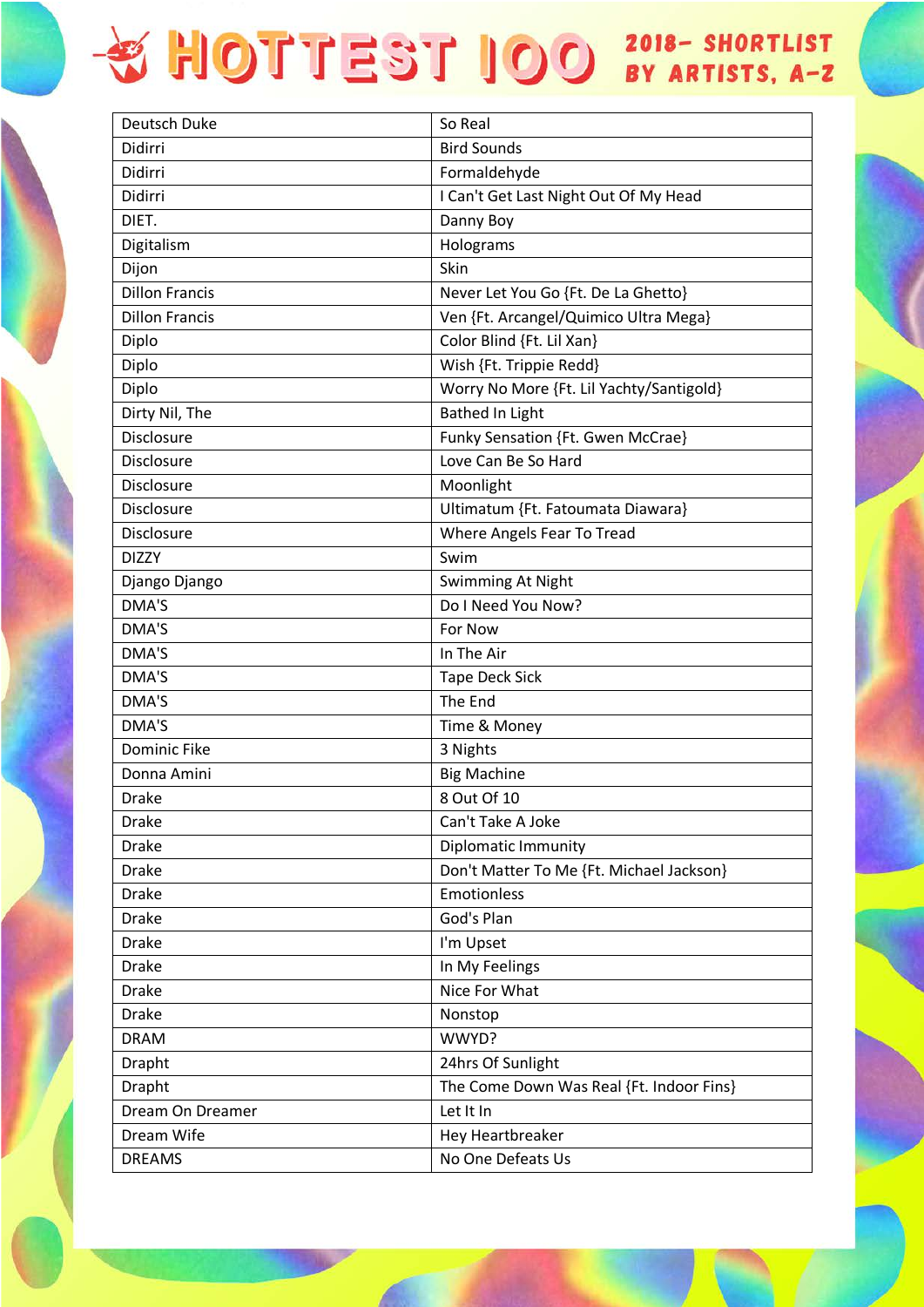| Deutsch Duke          | So Real                                  |
|-----------------------|------------------------------------------|
| Didirri               | <b>Bird Sounds</b>                       |
| Didirri               | Formaldehyde                             |
| Didirri               | I Can't Get Last Night Out Of My Head    |
| DIET.                 | Danny Boy                                |
| Digitalism            | Holograms                                |
| Dijon                 | Skin                                     |
| <b>Dillon Francis</b> | Never Let You Go {Ft. De La Ghetto}      |
| <b>Dillon Francis</b> | Ven {Ft. Arcangel/Quimico Ultra Mega}    |
| Diplo                 | Color Blind {Ft. Lil Xan}                |
| Diplo                 | Wish {Ft. Trippie Redd}                  |
| Diplo                 | Worry No More {Ft. Lil Yachty/Santigold} |
| Dirty Nil, The        | <b>Bathed In Light</b>                   |
| Disclosure            | Funky Sensation {Ft. Gwen McCrae}        |
| Disclosure            | Love Can Be So Hard                      |
| Disclosure            | Moonlight                                |
| Disclosure            | Ultimatum {Ft. Fatoumata Diawara}        |
| Disclosure            | Where Angels Fear To Tread               |
| <b>DIZZY</b>          | Swim                                     |
| Django Django         | Swimming At Night                        |
| DMA'S                 | Do I Need You Now?                       |
| DMA'S                 | For Now                                  |
| DMA'S                 | In The Air                               |
| DMA'S                 | <b>Tape Deck Sick</b>                    |
| DMA'S                 | The End                                  |
| DMA'S                 | Time & Money                             |
| <b>Dominic Fike</b>   | 3 Nights                                 |
| Donna Amini           | <b>Big Machine</b>                       |
| <b>Drake</b>          | 8 Out Of 10                              |
| <b>Drake</b>          | Can't Take A Joke                        |
| <b>Drake</b>          | <b>Diplomatic Immunity</b>               |
| <b>Drake</b>          | Don't Matter To Me {Ft. Michael Jackson} |
| <b>Drake</b>          | Emotionless                              |
| <b>Drake</b>          | God's Plan                               |
| <b>Drake</b>          | I'm Upset                                |
| <b>Drake</b>          | In My Feelings                           |
| <b>Drake</b>          | Nice For What                            |
| <b>Drake</b>          | Nonstop                                  |
| <b>DRAM</b>           | WWYD?                                    |
| Drapht                | 24hrs Of Sunlight                        |
| Drapht                | The Come Down Was Real {Ft. Indoor Fins} |
| Dream On Dreamer      | Let It In                                |
| Dream Wife            | Hey Heartbreaker                         |
| <b>DREAMS</b>         | No One Defeats Us                        |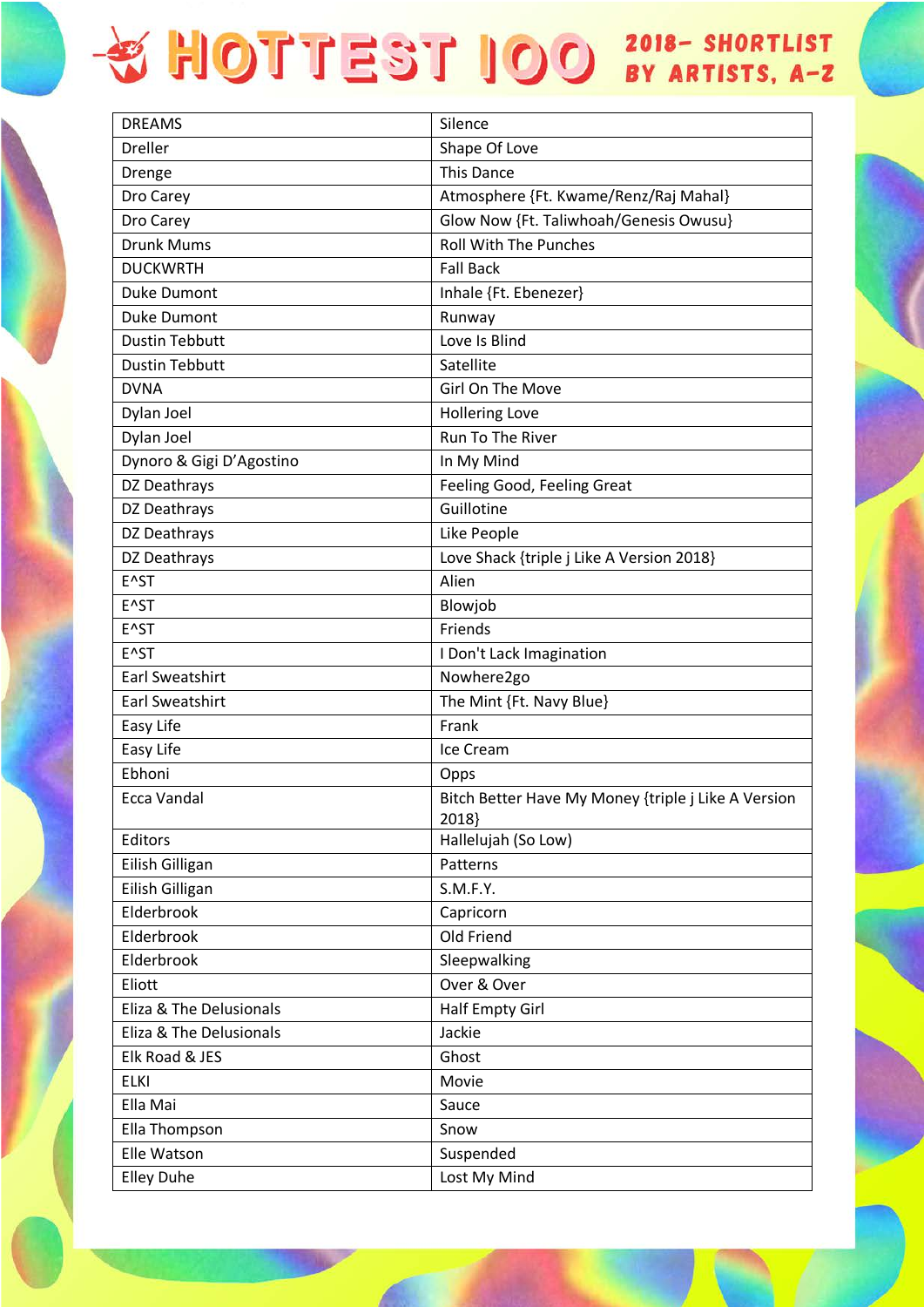| <b>DREAMS</b>            | Silence                                                      |
|--------------------------|--------------------------------------------------------------|
| <b>Dreller</b>           | Shape Of Love                                                |
| Drenge                   | This Dance                                                   |
| Dro Carey                | Atmosphere {Ft. Kwame/Renz/Raj Mahal}                        |
| Dro Carey                | Glow Now {Ft. Taliwhoah/Genesis Owusu}                       |
| Drunk Mums               | <b>Roll With The Punches</b>                                 |
| <b>DUCKWRTH</b>          | <b>Fall Back</b>                                             |
| <b>Duke Dumont</b>       | Inhale {Ft. Ebenezer}                                        |
| <b>Duke Dumont</b>       | Runway                                                       |
| <b>Dustin Tebbutt</b>    | Love Is Blind                                                |
| <b>Dustin Tebbutt</b>    | Satellite                                                    |
| <b>DVNA</b>              | Girl On The Move                                             |
| Dylan Joel               | <b>Hollering Love</b>                                        |
| Dylan Joel               | Run To The River                                             |
| Dynoro & Gigi D'Agostino | In My Mind                                                   |
| DZ Deathrays             | Feeling Good, Feeling Great                                  |
| DZ Deathrays             | Guillotine                                                   |
| DZ Deathrays             | Like People                                                  |
| DZ Deathrays             | Love Shack {triple j Like A Version 2018}                    |
| E^ST                     | Alien                                                        |
| E^ST                     | Blowjob                                                      |
| E^ST                     | Friends                                                      |
| E <sup>^</sup> ST        | I Don't Lack Imagination                                     |
| <b>Earl Sweatshirt</b>   | Nowhere2go                                                   |
| Earl Sweatshirt          | The Mint {Ft. Navy Blue}                                     |
| Easy Life                | Frank                                                        |
| Easy Life                | Ice Cream                                                    |
| Ebhoni                   | Opps                                                         |
| Ecca Vandal              | Bitch Better Have My Money {triple j Like A Version<br>2018} |
| Editors                  | Hallelujah (So Low)                                          |
| Eilish Gilligan          | Patterns                                                     |
| Eilish Gilligan          | S.M.F.Y.                                                     |
| Elderbrook               | Capricorn                                                    |
| Elderbrook               | Old Friend                                                   |
| Elderbrook               | Sleepwalking                                                 |
| Eliott                   | Over & Over                                                  |
| Eliza & The Delusionals  | Half Empty Girl                                              |
| Eliza & The Delusionals  | Jackie                                                       |
| Elk Road & JES           | Ghost                                                        |
| <b>ELKI</b>              | Movie                                                        |
| Ella Mai                 | Sauce                                                        |
| Ella Thompson            | Snow                                                         |
| Elle Watson              | Suspended                                                    |
| <b>Elley Duhe</b>        | Lost My Mind                                                 |
|                          |                                                              |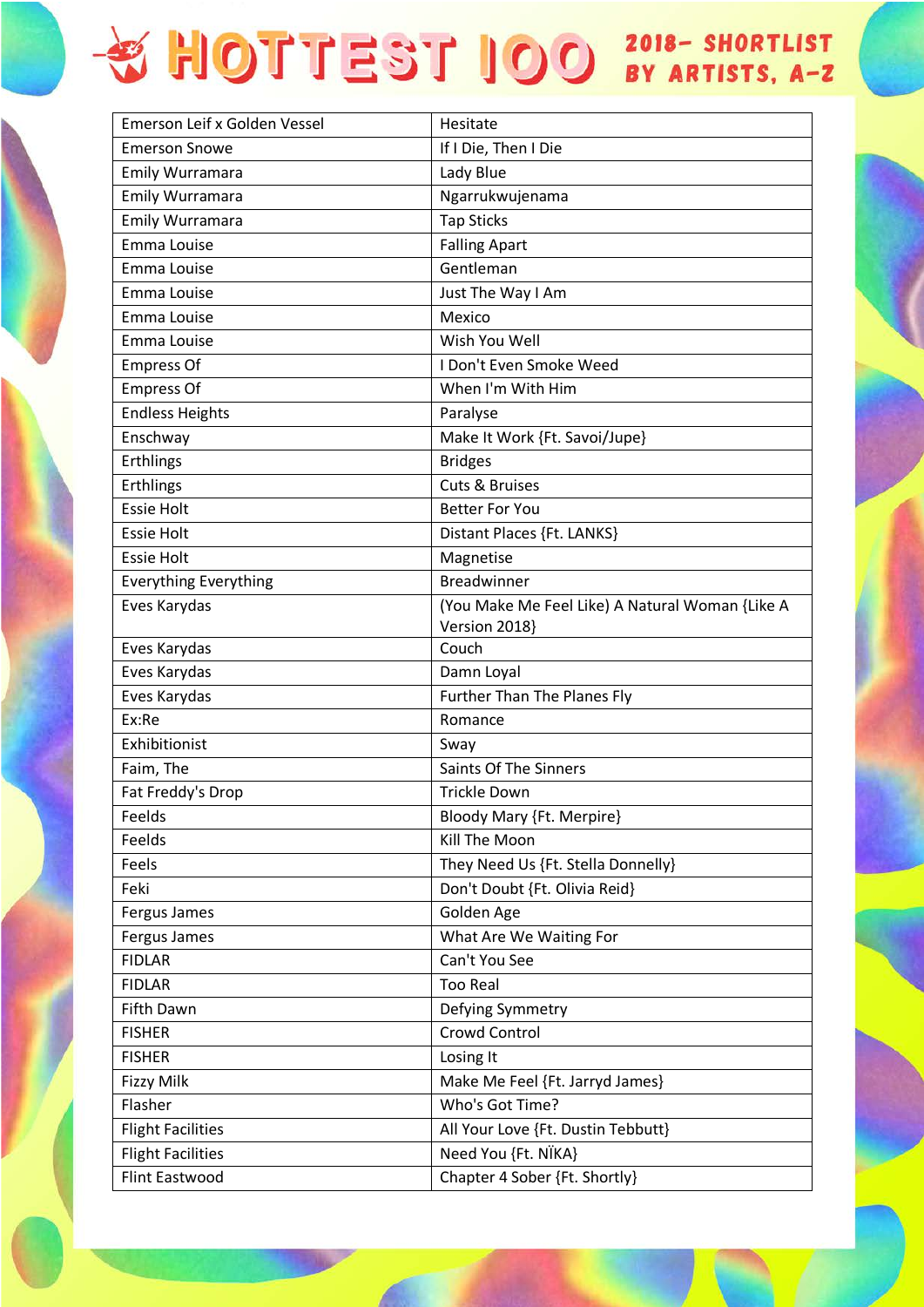| Emerson Leif x Golden Vessel | Hesitate                                                         |
|------------------------------|------------------------------------------------------------------|
| <b>Emerson Snowe</b>         | If I Die, Then I Die                                             |
| Emily Wurramara              | Lady Blue                                                        |
| Emily Wurramara              | Ngarrukwujenama                                                  |
| Emily Wurramara              | <b>Tap Sticks</b>                                                |
| Emma Louise                  | <b>Falling Apart</b>                                             |
| Emma Louise                  | Gentleman                                                        |
| Emma Louise                  | Just The Way I Am                                                |
| Emma Louise                  | Mexico                                                           |
| Emma Louise                  | Wish You Well                                                    |
| <b>Empress Of</b>            | I Don't Even Smoke Weed                                          |
| <b>Empress Of</b>            | When I'm With Him                                                |
| <b>Endless Heights</b>       | Paralyse                                                         |
| Enschway                     | Make It Work {Ft. Savoi/Jupe}                                    |
| Erthlings                    | <b>Bridges</b>                                                   |
| Erthlings                    | <b>Cuts &amp; Bruises</b>                                        |
| <b>Essie Holt</b>            | <b>Better For You</b>                                            |
| <b>Essie Holt</b>            | Distant Places {Ft. LANKS}                                       |
| <b>Essie Holt</b>            | Magnetise                                                        |
| <b>Everything Everything</b> | <b>Breadwinner</b>                                               |
| Eves Karydas                 | (You Make Me Feel Like) A Natural Woman {Like A<br>Version 2018} |
| Eves Karydas                 | Couch                                                            |
| Eves Karydas                 | Damn Loyal                                                       |
| Eves Karydas                 | <b>Further Than The Planes Fly</b>                               |
| Ex:Re                        | Romance                                                          |
| Exhibitionist                | Sway                                                             |
| Faim, The                    | <b>Saints Of The Sinners</b>                                     |
| Fat Freddy's Drop            | <b>Trickle Down</b>                                              |
| Feelds                       | Bloody Mary {Ft. Merpire}                                        |
| Feelds                       | Kill The Moon                                                    |
| Feels                        | They Need Us {Ft. Stella Donnelly}                               |
| Feki                         | Don't Doubt {Ft. Olivia Reid}                                    |
| Fergus James                 | Golden Age                                                       |
| Fergus James                 | What Are We Waiting For                                          |
| <b>FIDLAR</b>                | Can't You See                                                    |
| <b>FIDLAR</b>                | <b>Too Real</b>                                                  |
| Fifth Dawn                   | Defying Symmetry                                                 |
| <b>FISHER</b>                | <b>Crowd Control</b>                                             |
| <b>FISHER</b>                | Losing It                                                        |
| <b>Fizzy Milk</b>            | Make Me Feel {Ft. Jarryd James}                                  |
| Flasher                      | Who's Got Time?                                                  |
| <b>Flight Facilities</b>     | All Your Love {Ft. Dustin Tebbutt}                               |
| <b>Flight Facilities</b>     | Need You {Ft. NÏKA}                                              |
| <b>Flint Eastwood</b>        | Chapter 4 Sober {Ft. Shortly}                                    |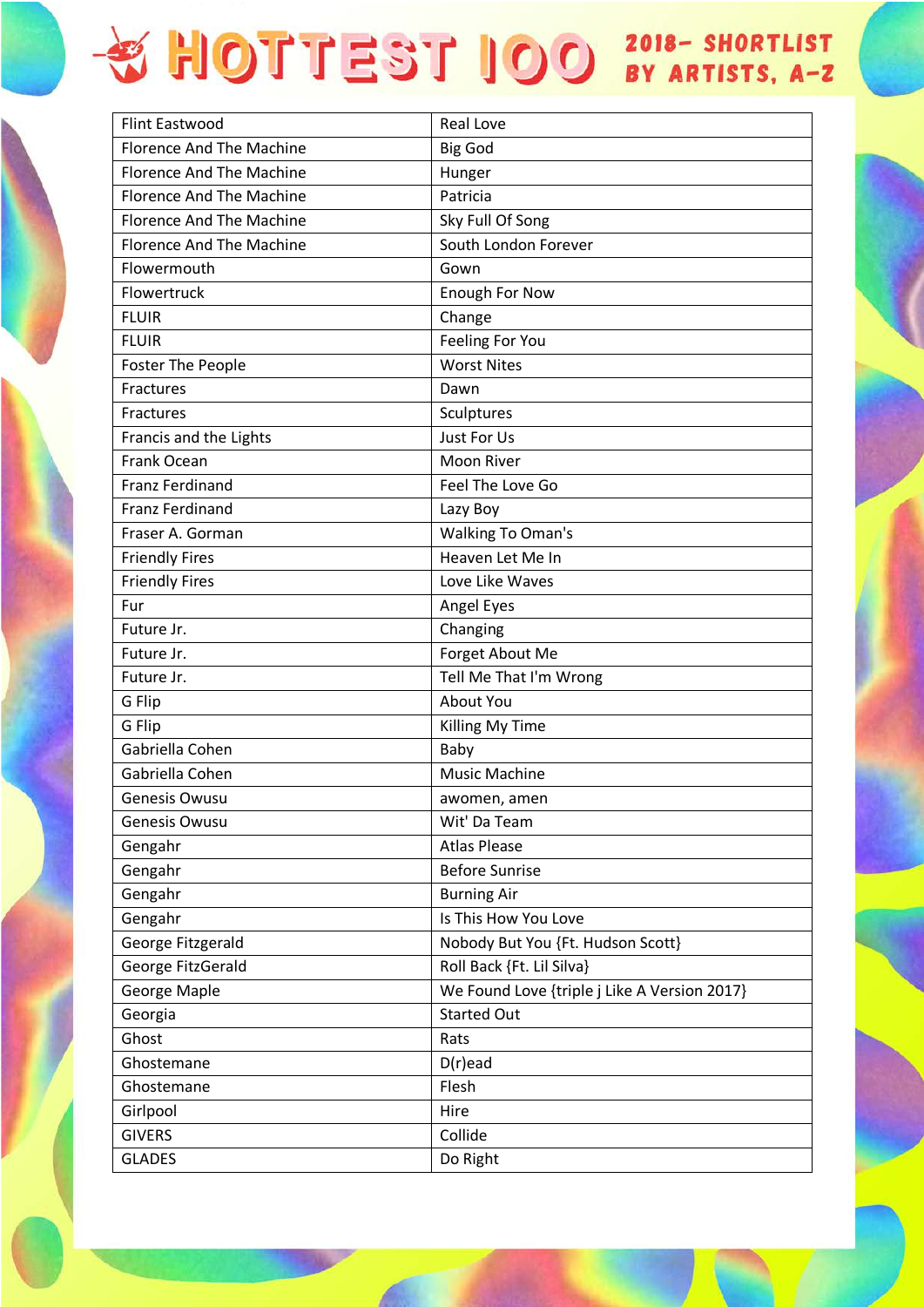| <b>Flint Eastwood</b>           | Real Love                                    |
|---------------------------------|----------------------------------------------|
| <b>Florence And The Machine</b> | <b>Big God</b>                               |
| <b>Florence And The Machine</b> | Hunger                                       |
| <b>Florence And The Machine</b> | Patricia                                     |
| <b>Florence And The Machine</b> | Sky Full Of Song                             |
| <b>Florence And The Machine</b> | South London Forever                         |
| Flowermouth                     | Gown                                         |
| Flowertruck                     | <b>Enough For Now</b>                        |
| <b>FLUIR</b>                    | Change                                       |
| <b>FLUIR</b>                    | Feeling For You                              |
| <b>Foster The People</b>        | <b>Worst Nites</b>                           |
| Fractures                       | Dawn                                         |
| Fractures                       | Sculptures                                   |
| Francis and the Lights          | Just For Us                                  |
| Frank Ocean                     | Moon River                                   |
| <b>Franz Ferdinand</b>          | Feel The Love Go                             |
| <b>Franz Ferdinand</b>          | Lazy Boy                                     |
| Fraser A. Gorman                | <b>Walking To Oman's</b>                     |
| <b>Friendly Fires</b>           | Heaven Let Me In                             |
| <b>Friendly Fires</b>           | Love Like Waves                              |
| Fur                             | Angel Eyes                                   |
| Future Jr.                      | Changing                                     |
| Future Jr.                      | Forget About Me                              |
| Future Jr.                      | Tell Me That I'm Wrong                       |
| G Flip                          | About You                                    |
| G Flip                          | Killing My Time                              |
| Gabriella Cohen                 | Baby                                         |
| Gabriella Cohen                 | <b>Music Machine</b>                         |
| Genesis Owusu                   | awomen, amen                                 |
| Genesis Owusu                   | Wit' Da Team                                 |
| Gengahr                         | <b>Atlas Please</b>                          |
| Gengahr                         | <b>Before Sunrise</b>                        |
| Gengahr                         | <b>Burning Air</b>                           |
| Gengahr                         | Is This How You Love                         |
| George Fitzgerald               | Nobody But You {Ft. Hudson Scott}            |
| George FitzGerald               | Roll Back {Ft. Lil Silva}                    |
| <b>George Maple</b>             | We Found Love {triple j Like A Version 2017} |
| Georgia                         | <b>Started Out</b>                           |
| Ghost                           | Rats                                         |
| Ghostemane                      | $D(r)$ ead                                   |
| Ghostemane                      | Flesh                                        |
| Girlpool                        | Hire                                         |
| <b>GIVERS</b>                   | Collide                                      |
| <b>GLADES</b>                   | Do Right                                     |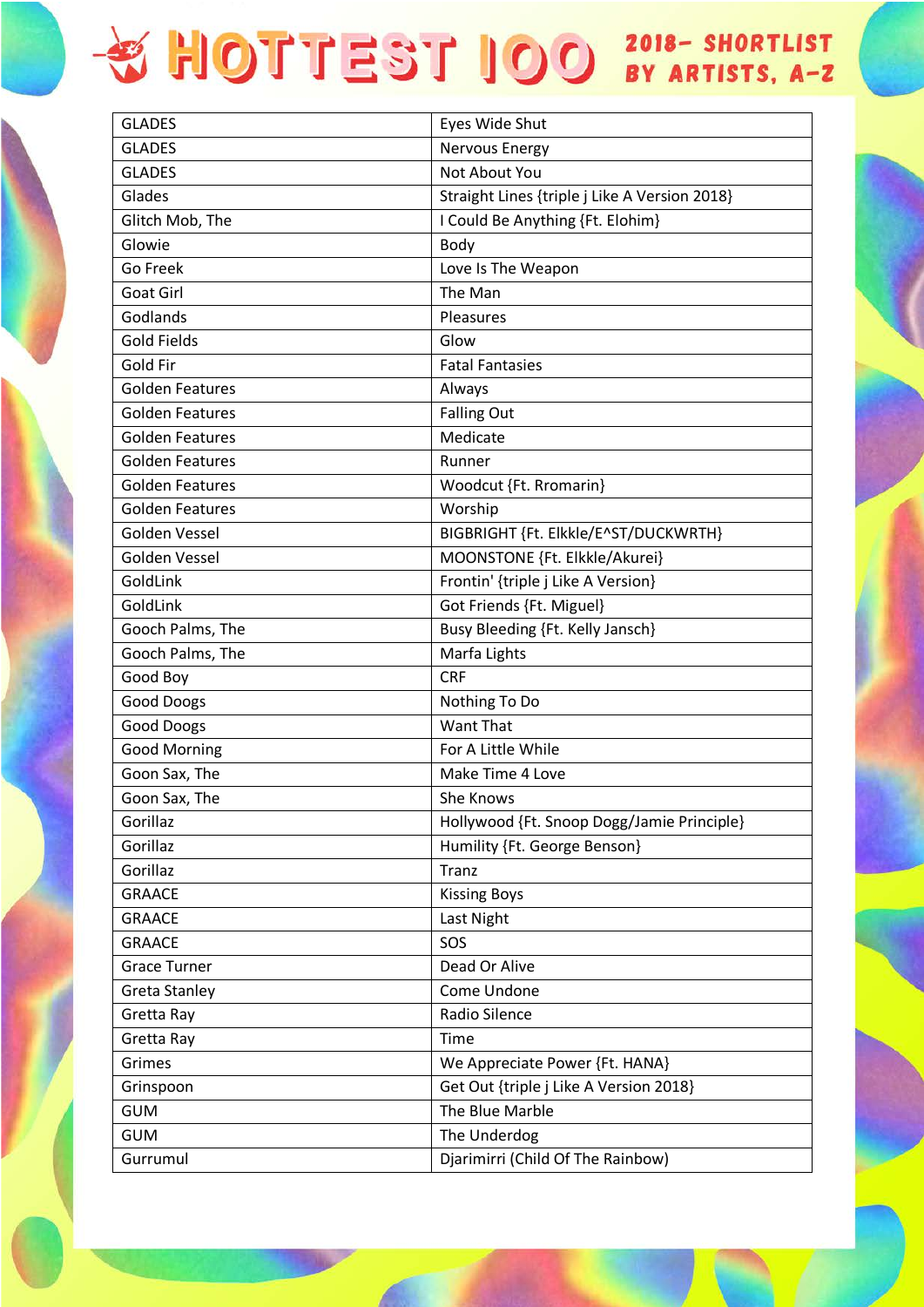| <b>GLADES</b>          | Eyes Wide Shut                                |
|------------------------|-----------------------------------------------|
| <b>GLADES</b>          | Nervous Energy                                |
| <b>GLADES</b>          | Not About You                                 |
| Glades                 | Straight Lines {triple j Like A Version 2018} |
| Glitch Mob, The        | I Could Be Anything {Ft. Elohim}              |
| Glowie                 | Body                                          |
| Go Freek               | Love Is The Weapon                            |
| Goat Girl              | The Man                                       |
| Godlands               | Pleasures                                     |
| <b>Gold Fields</b>     | Glow                                          |
| Gold Fir               | <b>Fatal Fantasies</b>                        |
| <b>Golden Features</b> | Always                                        |
| <b>Golden Features</b> | <b>Falling Out</b>                            |
| <b>Golden Features</b> | Medicate                                      |
| <b>Golden Features</b> | Runner                                        |
| <b>Golden Features</b> | Woodcut {Ft. Rromarin}                        |
| <b>Golden Features</b> | Worship                                       |
| Golden Vessel          | BIGBRIGHT {Ft. Elkkle/E^ST/DUCKWRTH}          |
| Golden Vessel          | MOONSTONE {Ft. Elkkle/Akurei}                 |
| GoldLink               | Frontin' {triple j Like A Version}            |
| GoldLink               | Got Friends {Ft. Miguel}                      |
| Gooch Palms, The       | Busy Bleeding {Ft. Kelly Jansch}              |
| Gooch Palms, The       | Marfa Lights                                  |
| Good Boy               | <b>CRF</b>                                    |
| <b>Good Doogs</b>      | Nothing To Do                                 |
| <b>Good Doogs</b>      | Want That                                     |
| <b>Good Morning</b>    | For A Little While                            |
| Goon Sax, The          | Make Time 4 Love                              |
| Goon Sax, The          | She Knows                                     |
| Gorillaz               | Hollywood {Ft. Snoop Dogg/Jamie Principle}    |
| Gorillaz               | Humility {Ft. George Benson}                  |
| Gorillaz               | Tranz                                         |
| <b>GRAACE</b>          | <b>Kissing Boys</b>                           |
| <b>GRAACE</b>          | Last Night                                    |
| <b>GRAACE</b>          | SOS                                           |
| <b>Grace Turner</b>    | Dead Or Alive                                 |
| Greta Stanley          | Come Undone                                   |
| Gretta Ray             | Radio Silence                                 |
| Gretta Ray             | Time                                          |
| Grimes                 | We Appreciate Power {Ft. HANA}                |
| Grinspoon              | Get Out {triple j Like A Version 2018}        |
| <b>GUM</b>             | The Blue Marble                               |
| <b>GUM</b>             | The Underdog                                  |
| Gurrumul               | Djarimirri (Child Of The Rainbow)             |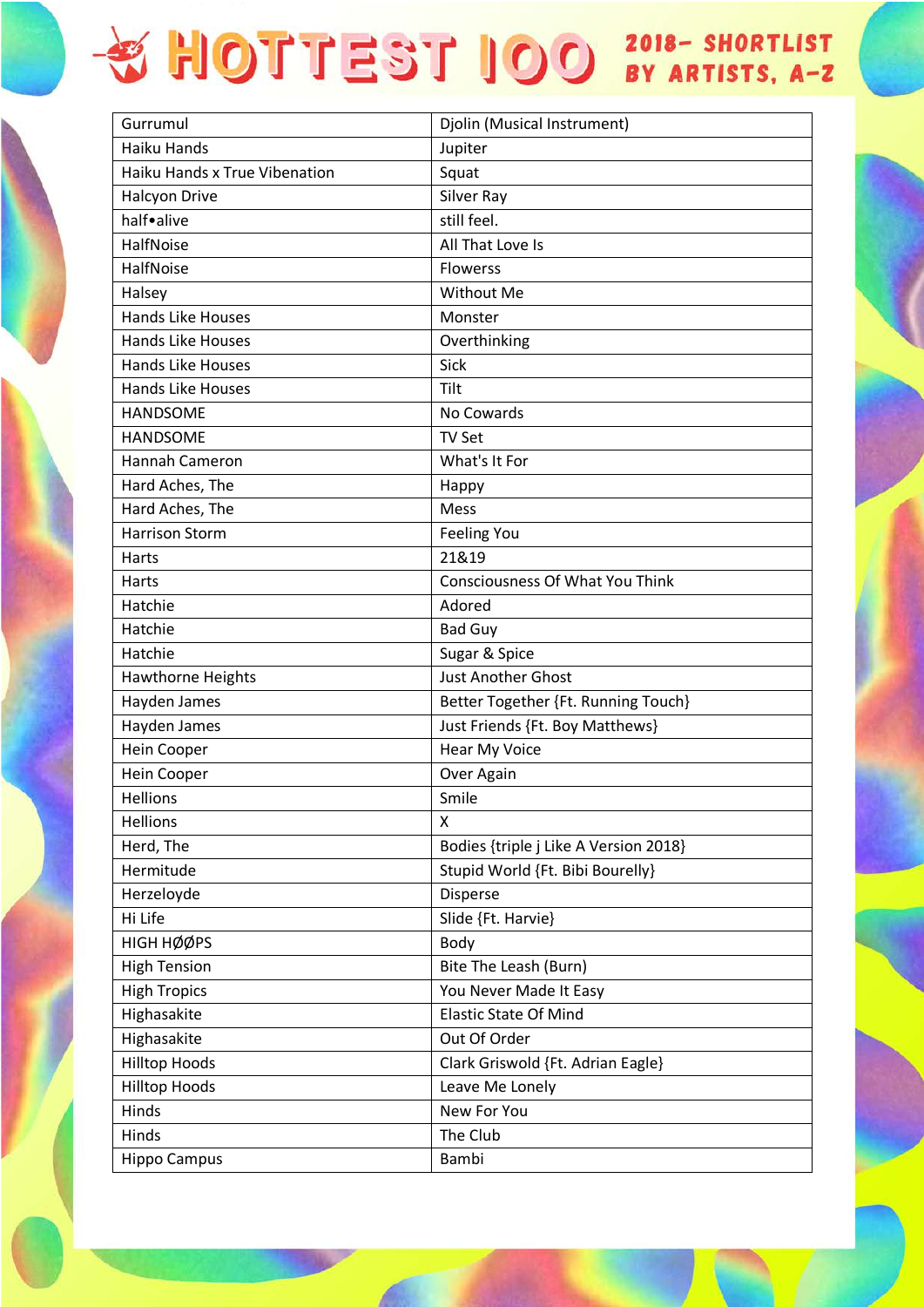| Gurrumul                      | Djolin (Musical Instrument)            |
|-------------------------------|----------------------------------------|
| Haiku Hands                   | Jupiter                                |
| Haiku Hands x True Vibenation | Squat                                  |
| <b>Halcyon Drive</b>          | Silver Ray                             |
| half•alive                    | still feel.                            |
| HalfNoise                     | All That Love Is                       |
| <b>HalfNoise</b>              | <b>Flowerss</b>                        |
| Halsey                        | <b>Without Me</b>                      |
| <b>Hands Like Houses</b>      | Monster                                |
| <b>Hands Like Houses</b>      | Overthinking                           |
| <b>Hands Like Houses</b>      | Sick                                   |
| <b>Hands Like Houses</b>      | Tilt                                   |
| <b>HANDSOME</b>               | No Cowards                             |
| <b>HANDSOME</b>               | <b>TV Set</b>                          |
| Hannah Cameron                | What's It For                          |
| Hard Aches, The               | Happy                                  |
| Hard Aches, The               | Mess                                   |
| <b>Harrison Storm</b>         | <b>Feeling You</b>                     |
| Harts                         | 21&19                                  |
| <b>Harts</b>                  | <b>Consciousness Of What You Think</b> |
| Hatchie                       | Adored                                 |
| Hatchie                       | <b>Bad Guy</b>                         |
| Hatchie                       | Sugar & Spice                          |
| Hawthorne Heights             | <b>Just Another Ghost</b>              |
| Hayden James                  | Better Together {Ft. Running Touch}    |
| Hayden James                  | Just Friends {Ft. Boy Matthews}        |
| Hein Cooper                   | Hear My Voice                          |
| Hein Cooper                   | Over Again                             |
| <b>Hellions</b>               | Smile                                  |
| <b>Hellions</b>               | X                                      |
| Herd, The                     | Bodies {triple j Like A Version 2018}  |
| Hermitude                     | Stupid World {Ft. Bibi Bourelly}       |
| Herzeloyde                    | Disperse                               |
| Hi Life                       | Slide {Ft. Harvie}                     |
| HIGH HØØPS                    | Body                                   |
| <b>High Tension</b>           | Bite The Leash (Burn)                  |
| <b>High Tropics</b>           | You Never Made It Easy                 |
| Highasakite                   | <b>Elastic State Of Mind</b>           |
| Highasakite                   | Out Of Order                           |
| <b>Hilltop Hoods</b>          | Clark Griswold {Ft. Adrian Eagle}      |
| <b>Hilltop Hoods</b>          | Leave Me Lonely                        |
| Hinds                         | New For You                            |
| Hinds                         | The Club                               |
| <b>Hippo Campus</b>           | Bambi                                  |
|                               |                                        |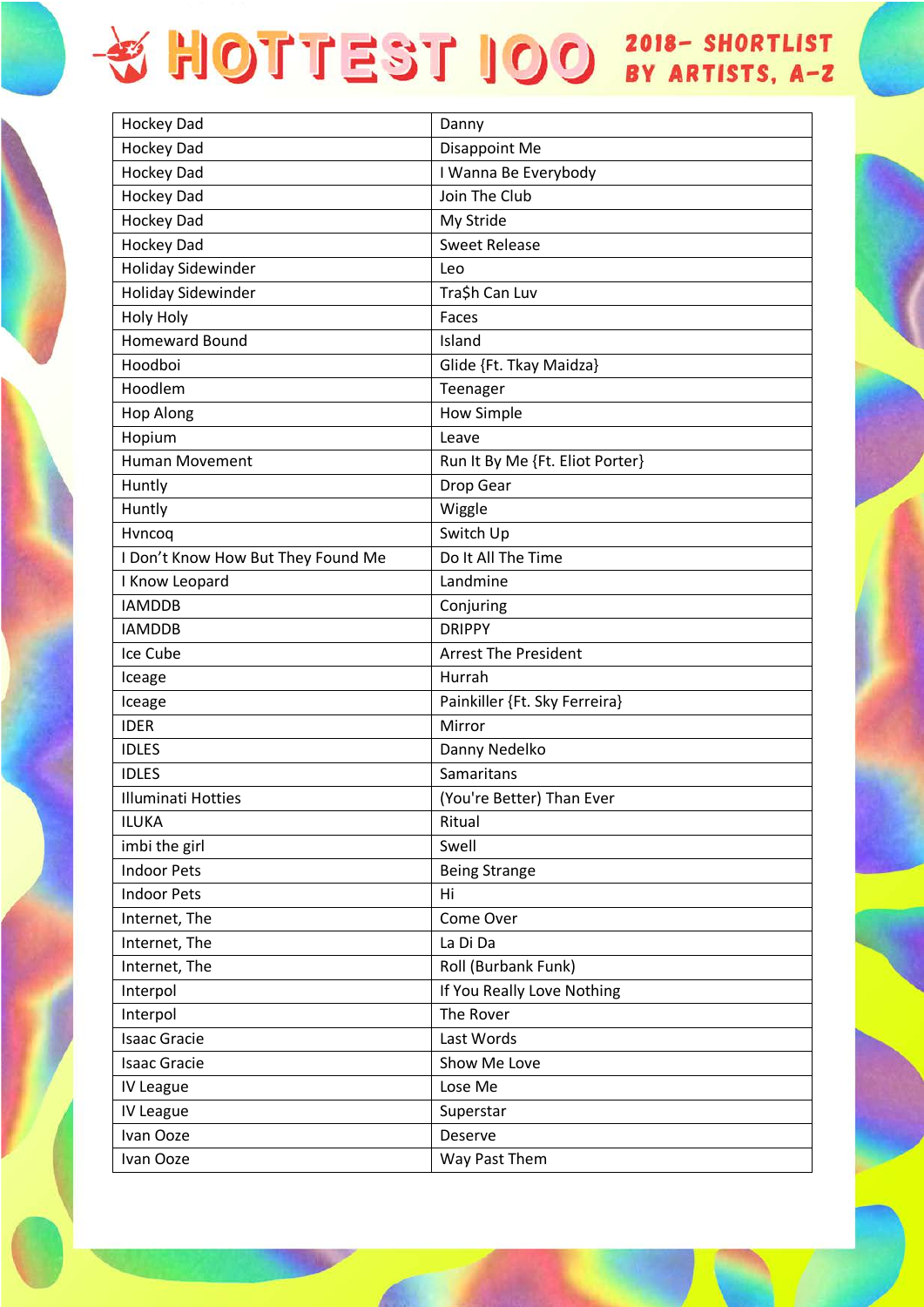| Hockey Dad                         | Danny                           |
|------------------------------------|---------------------------------|
| <b>Hockey Dad</b>                  | <b>Disappoint Me</b>            |
| <b>Hockey Dad</b>                  | I Wanna Be Everybody            |
| <b>Hockey Dad</b>                  | Join The Club                   |
| <b>Hockey Dad</b>                  | My Stride                       |
| <b>Hockey Dad</b>                  | <b>Sweet Release</b>            |
| <b>Holiday Sidewinder</b>          | Leo                             |
| <b>Holiday Sidewinder</b>          | Tra\$h Can Luv                  |
| <b>Holy Holy</b>                   | Faces                           |
| <b>Homeward Bound</b>              | Island                          |
| Hoodboi                            | Glide {Ft. Tkay Maidza}         |
| Hoodlem                            | Teenager                        |
| <b>Hop Along</b>                   | <b>How Simple</b>               |
| Hopium                             | Leave                           |
| <b>Human Movement</b>              | Run It By Me {Ft. Eliot Porter} |
| Huntly                             | Drop Gear                       |
| Huntly                             | Wiggle                          |
| Hvncoq                             | Switch Up                       |
| I Don't Know How But They Found Me | Do It All The Time              |
| I Know Leopard                     | Landmine                        |
| <b>IAMDDB</b>                      | Conjuring                       |
| <b>IAMDDB</b>                      | <b>DRIPPY</b>                   |
| Ice Cube                           | <b>Arrest The President</b>     |
| Iceage                             | Hurrah                          |
| Iceage                             | Painkiller {Ft. Sky Ferreira}   |
| <b>IDER</b>                        | Mirror                          |
| <b>IDLES</b>                       | Danny Nedelko                   |
| <b>IDLES</b>                       | Samaritans                      |
| <b>Illuminati Hotties</b>          | (You're Better) Than Ever       |
| <b>ILUKA</b>                       | Ritual                          |
| imbi the girl                      | Swell                           |
| <b>Indoor Pets</b>                 | <b>Being Strange</b>            |
| <b>Indoor Pets</b>                 | Hi                              |
| Internet, The                      | Come Over                       |
| Internet, The                      | La Di Da                        |
| Internet, The                      | Roll (Burbank Funk)             |
| Interpol                           | If You Really Love Nothing      |
| Interpol                           | The Rover                       |
| <b>Isaac Gracie</b>                | Last Words                      |
| <b>Isaac Gracie</b>                | Show Me Love                    |
| IV League                          | Lose Me                         |
| IV League                          | Superstar                       |
| Ivan Ooze                          | Deserve                         |
| Ivan Ooze                          | Way Past Them                   |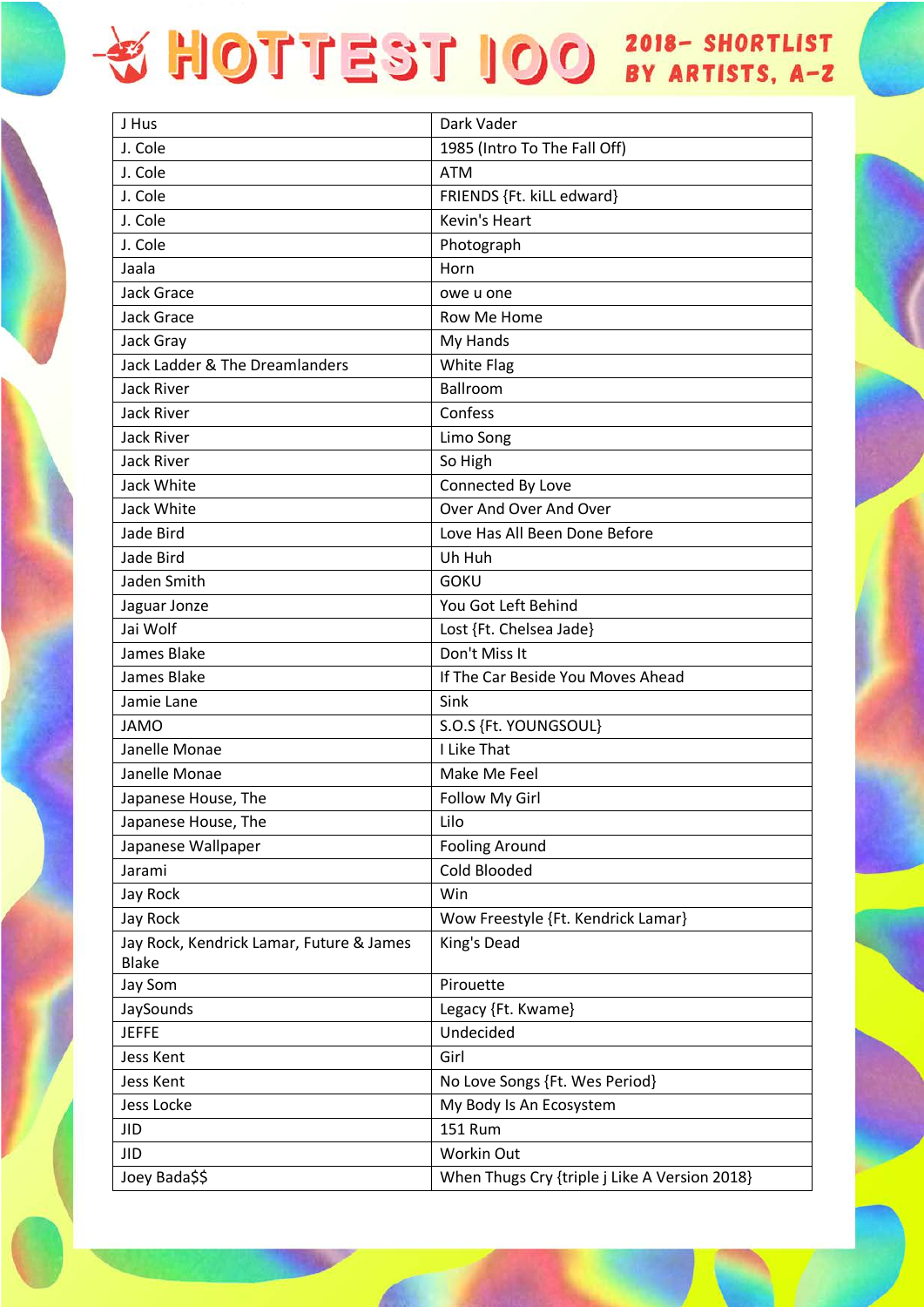| J Hus                                                    | Dark Vader                                    |
|----------------------------------------------------------|-----------------------------------------------|
| J. Cole                                                  | 1985 (Intro To The Fall Off)                  |
| J. Cole                                                  | <b>ATM</b>                                    |
| J. Cole                                                  | FRIENDS {Ft. kiLL edward}                     |
| J. Cole                                                  | Kevin's Heart                                 |
| J. Cole                                                  | Photograph                                    |
| Jaala                                                    | Horn                                          |
| <b>Jack Grace</b>                                        | owe u one                                     |
| <b>Jack Grace</b>                                        | Row Me Home                                   |
| Jack Gray                                                | My Hands                                      |
| Jack Ladder & The Dreamlanders                           | <b>White Flag</b>                             |
| <b>Jack River</b>                                        | Ballroom                                      |
| <b>Jack River</b>                                        | Confess                                       |
| <b>Jack River</b>                                        | Limo Song                                     |
| <b>Jack River</b>                                        | So High                                       |
| Jack White                                               | Connected By Love                             |
| Jack White                                               | Over And Over And Over                        |
| Jade Bird                                                | Love Has All Been Done Before                 |
| Jade Bird                                                | Uh Huh                                        |
| Jaden Smith                                              | <b>GOKU</b>                                   |
| Jaguar Jonze                                             | You Got Left Behind                           |
| Jai Wolf                                                 | Lost {Ft. Chelsea Jade}                       |
| James Blake                                              | Don't Miss It                                 |
| James Blake                                              | If The Car Beside You Moves Ahead             |
| Jamie Lane                                               | Sink                                          |
| <b>JAMO</b>                                              | S.O.S {Ft. YOUNGSOUL}                         |
| Janelle Monae                                            | I Like That                                   |
| Janelle Monae                                            | Make Me Feel                                  |
| Japanese House, The                                      | Follow My Girl                                |
| Japanese House, The                                      | Lilo                                          |
| Japanese Wallpaper                                       | <b>Fooling Around</b>                         |
| Jarami                                                   | Cold Blooded                                  |
| Jay Rock                                                 | Win                                           |
| Jay Rock                                                 | Wow Freestyle {Ft. Kendrick Lamar}            |
| Jay Rock, Kendrick Lamar, Future & James<br><b>Blake</b> | King's Dead                                   |
| Jay Som                                                  | Pirouette                                     |
| JaySounds                                                | Legacy {Ft. Kwame}                            |
| <b>JEFFE</b>                                             | Undecided                                     |
| Jess Kent                                                | Girl                                          |
| Jess Kent                                                | No Love Songs {Ft. Wes Period}                |
| Jess Locke                                               | My Body Is An Ecosystem                       |
| <b>JID</b>                                               | <b>151 Rum</b>                                |
| <b>JID</b>                                               | Workin Out                                    |
| Joey Bada\$\$                                            | When Thugs Cry {triple j Like A Version 2018} |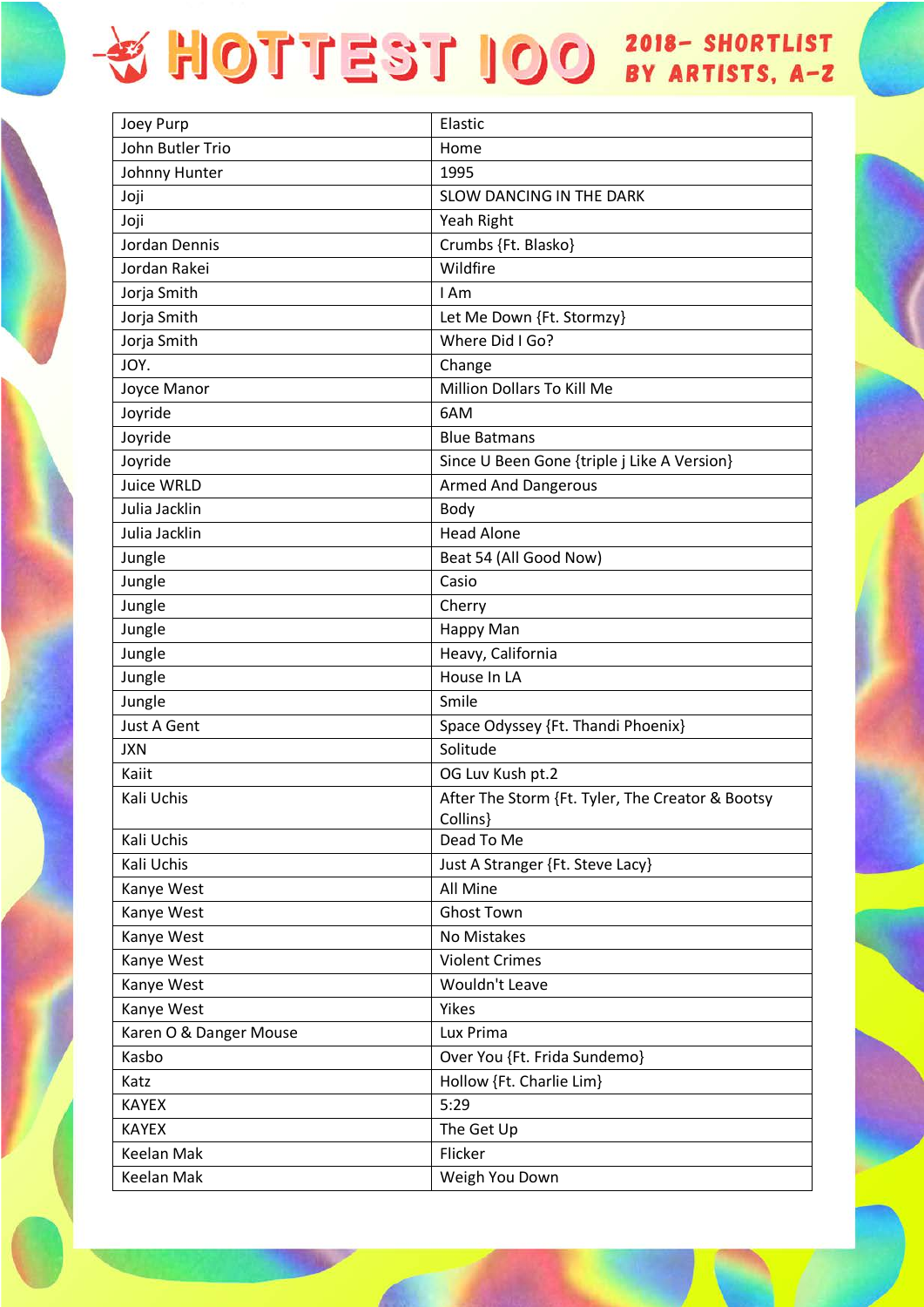| Joey Purp              | Elastic                                          |
|------------------------|--------------------------------------------------|
| John Butler Trio       | Home                                             |
| Johnny Hunter          | 1995                                             |
| Joji                   | SLOW DANCING IN THE DARK                         |
| Joji                   | Yeah Right                                       |
| Jordan Dennis          | Crumbs {Ft. Blasko}                              |
| Jordan Rakei           | Wildfire                                         |
| Jorja Smith            | I Am                                             |
| Jorja Smith            | Let Me Down {Ft. Stormzy}                        |
| Jorja Smith            | Where Did I Go?                                  |
| JOY.                   | Change                                           |
| Joyce Manor            | Million Dollars To Kill Me                       |
| Joyride                | 6AM                                              |
| Joyride                | <b>Blue Batmans</b>                              |
| Joyride                | Since U Been Gone {triple j Like A Version}      |
| Juice WRLD             | <b>Armed And Dangerous</b>                       |
| Julia Jacklin          | Body                                             |
| Julia Jacklin          | <b>Head Alone</b>                                |
| Jungle                 | Beat 54 (All Good Now)                           |
| Jungle                 | Casio                                            |
| Jungle                 | Cherry                                           |
| Jungle                 | Happy Man                                        |
| Jungle                 | Heavy, California                                |
| Jungle                 | House In LA                                      |
| Jungle                 | Smile                                            |
| <b>Just A Gent</b>     | Space Odyssey {Ft. Thandi Phoenix}               |
| <b>JXN</b>             | Solitude                                         |
| Kaiit                  | OG Luv Kush pt.2                                 |
| Kali Uchis             | After The Storm {Ft. Tyler, The Creator & Bootsy |
|                        | Collins}                                         |
| Kali Uchis             | Dead To Me                                       |
| Kali Uchis             | Just A Stranger {Ft. Steve Lacy}                 |
| Kanye West             | All Mine                                         |
| Kanye West             | <b>Ghost Town</b>                                |
| Kanye West             | No Mistakes                                      |
| Kanye West             | <b>Violent Crimes</b>                            |
| Kanye West             | Wouldn't Leave                                   |
| Kanye West             | Yikes                                            |
| Karen O & Danger Mouse | Lux Prima                                        |
| Kasbo                  | Over You {Ft. Frida Sundemo}                     |
| Katz                   | Hollow {Ft. Charlie Lim}                         |
| <b>KAYEX</b>           | 5:29                                             |
| <b>KAYEX</b>           | The Get Up                                       |
| Keelan Mak             | Flicker                                          |
| Keelan Mak             | Weigh You Down                                   |
|                        |                                                  |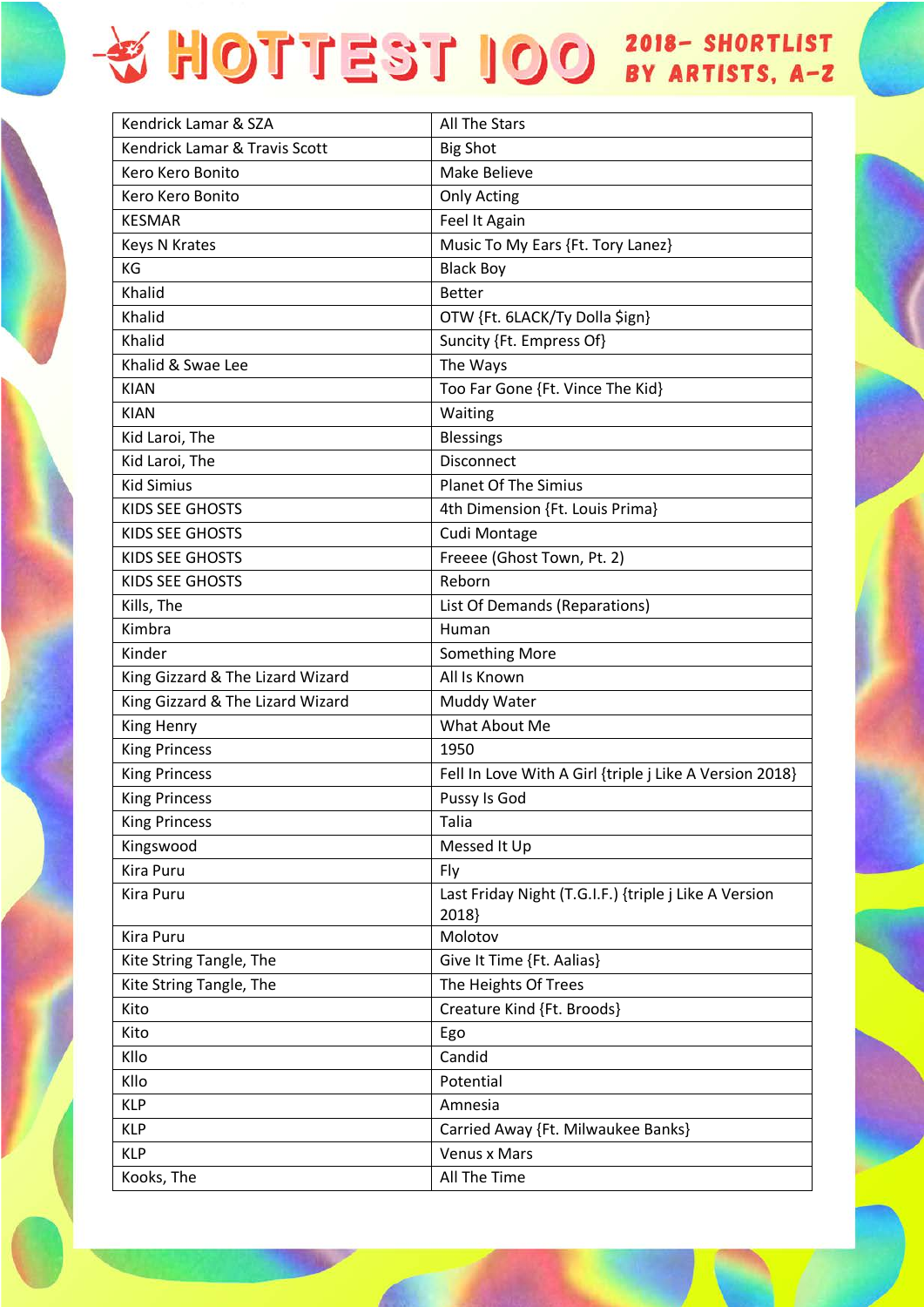| Kendrick Lamar & SZA             | <b>All The Stars</b>                                           |
|----------------------------------|----------------------------------------------------------------|
| Kendrick Lamar & Travis Scott    | <b>Big Shot</b>                                                |
| Kero Kero Bonito                 | Make Believe                                                   |
| Kero Kero Bonito                 | <b>Only Acting</b>                                             |
| <b>KESMAR</b>                    | Feel It Again                                                  |
| <b>Keys N Krates</b>             | Music To My Ears {Ft. Tory Lanez}                              |
| KG                               | <b>Black Boy</b>                                               |
| Khalid                           | <b>Better</b>                                                  |
| Khalid                           | OTW {Ft. 6LACK/Ty Dolla \$ign}                                 |
| Khalid                           | Suncity {Ft. Empress Of}                                       |
| Khalid & Swae Lee                | The Ways                                                       |
| <b>KIAN</b>                      | Too Far Gone {Ft. Vince The Kid}                               |
| <b>KIAN</b>                      | Waiting                                                        |
| Kid Laroi, The                   | <b>Blessings</b>                                               |
| Kid Laroi, The                   | Disconnect                                                     |
| <b>Kid Simius</b>                | <b>Planet Of The Simius</b>                                    |
| KIDS SEE GHOSTS                  | 4th Dimension {Ft. Louis Prima}                                |
| KIDS SEE GHOSTS                  | Cudi Montage                                                   |
| <b>KIDS SEE GHOSTS</b>           | Freeee (Ghost Town, Pt. 2)                                     |
| KIDS SEE GHOSTS                  | Reborn                                                         |
| Kills, The                       | List Of Demands (Reparations)                                  |
| Kimbra                           | Human                                                          |
| Kinder                           | <b>Something More</b>                                          |
| King Gizzard & The Lizard Wizard | All Is Known                                                   |
| King Gizzard & The Lizard Wizard | Muddy Water                                                    |
| King Henry                       | What About Me                                                  |
| <b>King Princess</b>             | 1950                                                           |
| <b>King Princess</b>             | Fell In Love With A Girl {triple j Like A Version 2018}        |
| <b>King Princess</b>             | Pussy Is God                                                   |
| <b>King Princess</b>             | Talia                                                          |
| Kingswood                        | Messed It Up                                                   |
| Kira Puru                        | Fly                                                            |
| Kira Puru                        | Last Friday Night (T.G.I.F.) {triple j Like A Version<br>2018} |
| Kira Puru                        | Molotov                                                        |
| Kite String Tangle, The          | Give It Time {Ft. Aalias}                                      |
| Kite String Tangle, The          | The Heights Of Trees                                           |
| Kito                             | Creature Kind {Ft. Broods}                                     |
| Kito                             | Ego                                                            |
| Kllo                             | Candid                                                         |
| Kllo                             | Potential                                                      |
| <b>KLP</b>                       | Amnesia                                                        |
| <b>KLP</b>                       | Carried Away {Ft. Milwaukee Banks}                             |
| <b>KLP</b>                       | <b>Venus x Mars</b>                                            |
| Kooks, The                       | All The Time                                                   |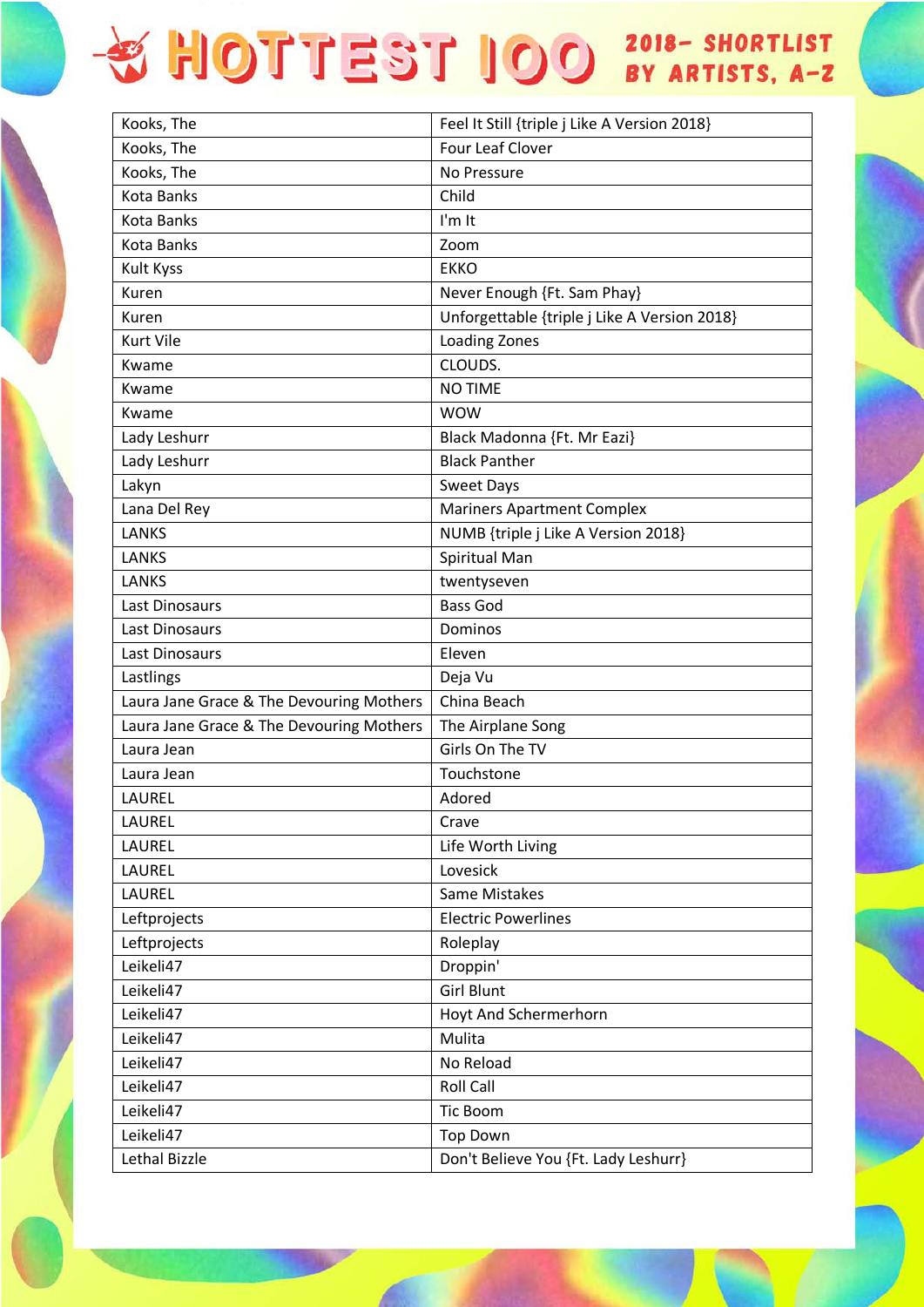| Kooks, The                               | Feel It Still {triple j Like A Version 2018} |
|------------------------------------------|----------------------------------------------|
| Kooks, The                               | <b>Four Leaf Clover</b>                      |
| Kooks, The                               | No Pressure                                  |
| <b>Kota Banks</b>                        | Child                                        |
| <b>Kota Banks</b>                        | I'm It                                       |
| <b>Kota Banks</b>                        | Zoom                                         |
| <b>Kult Kyss</b>                         | <b>EKKO</b>                                  |
| Kuren                                    | Never Enough {Ft. Sam Phay}                  |
| Kuren                                    | Unforgettable {triple j Like A Version 2018} |
| <b>Kurt Vile</b>                         | <b>Loading Zones</b>                         |
| Kwame                                    | CLOUDS.                                      |
| Kwame                                    | <b>NO TIME</b>                               |
| Kwame                                    | <b>WOW</b>                                   |
| Lady Leshurr                             | Black Madonna {Ft. Mr Eazi}                  |
| Lady Leshurr                             | <b>Black Panther</b>                         |
| Lakyn                                    | <b>Sweet Days</b>                            |
| Lana Del Rey                             | <b>Mariners Apartment Complex</b>            |
| <b>LANKS</b>                             | NUMB {triple j Like A Version 2018}          |
| LANKS                                    | Spiritual Man                                |
| LANKS                                    | twentyseven                                  |
| Last Dinosaurs                           | <b>Bass God</b>                              |
| Last Dinosaurs                           | Dominos                                      |
| Last Dinosaurs                           | Eleven                                       |
| Lastlings                                | Deja Vu                                      |
| Laura Jane Grace & The Devouring Mothers | China Beach                                  |
| Laura Jane Grace & The Devouring Mothers | The Airplane Song                            |
| Laura Jean                               | Girls On The TV                              |
| Laura Jean                               | Touchstone                                   |
| LAUREL                                   | Adored                                       |
| LAUREL                                   | Crave                                        |
| LAUREL                                   | Life Worth Living                            |
| LAUREL                                   | Lovesick                                     |
| LAUREL                                   | Same Mistakes                                |
| Leftprojects                             | <b>Electric Powerlines</b>                   |
| Leftprojects                             | Roleplay                                     |
| Leikeli47                                | Droppin'                                     |
| Leikeli47                                | <b>Girl Blunt</b>                            |
| Leikeli47                                | Hoyt And Schermerhorn                        |
| Leikeli47                                | Mulita                                       |
| Leikeli47                                | No Reload                                    |
| Leikeli47                                | Roll Call                                    |
| Leikeli47                                | <b>Tic Boom</b>                              |
| Leikeli47                                | <b>Top Down</b>                              |
| Lethal Bizzle                            | Don't Believe You {Ft. Lady Leshurr}         |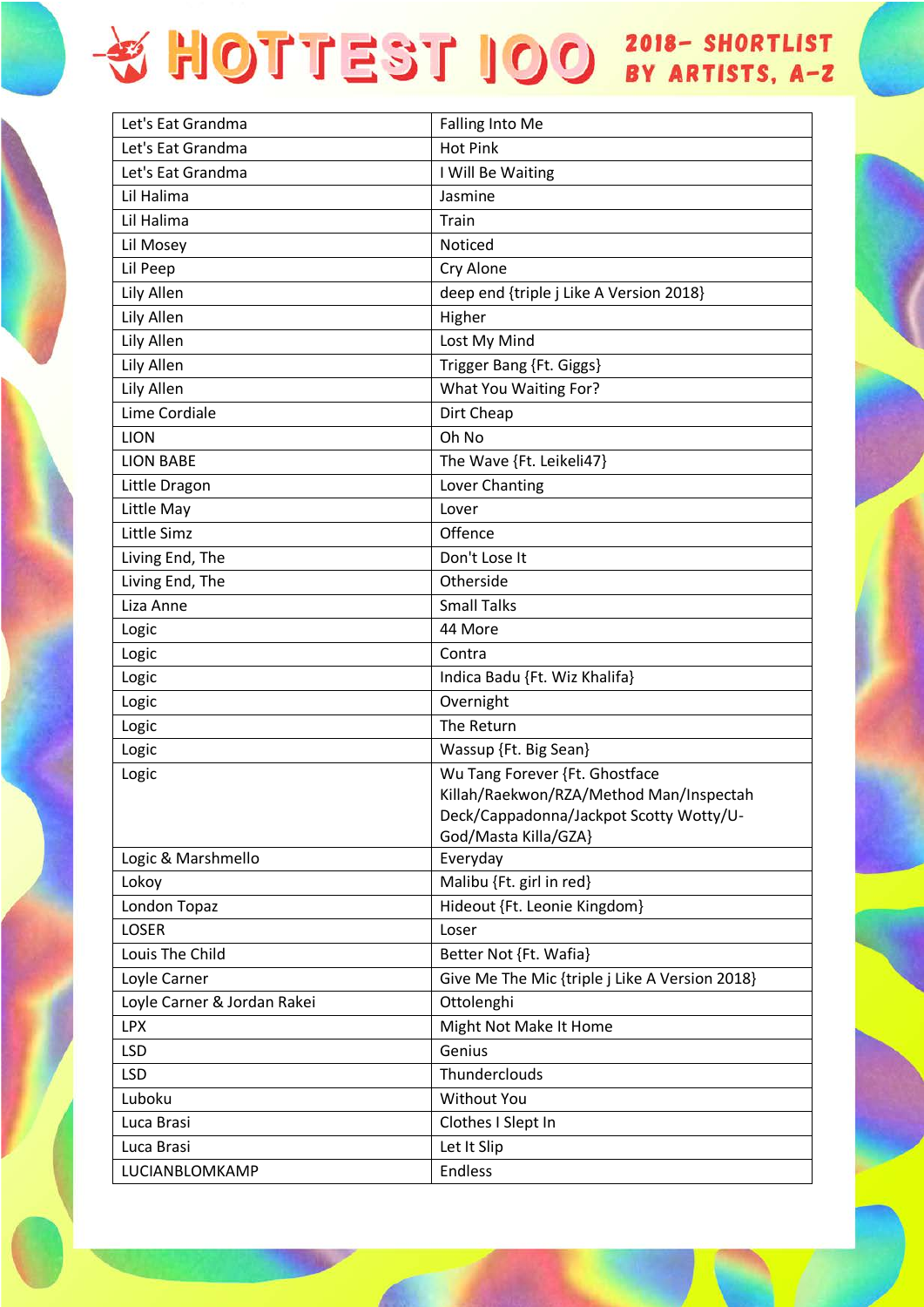| Let's Eat Grandma           | <b>Falling Into Me</b>                         |
|-----------------------------|------------------------------------------------|
| Let's Eat Grandma           | <b>Hot Pink</b>                                |
| Let's Eat Grandma           | I Will Be Waiting                              |
| Lil Halima                  | Jasmine                                        |
| Lil Halima                  | Train                                          |
| Lil Mosey                   | Noticed                                        |
| Lil Peep                    | Cry Alone                                      |
| Lily Allen                  | deep end {triple j Like A Version 2018}        |
| Lily Allen                  | Higher                                         |
| Lily Allen                  | Lost My Mind                                   |
| Lily Allen                  | Trigger Bang {Ft. Giggs}                       |
| Lily Allen                  | What You Waiting For?                          |
| Lime Cordiale               | Dirt Cheap                                     |
| <b>LION</b>                 | Oh No                                          |
| <b>LION BABE</b>            | The Wave {Ft. Leikeli47}                       |
| Little Dragon               | Lover Chanting                                 |
| Little May                  | Lover                                          |
| Little Simz                 | Offence                                        |
| Living End, The             | Don't Lose It                                  |
| Living End, The             | Otherside                                      |
| Liza Anne                   | <b>Small Talks</b>                             |
| Logic                       | 44 More                                        |
| Logic                       | Contra                                         |
| Logic                       | Indica Badu {Ft. Wiz Khalifa}                  |
| Logic                       | Overnight                                      |
| Logic                       | The Return                                     |
| Logic                       | Wassup {Ft. Big Sean}                          |
| Logic                       | Wu Tang Forever {Ft. Ghostface                 |
|                             | Killah/Raekwon/RZA/Method Man/Inspectah        |
|                             | Deck/Cappadonna/Jackpot Scotty Wotty/U-        |
|                             | God/Masta Killa/GZA}                           |
| Logic & Marshmello          | Everyday                                       |
| Lokoy                       | Malibu {Ft. girl in red}                       |
| London Topaz                | Hideout {Ft. Leonie Kingdom}                   |
| <b>LOSER</b>                | Loser                                          |
| Louis The Child             | Better Not {Ft. Wafia}                         |
| Loyle Carner                | Give Me The Mic {triple j Like A Version 2018} |
| Loyle Carner & Jordan Rakei | Ottolenghi                                     |
| <b>LPX</b>                  | Might Not Make It Home                         |
| <b>LSD</b>                  | Genius                                         |
| <b>LSD</b>                  | Thunderclouds                                  |
| Luboku                      | <b>Without You</b>                             |
| Luca Brasi                  | Clothes I Slept In                             |
| Luca Brasi                  | Let It Slip                                    |
| LUCIANBLOMKAMP              | <b>Endless</b>                                 |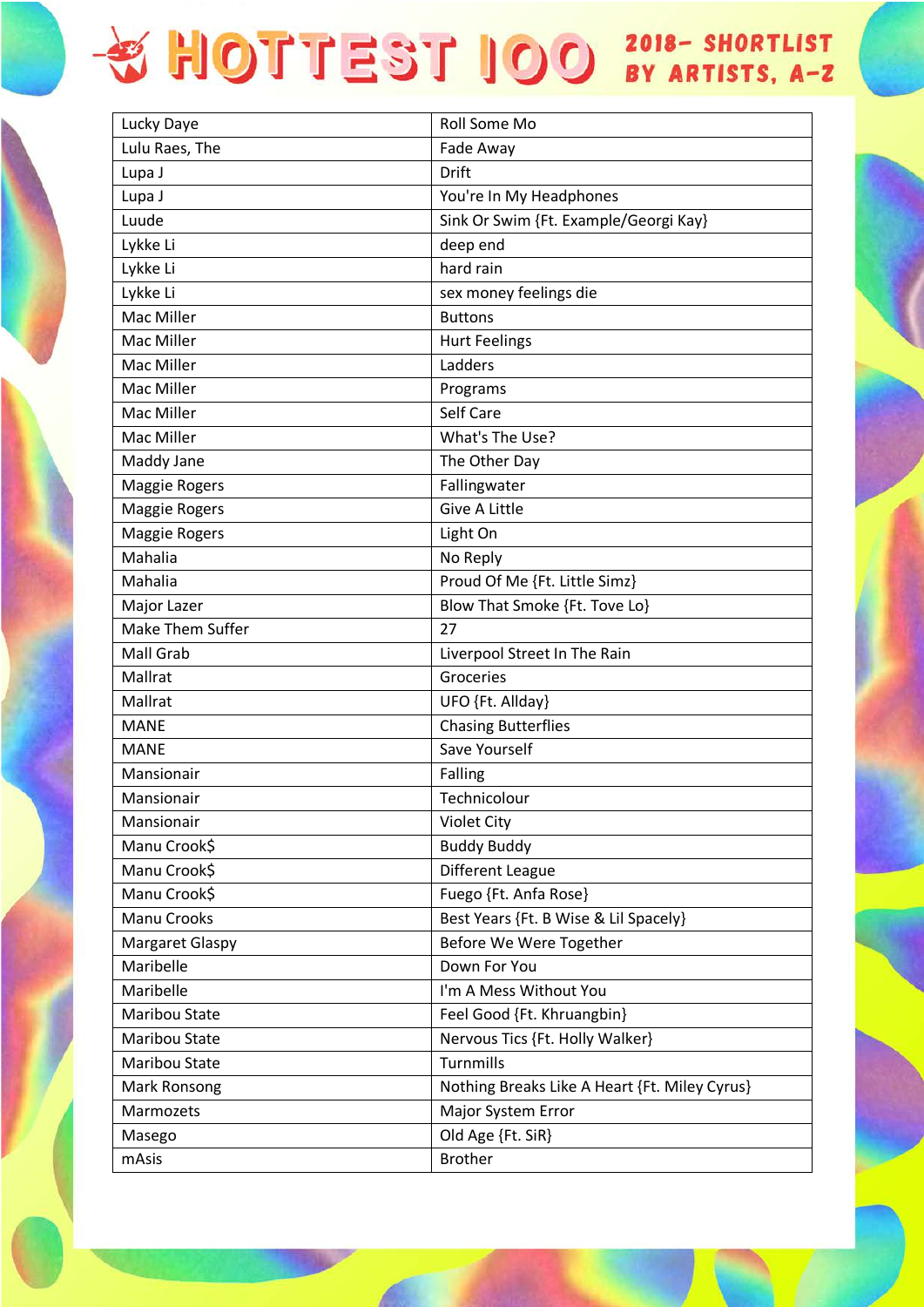| Lucky Daye             | <b>Roll Some Mo</b>                           |
|------------------------|-----------------------------------------------|
| Lulu Raes, The         | Fade Away                                     |
| Lupa J                 | Drift                                         |
| Lupa J                 | You're In My Headphones                       |
| Luude                  | Sink Or Swim {Ft. Example/Georgi Kay}         |
| Lykke Li               | deep end                                      |
| Lykke Li               | hard rain                                     |
| Lykke Li               | sex money feelings die                        |
| Mac Miller             | <b>Buttons</b>                                |
| Mac Miller             | <b>Hurt Feelings</b>                          |
| Mac Miller             | Ladders                                       |
| Mac Miller             | Programs                                      |
| Mac Miller             | Self Care                                     |
| Mac Miller             | What's The Use?                               |
| Maddy Jane             | The Other Day                                 |
| Maggie Rogers          | Fallingwater                                  |
| <b>Maggie Rogers</b>   | Give A Little                                 |
| <b>Maggie Rogers</b>   | Light On                                      |
| Mahalia                | No Reply                                      |
| Mahalia                | Proud Of Me {Ft. Little Simz}                 |
| Major Lazer            | Blow That Smoke {Ft. Tove Lo}                 |
| Make Them Suffer       | 27                                            |
| Mall Grab              | Liverpool Street In The Rain                  |
| Mallrat                | Groceries                                     |
| Mallrat                | UFO {Ft. Allday}                              |
| <b>MANE</b>            | <b>Chasing Butterflies</b>                    |
| <b>MANE</b>            | Save Yourself                                 |
| Mansionair             | Falling                                       |
| Mansionair             | Technicolour                                  |
| Mansionair             | <b>Violet City</b>                            |
| Manu Crook\$           | <b>Buddy Buddy</b>                            |
| Manu Crook\$           | Different League                              |
| Manu Crook\$           | Fuego {Ft. Anfa Rose}                         |
| Manu Crooks            | Best Years {Ft. B Wise & Lil Spacely}         |
| <b>Margaret Glaspy</b> | Before We Were Together                       |
| Maribelle              | Down For You                                  |
| Maribelle              | I'm A Mess Without You                        |
| Maribou State          | Feel Good {Ft. Khruangbin}                    |
| Maribou State          | Nervous Tics {Ft. Holly Walker}               |
| Maribou State          | Turnmills                                     |
| Mark Ronsong           | Nothing Breaks Like A Heart {Ft. Miley Cyrus} |
| Marmozets              | Major System Error                            |
| Masego                 | Old Age {Ft. SiR}                             |
| mAsis                  | <b>Brother</b>                                |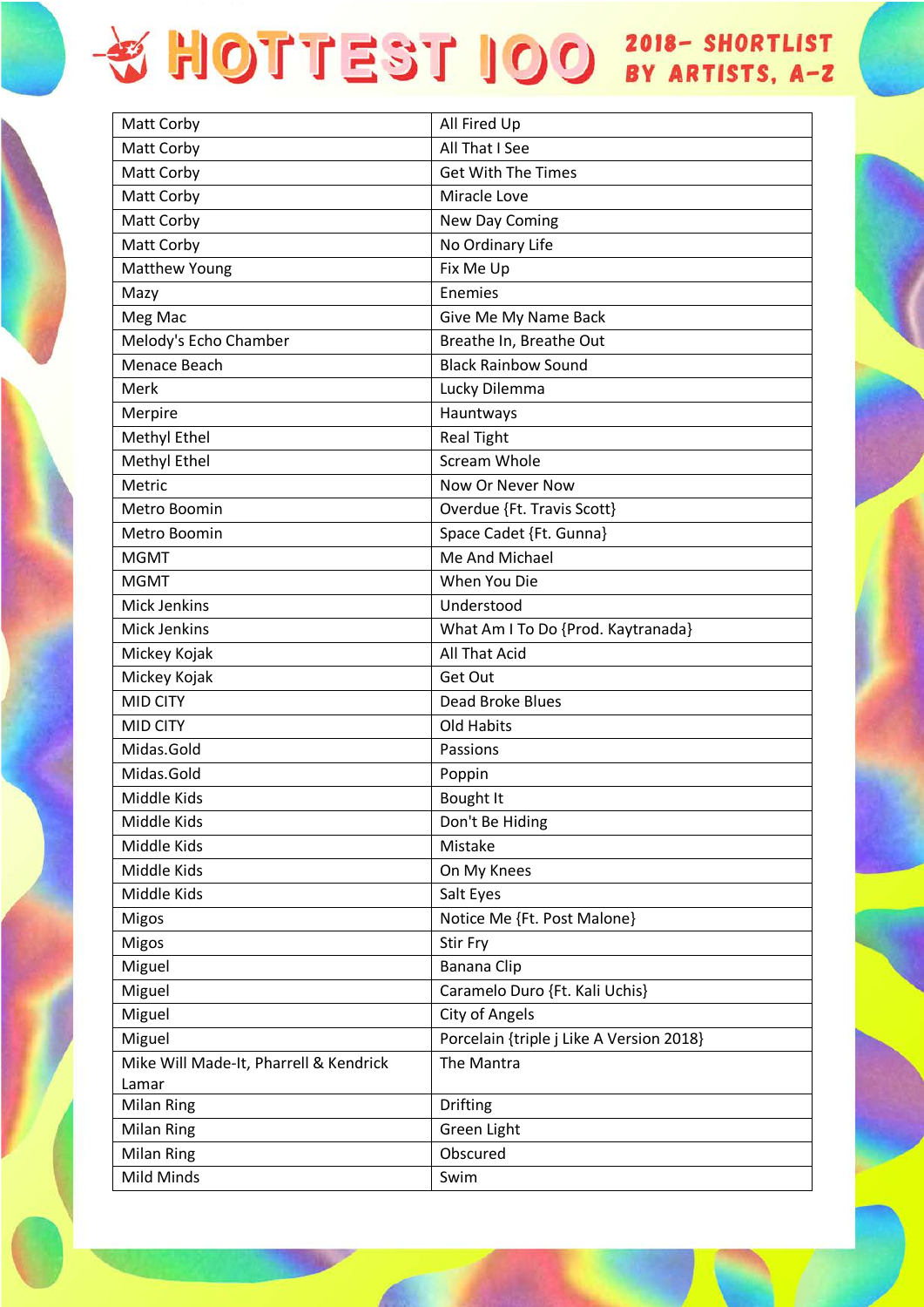| Matt Corby                             | All Fired Up                             |
|----------------------------------------|------------------------------------------|
| Matt Corby                             | All That I See                           |
| Matt Corby                             | <b>Get With The Times</b>                |
| Matt Corby                             | Miracle Love                             |
| Matt Corby                             | New Day Coming                           |
| Matt Corby                             | No Ordinary Life                         |
| Matthew Young                          | Fix Me Up                                |
| Mazy                                   | Enemies                                  |
| Meg Mac                                | Give Me My Name Back                     |
| Melody's Echo Chamber                  | Breathe In, Breathe Out                  |
| Menace Beach                           | <b>Black Rainbow Sound</b>               |
| Merk                                   | Lucky Dilemma                            |
| Merpire                                | Hauntways                                |
| Methyl Ethel                           | <b>Real Tight</b>                        |
| Methyl Ethel                           | <b>Scream Whole</b>                      |
| Metric                                 | Now Or Never Now                         |
| Metro Boomin                           | Overdue {Ft. Travis Scott}               |
| Metro Boomin                           | Space Cadet {Ft. Gunna}                  |
| <b>MGMT</b>                            | Me And Michael                           |
| <b>MGMT</b>                            | When You Die                             |
| <b>Mick Jenkins</b>                    | Understood                               |
| Mick Jenkins                           | What Am I To Do {Prod. Kaytranada}       |
| Mickey Kojak                           | All That Acid                            |
| Mickey Kojak                           | Get Out                                  |
| <b>MID CITY</b>                        | Dead Broke Blues                         |
| <b>MID CITY</b>                        | Old Habits                               |
| Midas.Gold                             | Passions                                 |
| Midas.Gold                             | Poppin                                   |
| Middle Kids                            | Bought It                                |
| Middle Kids                            | Don't Be Hiding                          |
| Middle Kids                            | Mistake                                  |
| Middle Kids                            | On My Knees                              |
| Middle Kids                            | Salt Eyes                                |
| Migos                                  | Notice Me {Ft. Post Malone}              |
| Migos                                  | Stir Fry                                 |
| Miguel                                 | Banana Clip                              |
| Miguel                                 | Caramelo Duro {Ft. Kali Uchis}           |
| Miguel                                 | City of Angels                           |
| Miguel                                 | Porcelain {triple j Like A Version 2018} |
| Mike Will Made-It, Pharrell & Kendrick | The Mantra                               |
| Lamar                                  |                                          |
| <b>Milan Ring</b>                      | Drifting                                 |
| <b>Milan Ring</b>                      | Green Light                              |
| <b>Milan Ring</b>                      | Obscured                                 |
| Mild Minds                             | Swim                                     |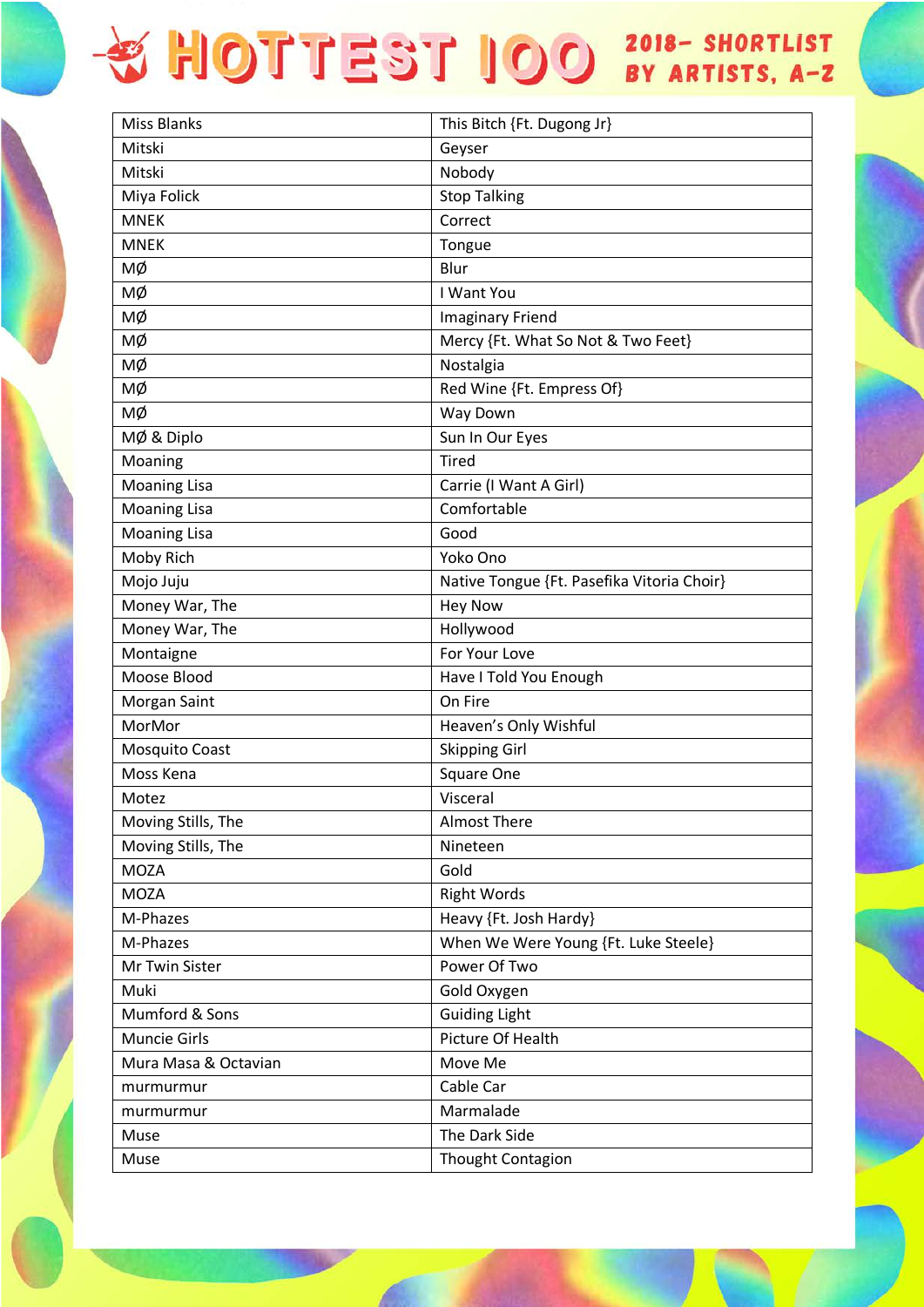| <b>Miss Blanks</b>   | This Bitch {Ft. Dugong Jr}                 |
|----------------------|--------------------------------------------|
| Mitski               | Geyser                                     |
| Mitski               | Nobody                                     |
| Miya Folick          | <b>Stop Talking</b>                        |
| <b>MNEK</b>          | Correct                                    |
| <b>MNEK</b>          | Tongue                                     |
| МØ                   | Blur                                       |
| МØ                   | I Want You                                 |
| МØ                   | <b>Imaginary Friend</b>                    |
| МØ                   | Mercy {Ft. What So Not & Two Feet}         |
| мø                   | Nostalgia                                  |
| МØ                   | Red Wine {Ft. Empress Of}                  |
| МØ                   | Way Down                                   |
| MØ & Diplo           | Sun In Our Eyes                            |
| Moaning              | <b>Tired</b>                               |
| <b>Moaning Lisa</b>  | Carrie (I Want A Girl)                     |
| <b>Moaning Lisa</b>  | Comfortable                                |
| <b>Moaning Lisa</b>  | Good                                       |
| Moby Rich            | Yoko Ono                                   |
| Mojo Juju            | Native Tongue {Ft. Pasefika Vitoria Choir} |
| Money War, The       | <b>Hey Now</b>                             |
| Money War, The       | Hollywood                                  |
| Montaigne            | For Your Love                              |
| Moose Blood          | Have I Told You Enough                     |
| Morgan Saint         | On Fire                                    |
| MorMor               | Heaven's Only Wishful                      |
| Mosquito Coast       | <b>Skipping Girl</b>                       |
| Moss Kena            | Square One                                 |
| Motez                | Visceral                                   |
| Moving Stills, The   | <b>Almost There</b>                        |
| Moving Stills, The   | Nineteen                                   |
| <b>MOZA</b>          | Gold                                       |
| <b>MOZA</b>          | <b>Right Words</b>                         |
| M-Phazes             | Heavy {Ft. Josh Hardy}                     |
| M-Phazes             | When We Were Young {Ft. Luke Steele}       |
| Mr Twin Sister       | Power Of Two                               |
| Muki                 | Gold Oxygen                                |
| Mumford & Sons       | <b>Guiding Light</b>                       |
| <b>Muncie Girls</b>  | Picture Of Health                          |
| Mura Masa & Octavian | Move Me                                    |
| murmurmur            | Cable Car                                  |
| murmurmur            | Marmalade                                  |
| Muse                 | The Dark Side                              |
| Muse                 | Thought Contagion                          |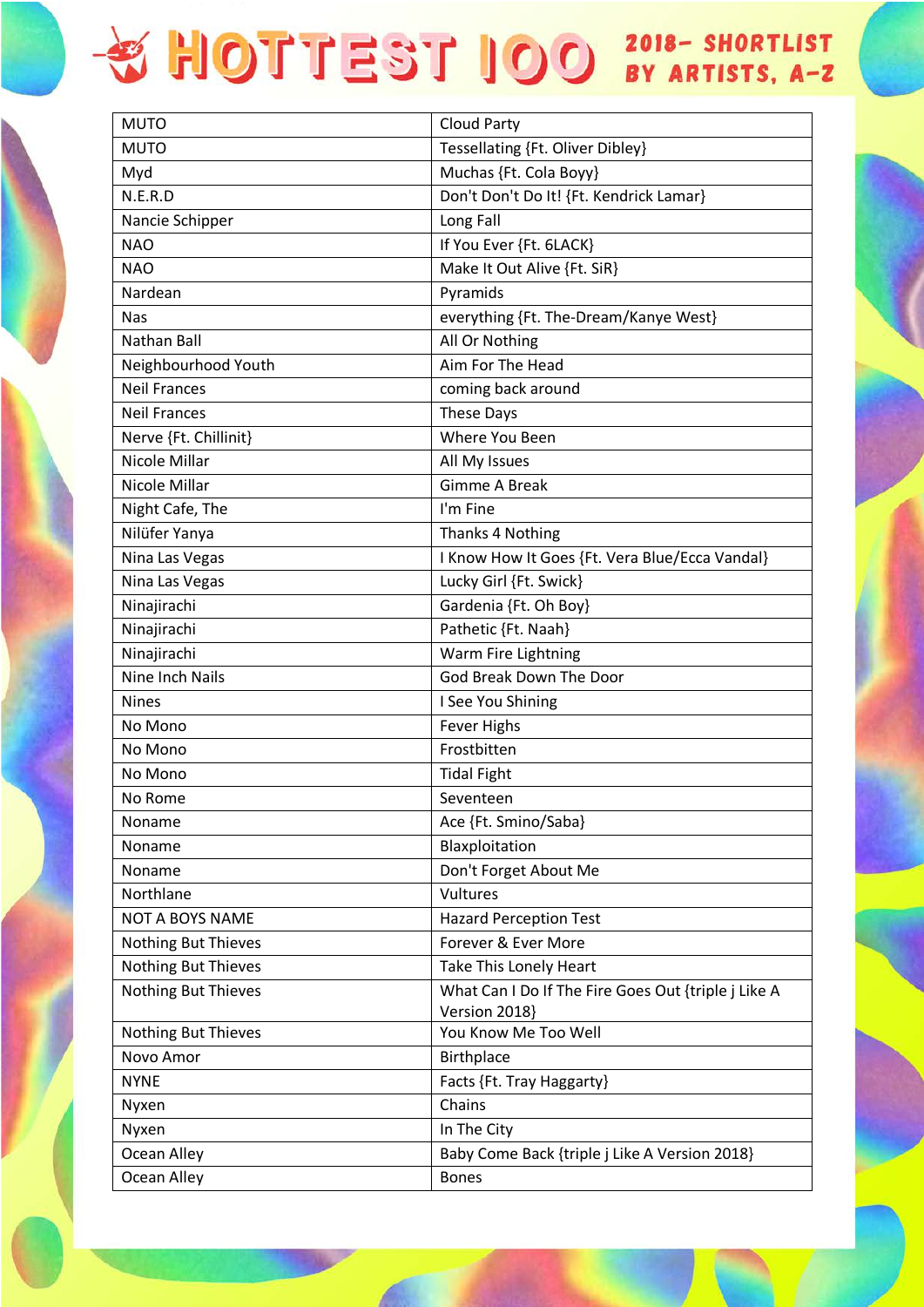| <b>MUTO</b>                | <b>Cloud Party</b>                                  |
|----------------------------|-----------------------------------------------------|
| <b>MUTO</b>                | Tessellating {Ft. Oliver Dibley}                    |
| Myd                        | Muchas {Ft. Cola Boyy}                              |
| N.E.R.D                    | Don't Don't Do It! {Ft. Kendrick Lamar}             |
| Nancie Schipper            | Long Fall                                           |
| <b>NAO</b>                 | If You Ever {Ft. 6LACK}                             |
| <b>NAO</b>                 | Make It Out Alive {Ft. SiR}                         |
| Nardean                    | Pyramids                                            |
| <b>Nas</b>                 | everything {Ft. The-Dream/Kanye West}               |
| Nathan Ball                | All Or Nothing                                      |
| Neighbourhood Youth        | Aim For The Head                                    |
| <b>Neil Frances</b>        | coming back around                                  |
| <b>Neil Frances</b>        | These Days                                          |
| Nerve {Ft. Chillinit}      | Where You Been                                      |
| Nicole Millar              | All My Issues                                       |
| Nicole Millar              | <b>Gimme A Break</b>                                |
| Night Cafe, The            | I'm Fine                                            |
| Nilüfer Yanya              | Thanks 4 Nothing                                    |
| Nina Las Vegas             | I Know How It Goes {Ft. Vera Blue/Ecca Vandal}      |
| Nina Las Vegas             | Lucky Girl {Ft. Swick}                              |
| Ninajirachi                | Gardenia {Ft. Oh Boy}                               |
| Ninajirachi                | Pathetic {Ft. Naah}                                 |
| Ninajirachi                | Warm Fire Lightning                                 |
| Nine Inch Nails            | God Break Down The Door                             |
| <b>Nines</b>               | I See You Shining                                   |
| No Mono                    | <b>Fever Highs</b>                                  |
| No Mono                    | Frostbitten                                         |
| No Mono                    | <b>Tidal Fight</b>                                  |
| No Rome                    | Seventeen                                           |
| Noname                     | Ace {Ft. Smino/Saba}                                |
| Noname                     | Blaxploitation                                      |
| Noname                     | Don't Forget About Me                               |
| Northlane                  | Vultures                                            |
| <b>NOT A BOYS NAME</b>     | <b>Hazard Perception Test</b>                       |
| <b>Nothing But Thieves</b> | Forever & Ever More                                 |
| Nothing But Thieves        | Take This Lonely Heart                              |
| <b>Nothing But Thieves</b> | What Can I Do If The Fire Goes Out {triple j Like A |
|                            | Version 2018}                                       |
| Nothing But Thieves        | You Know Me Too Well                                |
| Novo Amor                  | Birthplace                                          |
| <b>NYNE</b>                | Facts {Ft. Tray Haggarty}                           |
| Nyxen                      | Chains                                              |
| Nyxen                      | In The City                                         |
| Ocean Alley                | Baby Come Back {triple j Like A Version 2018}       |
| Ocean Alley                | <b>Bones</b>                                        |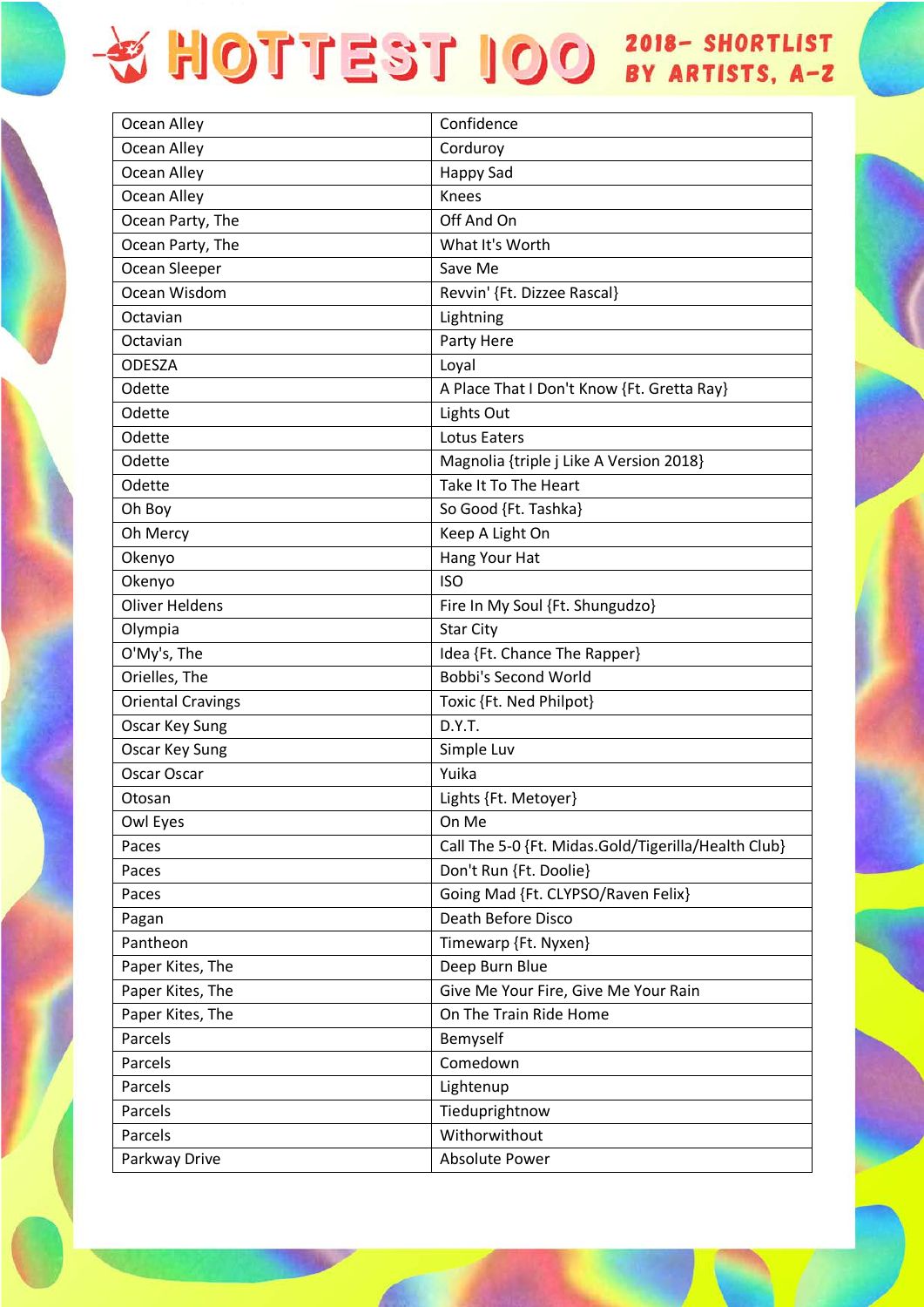| Ocean Alley              | Confidence                                          |
|--------------------------|-----------------------------------------------------|
| Ocean Alley              | Corduroy                                            |
| Ocean Alley              | <b>Happy Sad</b>                                    |
| Ocean Alley              | Knees                                               |
| Ocean Party, The         | Off And On                                          |
| Ocean Party, The         | What It's Worth                                     |
| Ocean Sleeper            | Save Me                                             |
| Ocean Wisdom             | Revvin' {Ft. Dizzee Rascal}                         |
| Octavian                 | Lightning                                           |
| Octavian                 | Party Here                                          |
| <b>ODESZA</b>            | Loyal                                               |
| Odette                   | A Place That I Don't Know {Ft. Gretta Ray}          |
| Odette                   | Lights Out                                          |
| Odette                   | <b>Lotus Eaters</b>                                 |
| Odette                   | Magnolia {triple j Like A Version 2018}             |
| Odette                   | Take It To The Heart                                |
| Oh Boy                   | So Good {Ft. Tashka}                                |
| Oh Mercy                 | Keep A Light On                                     |
| Okenyo                   | Hang Your Hat                                       |
| Okenyo                   | <b>ISO</b>                                          |
| <b>Oliver Heldens</b>    | Fire In My Soul {Ft. Shungudzo}                     |
| Olympia                  | <b>Star City</b>                                    |
| O'My's, The              | Idea {Ft. Chance The Rapper}                        |
| Orielles, The            | Bobbi's Second World                                |
| <b>Oriental Cravings</b> | Toxic {Ft. Ned Philpot}                             |
| Oscar Key Sung           | D.Y.T.                                              |
| Oscar Key Sung           | Simple Luv                                          |
| Oscar Oscar              | Yuika                                               |
| Otosan                   | Lights {Ft. Metoyer}                                |
| Owl Eyes                 | On Me                                               |
| Paces                    | Call The 5-0 {Ft. Midas.Gold/Tigerilla/Health Club} |
| Paces                    | Don't Run {Ft. Doolie}                              |
| Paces                    | Going Mad {Ft. CLYPSO/Raven Felix}                  |
| Pagan                    | Death Before Disco                                  |
| Pantheon                 | Timewarp {Ft. Nyxen}                                |
| Paper Kites, The         | Deep Burn Blue                                      |
| Paper Kites, The         | Give Me Your Fire, Give Me Your Rain                |
| Paper Kites, The         | On The Train Ride Home                              |
| Parcels                  | Bemyself                                            |
| Parcels                  | Comedown                                            |
| Parcels                  | Lightenup                                           |
| Parcels                  | Tieduprightnow                                      |
| Parcels                  | Withorwithout                                       |
| Parkway Drive            | <b>Absolute Power</b>                               |
|                          |                                                     |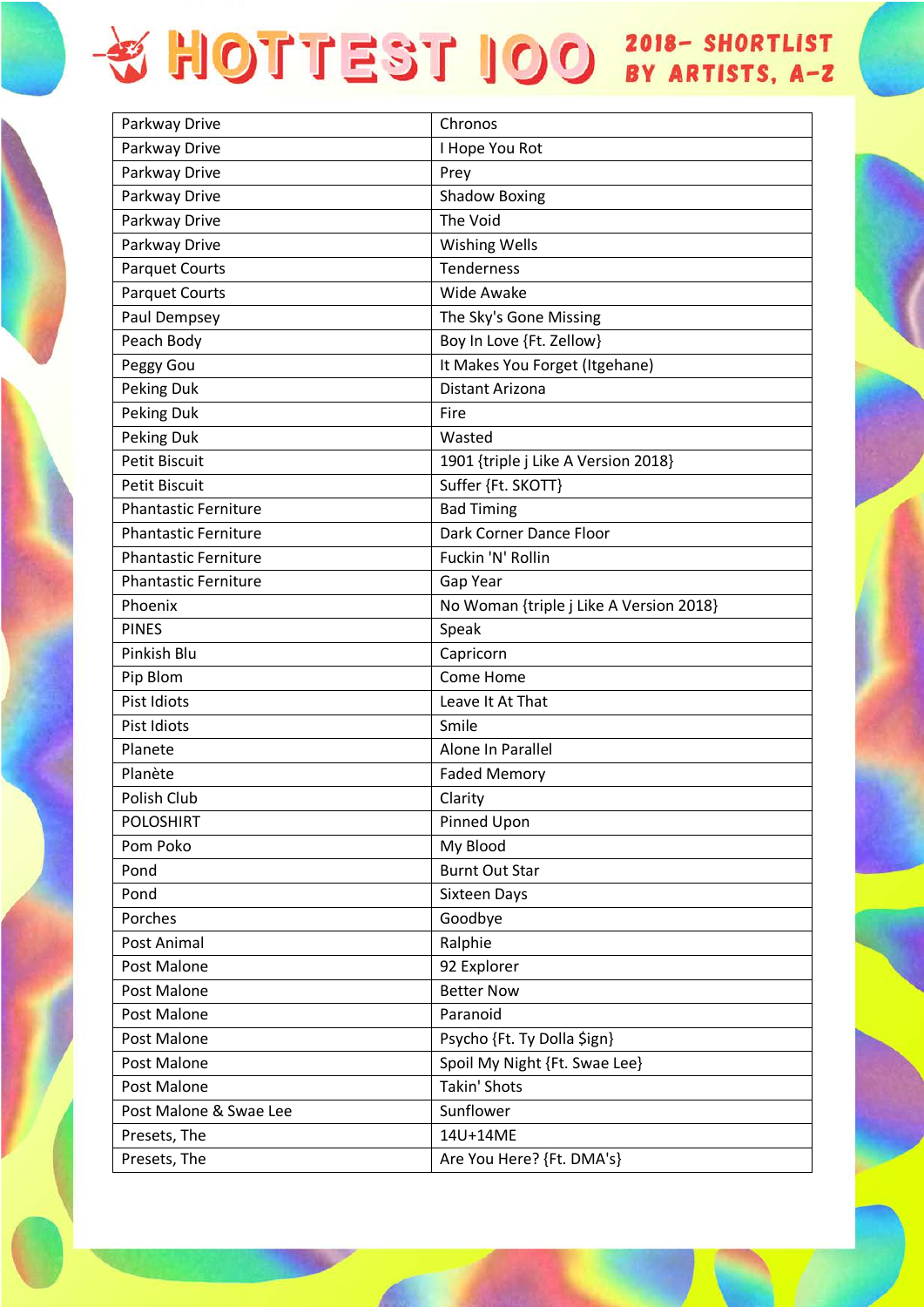| Parkway Drive               | Chronos                                 |
|-----------------------------|-----------------------------------------|
| Parkway Drive               | I Hope You Rot                          |
| Parkway Drive               | Prey                                    |
| Parkway Drive               | <b>Shadow Boxing</b>                    |
| Parkway Drive               | The Void                                |
| Parkway Drive               | <b>Wishing Wells</b>                    |
| <b>Parquet Courts</b>       | Tenderness                              |
| <b>Parquet Courts</b>       | Wide Awake                              |
| Paul Dempsey                | The Sky's Gone Missing                  |
| Peach Body                  | Boy In Love {Ft. Zellow}                |
| Peggy Gou                   | It Makes You Forget (Itgehane)          |
| Peking Duk                  | Distant Arizona                         |
| Peking Duk                  | Fire                                    |
| Peking Duk                  | Wasted                                  |
| <b>Petit Biscuit</b>        | 1901 {triple j Like A Version 2018}     |
| <b>Petit Biscuit</b>        | Suffer {Ft. SKOTT}                      |
| <b>Phantastic Ferniture</b> | <b>Bad Timing</b>                       |
| <b>Phantastic Ferniture</b> | Dark Corner Dance Floor                 |
| <b>Phantastic Ferniture</b> | Fuckin 'N' Rollin                       |
| <b>Phantastic Ferniture</b> | Gap Year                                |
| Phoenix                     | No Woman {triple j Like A Version 2018} |
| <b>PINES</b>                | Speak                                   |
| Pinkish Blu                 | Capricorn                               |
| Pip Blom                    | Come Home                               |
| Pist Idiots                 | Leave It At That                        |
| Pist Idiots                 | Smile                                   |
| Planete                     | Alone In Parallel                       |
| Planète                     | <b>Faded Memory</b>                     |
| Polish Club                 | Clarity                                 |
| <b>POLOSHIRT</b>            | Pinned Upon                             |
| Pom Poko                    | My Blood                                |
| Pond                        | <b>Burnt Out Star</b>                   |
| Pond                        | Sixteen Days                            |
| Porches                     | Goodbye                                 |
| Post Animal                 | Ralphie                                 |
| Post Malone                 | 92 Explorer                             |
| Post Malone                 | <b>Better Now</b>                       |
| Post Malone                 | Paranoid                                |
| Post Malone                 | Psycho {Ft. Ty Dolla \$ign}             |
| Post Malone                 | Spoil My Night {Ft. Swae Lee}           |
| Post Malone                 | <b>Takin' Shots</b>                     |
| Post Malone & Swae Lee      | Sunflower                               |
| Presets, The                | 14U+14ME                                |
| Presets, The                | Are You Here? {Ft. DMA's}               |
|                             |                                         |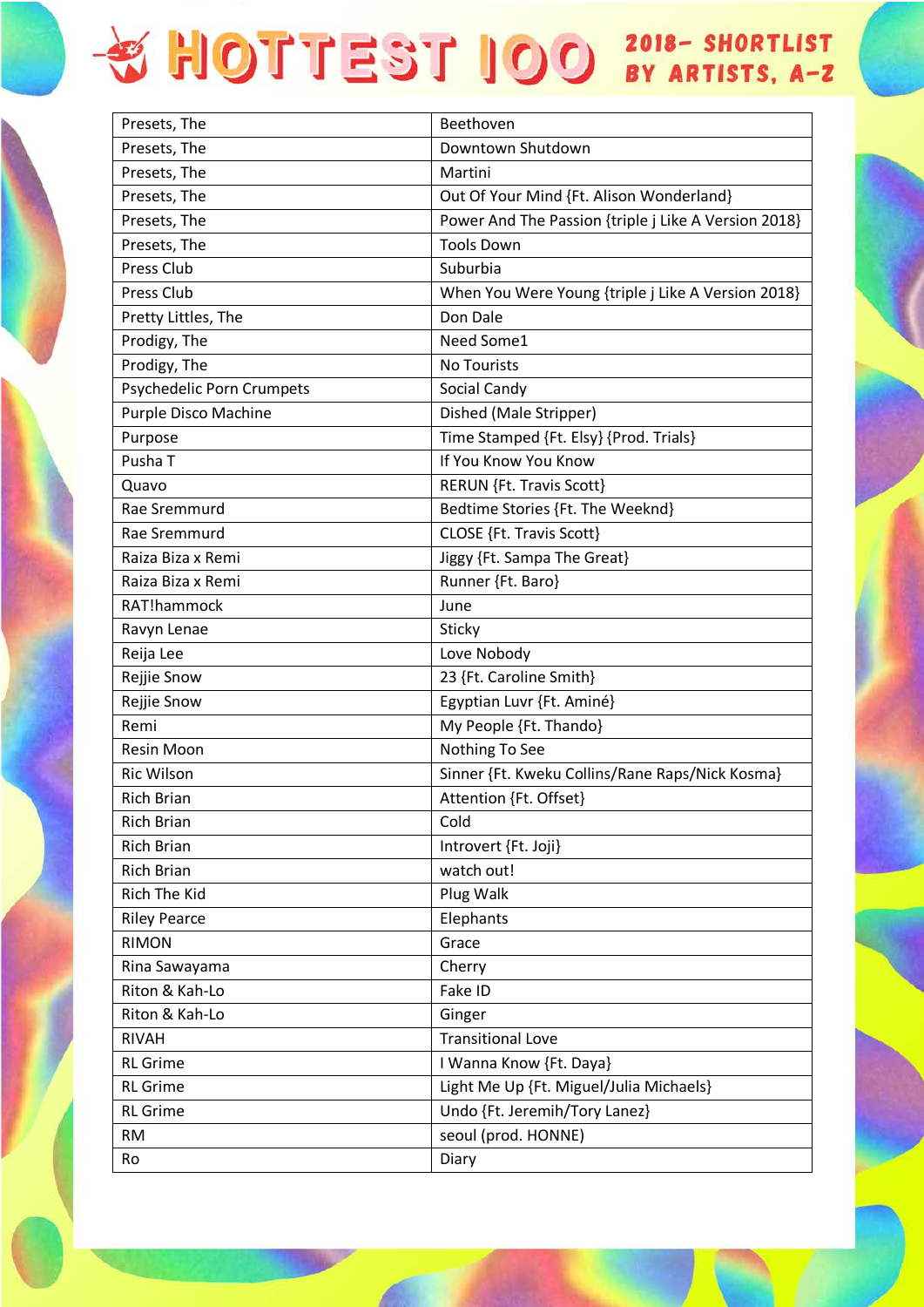| Presets, The              | Beethoven                                            |
|---------------------------|------------------------------------------------------|
| Presets, The              | Downtown Shutdown                                    |
| Presets, The              | Martini                                              |
| Presets, The              | Out Of Your Mind {Ft. Alison Wonderland}             |
| Presets, The              | Power And The Passion {triple j Like A Version 2018} |
| Presets, The              | <b>Tools Down</b>                                    |
| Press Club                | Suburbia                                             |
| Press Club                | When You Were Young {triple j Like A Version 2018}   |
| Pretty Littles, The       | Don Dale                                             |
| Prodigy, The              | Need Some1                                           |
| Prodigy, The              | <b>No Tourists</b>                                   |
| Psychedelic Porn Crumpets | Social Candy                                         |
| Purple Disco Machine      | Dished (Male Stripper)                               |
| Purpose                   | Time Stamped {Ft. Elsy} {Prod. Trials}               |
| Pusha T                   | If You Know You Know                                 |
| Quavo                     | RERUN {Ft. Travis Scott}                             |
| Rae Sremmurd              | Bedtime Stories {Ft. The Weeknd}                     |
| Rae Sremmurd              | CLOSE {Ft. Travis Scott}                             |
| Raiza Biza x Remi         | Jiggy {Ft. Sampa The Great}                          |
| Raiza Biza x Remi         | Runner {Ft. Baro}                                    |
| RAT!hammock               | June                                                 |
| Ravyn Lenae               | Sticky                                               |
| Reija Lee                 | Love Nobody                                          |
| Rejjie Snow               | 23 {Ft. Caroline Smith}                              |
| Rejjie Snow               | Egyptian Luvr {Ft. Aminé}                            |
| Remi                      | My People {Ft. Thando}                               |
| Resin Moon                | Nothing To See                                       |
| <b>Ric Wilson</b>         | Sinner {Ft. Kweku Collins/Rane Raps/Nick Kosma}      |
| <b>Rich Brian</b>         | Attention {Ft. Offset}                               |
| <b>Rich Brian</b>         | Cold                                                 |
| <b>Rich Brian</b>         | Introvert {Ft. Joji}                                 |
| <b>Rich Brian</b>         | watch out!                                           |
| Rich The Kid              | Plug Walk                                            |
| <b>Riley Pearce</b>       | Elephants                                            |
| <b>RIMON</b>              | Grace                                                |
| Rina Sawayama             | Cherry                                               |
| Riton & Kah-Lo            | Fake ID                                              |
| Riton & Kah-Lo            | Ginger                                               |
| <b>RIVAH</b>              | <b>Transitional Love</b>                             |
| <b>RL</b> Grime           | I Wanna Know {Ft. Daya}                              |
| <b>RL</b> Grime           | Light Me Up {Ft. Miguel/Julia Michaels}              |
| <b>RL</b> Grime           | Undo {Ft. Jeremih/Tory Lanez}                        |
| <b>RM</b>                 | seoul (prod. HONNE)                                  |
| Ro                        | Diary                                                |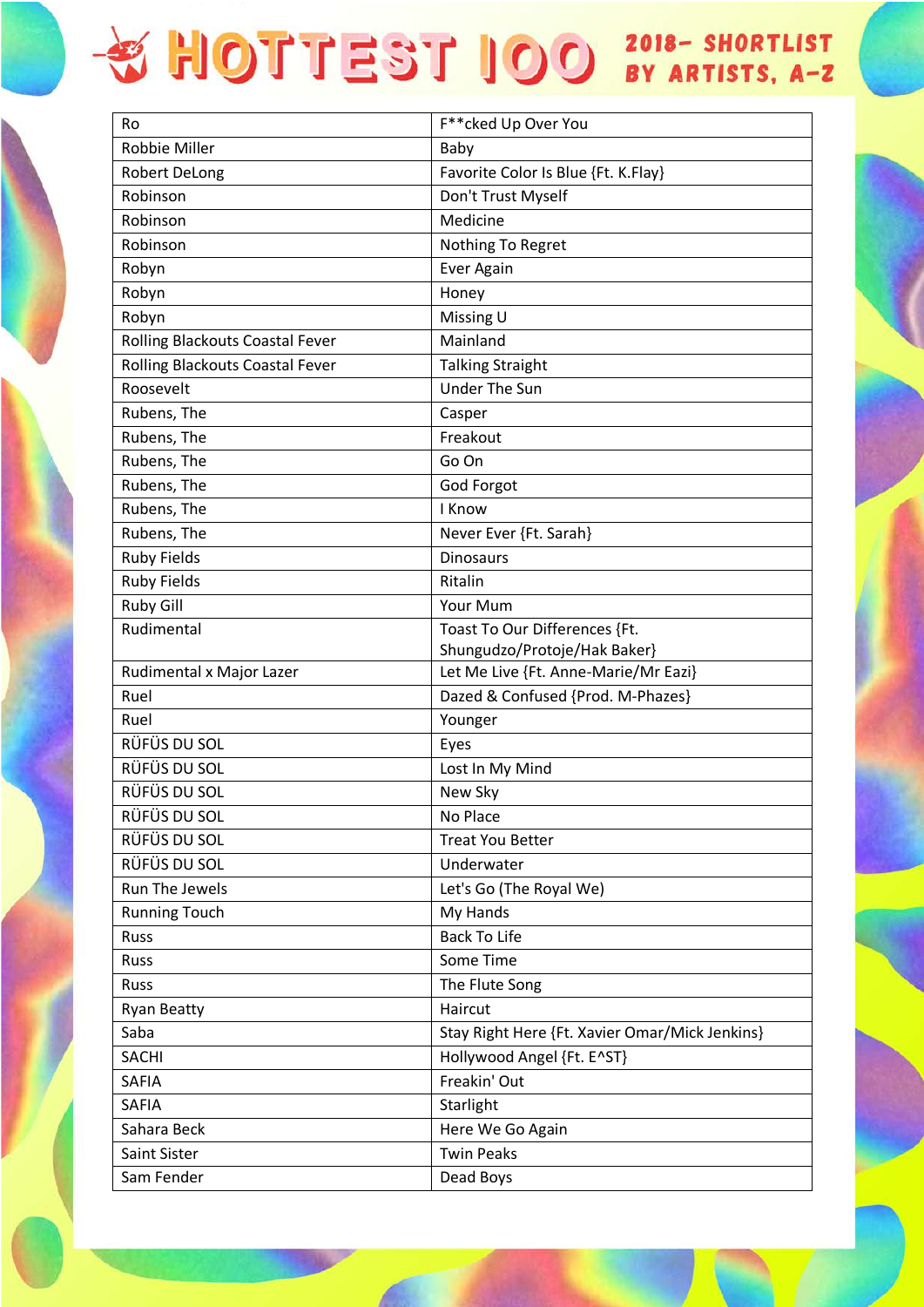| Ro                              | F**cked Up Over You                            |
|---------------------------------|------------------------------------------------|
| <b>Robbie Miller</b>            | Baby                                           |
| <b>Robert DeLong</b>            | Favorite Color Is Blue {Ft. K.Flay}            |
| Robinson                        | Don't Trust Myself                             |
| Robinson                        | Medicine                                       |
| Robinson                        | Nothing To Regret                              |
| Robyn                           | Ever Again                                     |
| Robyn                           | Honey                                          |
| Robyn                           | Missing U                                      |
| Rolling Blackouts Coastal Fever | Mainland                                       |
| Rolling Blackouts Coastal Fever | <b>Talking Straight</b>                        |
| Roosevelt                       | <b>Under The Sun</b>                           |
| Rubens, The                     | Casper                                         |
| Rubens, The                     | Freakout                                       |
| Rubens, The                     | Go On                                          |
| Rubens, The                     | God Forgot                                     |
| Rubens, The                     | I Know                                         |
| Rubens, The                     | Never Ever {Ft. Sarah}                         |
| <b>Ruby Fields</b>              | <b>Dinosaurs</b>                               |
| <b>Ruby Fields</b>              | Ritalin                                        |
| <b>Ruby Gill</b>                | Your Mum                                       |
| Rudimental                      | Toast To Our Differences {Ft.                  |
|                                 | Shungudzo/Protoje/Hak Baker}                   |
| Rudimental x Major Lazer        | Let Me Live {Ft. Anne-Marie/Mr Eazi}           |
| Ruel                            | Dazed & Confused {Prod. M-Phazes}              |
| Ruel                            | Younger                                        |
| RÜFÜS DU SOL                    | Eyes                                           |
| RÜFÜS DU SOL                    | Lost In My Mind                                |
| RÜFÜS DU SOL                    | New Sky                                        |
| RÜFÜS DU SOL                    | No Place                                       |
| RÜFÜS DU SOL                    | <b>Treat You Better</b>                        |
| RÜFÜS DU SOL                    | Underwater                                     |
| Run The Jewels                  | Let's Go (The Royal We)                        |
| <b>Running Touch</b>            | My Hands                                       |
| Russ                            | <b>Back To Life</b>                            |
| Russ                            | Some Time                                      |
| Russ                            | The Flute Song                                 |
| <b>Ryan Beatty</b>              | Haircut                                        |
| Saba                            | Stay Right Here {Ft. Xavier Omar/Mick Jenkins} |
| <b>SACHI</b>                    | Hollywood Angel {Ft. E^ST}                     |
| SAFIA                           | Freakin' Out                                   |
| SAFIA                           | Starlight                                      |
| Sahara Beck                     | Here We Go Again                               |
| Saint Sister                    | <b>Twin Peaks</b>                              |
| Sam Fender                      | Dead Boys                                      |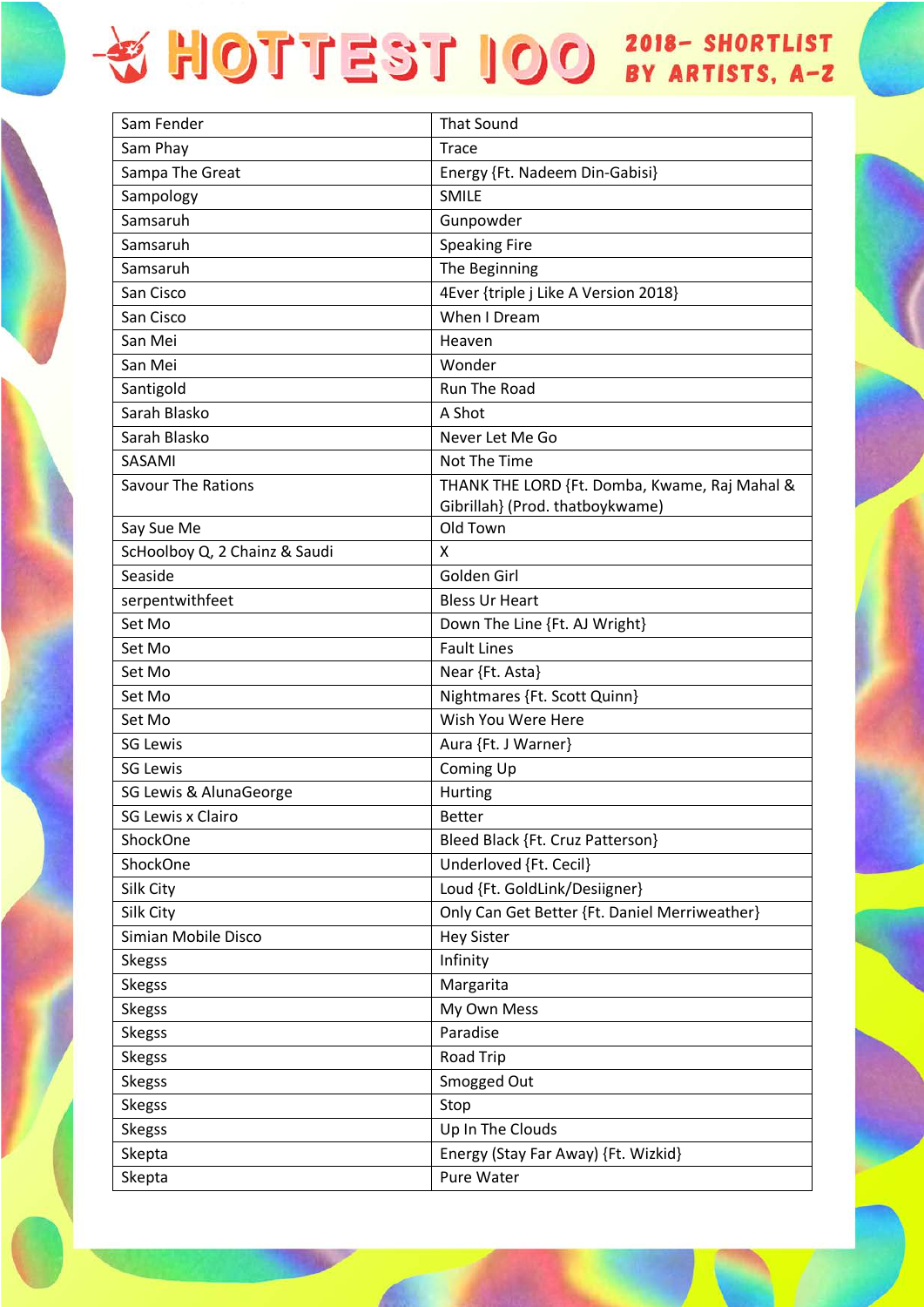| Sam Fender                    | <b>That Sound</b>                                                                |
|-------------------------------|----------------------------------------------------------------------------------|
| Sam Phay                      | <b>Trace</b>                                                                     |
| Sampa The Great               | Energy {Ft. Nadeem Din-Gabisi}                                                   |
| Sampology                     | <b>SMILE</b>                                                                     |
| Samsaruh                      | Gunpowder                                                                        |
| Samsaruh                      | <b>Speaking Fire</b>                                                             |
| Samsaruh                      | The Beginning                                                                    |
| San Cisco                     | 4Ever {triple j Like A Version 2018}                                             |
| San Cisco                     | When I Dream                                                                     |
| San Mei                       | Heaven                                                                           |
| San Mei                       | Wonder                                                                           |
| Santigold                     | Run The Road                                                                     |
| Sarah Blasko                  | A Shot                                                                           |
| Sarah Blasko                  | Never Let Me Go                                                                  |
| SASAMI                        | Not The Time                                                                     |
| <b>Savour The Rations</b>     | THANK THE LORD {Ft. Domba, Kwame, Raj Mahal &<br>Gibrillah} (Prod. thatboykwame) |
| Say Sue Me                    | Old Town                                                                         |
| ScHoolboy Q, 2 Chainz & Saudi | x                                                                                |
| Seaside                       | Golden Girl                                                                      |
| serpentwithfeet               | <b>Bless Ur Heart</b>                                                            |
| Set Mo                        | Down The Line {Ft. AJ Wright}                                                    |
| Set Mo                        | <b>Fault Lines</b>                                                               |
| Set Mo                        | Near {Ft. Asta}                                                                  |
| Set Mo                        | Nightmares {Ft. Scott Quinn}                                                     |
| Set Mo                        | Wish You Were Here                                                               |
| <b>SG Lewis</b>               | Aura {Ft. J Warner}                                                              |
| <b>SG Lewis</b>               | Coming Up                                                                        |
| SG Lewis & AlunaGeorge        | Hurting                                                                          |
| <b>SG Lewis x Clairo</b>      | <b>Better</b>                                                                    |
| ShockOne                      | Bleed Black {Ft. Cruz Patterson}                                                 |
| ShockOne                      | Underloved {Ft. Cecil}                                                           |
| Silk City                     | Loud {Ft. GoldLink/Desiigner}                                                    |
| Silk City                     | Only Can Get Better {Ft. Daniel Merriweather}                                    |
| Simian Mobile Disco           | <b>Hey Sister</b>                                                                |
| <b>Skegss</b>                 | Infinity                                                                         |
| <b>Skegss</b>                 | Margarita                                                                        |
| <b>Skegss</b>                 | My Own Mess                                                                      |
| <b>Skegss</b>                 | Paradise                                                                         |
| <b>Skegss</b>                 | Road Trip                                                                        |
| <b>Skegss</b>                 | Smogged Out                                                                      |
| <b>Skegss</b>                 | Stop                                                                             |
| <b>Skegss</b>                 | Up In The Clouds                                                                 |
| Skepta                        | Energy (Stay Far Away) {Ft. Wizkid}                                              |
| Skepta                        | Pure Water                                                                       |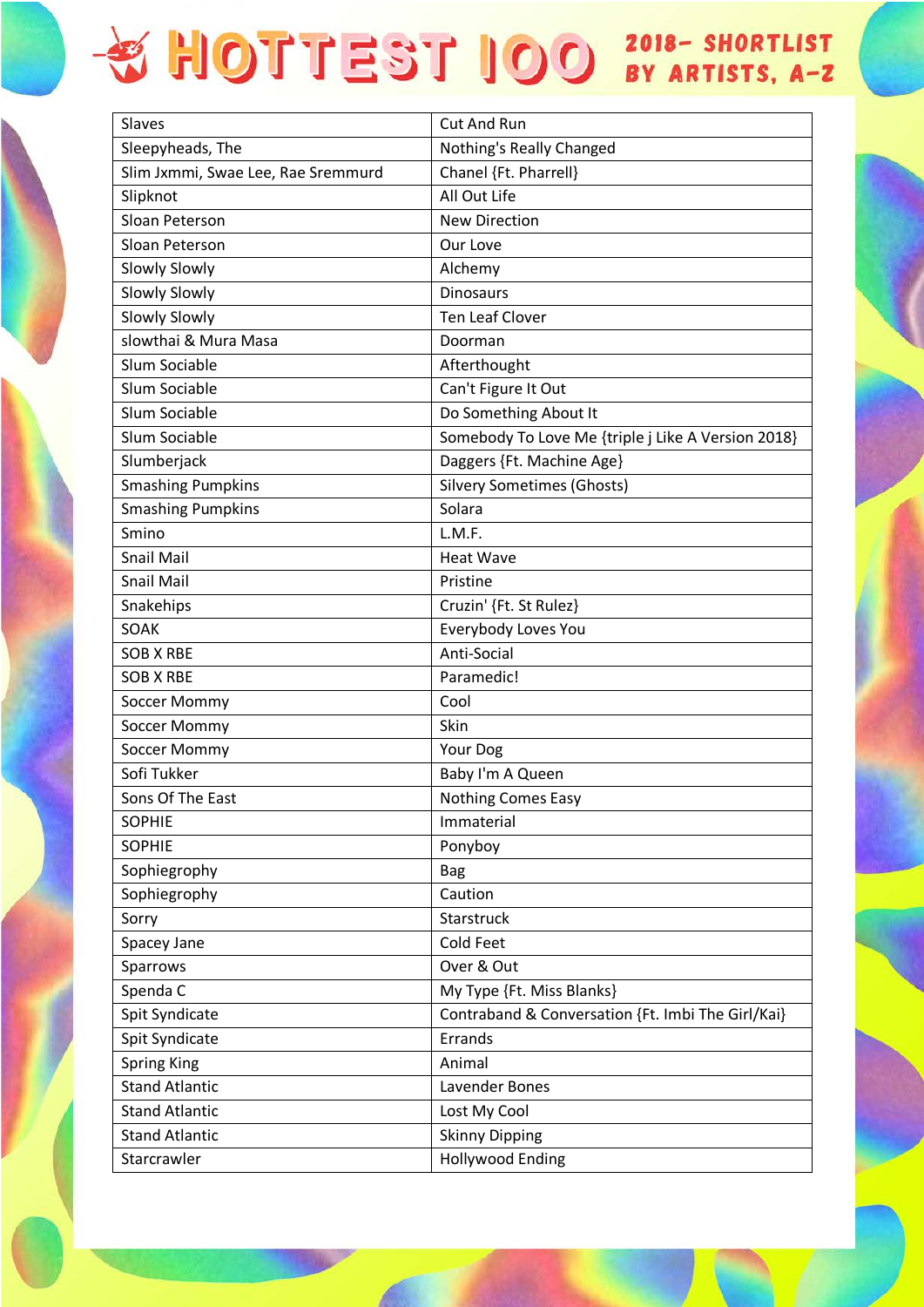| <b>Slaves</b>                      | <b>Cut And Run</b>                                 |
|------------------------------------|----------------------------------------------------|
| Sleepyheads, The                   | Nothing's Really Changed                           |
| Slim Jxmmi, Swae Lee, Rae Sremmurd | Chanel {Ft. Pharrell}                              |
| Slipknot                           | All Out Life                                       |
| Sloan Peterson                     | <b>New Direction</b>                               |
| Sloan Peterson                     | Our Love                                           |
| Slowly Slowly                      | Alchemy                                            |
| <b>Slowly Slowly</b>               | <b>Dinosaurs</b>                                   |
| <b>Slowly Slowly</b>               | <b>Ten Leaf Clover</b>                             |
| slowthai & Mura Masa               | Doorman                                            |
| Slum Sociable                      | Afterthought                                       |
| Slum Sociable                      | Can't Figure It Out                                |
| Slum Sociable                      | Do Something About It                              |
| Slum Sociable                      | Somebody To Love Me {triple j Like A Version 2018} |
| Slumberjack                        | Daggers {Ft. Machine Age}                          |
| <b>Smashing Pumpkins</b>           | <b>Silvery Sometimes (Ghosts)</b>                  |
| <b>Smashing Pumpkins</b>           | Solara                                             |
| Smino                              | L.M.F.                                             |
| <b>Snail Mail</b>                  | <b>Heat Wave</b>                                   |
| <b>Snail Mail</b>                  | Pristine                                           |
| Snakehips                          | Cruzin' {Ft. St Rulez}                             |
| SOAK                               | Everybody Loves You                                |
| SOB X RBE                          | Anti-Social                                        |
| <b>SOB X RBE</b>                   | Paramedic!                                         |
| Soccer Mommy                       | Cool                                               |
| Soccer Mommy                       | Skin                                               |
| Soccer Mommy                       | Your Dog                                           |
| Sofi Tukker                        | Baby I'm A Queen                                   |
| Sons Of The East                   | <b>Nothing Comes Easy</b>                          |
| <b>SOPHIE</b>                      | Immaterial                                         |
| <b>SOPHIE</b>                      | Ponyboy                                            |
| Sophiegrophy                       | <b>Bag</b>                                         |
| Sophiegrophy                       | Caution                                            |
| Sorry                              | Starstruck                                         |
| Spacey Jane                        | Cold Feet                                          |
| Sparrows                           | Over & Out                                         |
| Spenda C                           | My Type {Ft. Miss Blanks}                          |
| Spit Syndicate                     | Contraband & Conversation {Ft. Imbi The Girl/Kai}  |
| Spit Syndicate                     | Errands                                            |
| <b>Spring King</b>                 | Animal                                             |
| <b>Stand Atlantic</b>              | Lavender Bones                                     |
| <b>Stand Atlantic</b>              | Lost My Cool                                       |
| <b>Stand Atlantic</b>              | <b>Skinny Dipping</b>                              |
| Starcrawler                        | <b>Hollywood Ending</b>                            |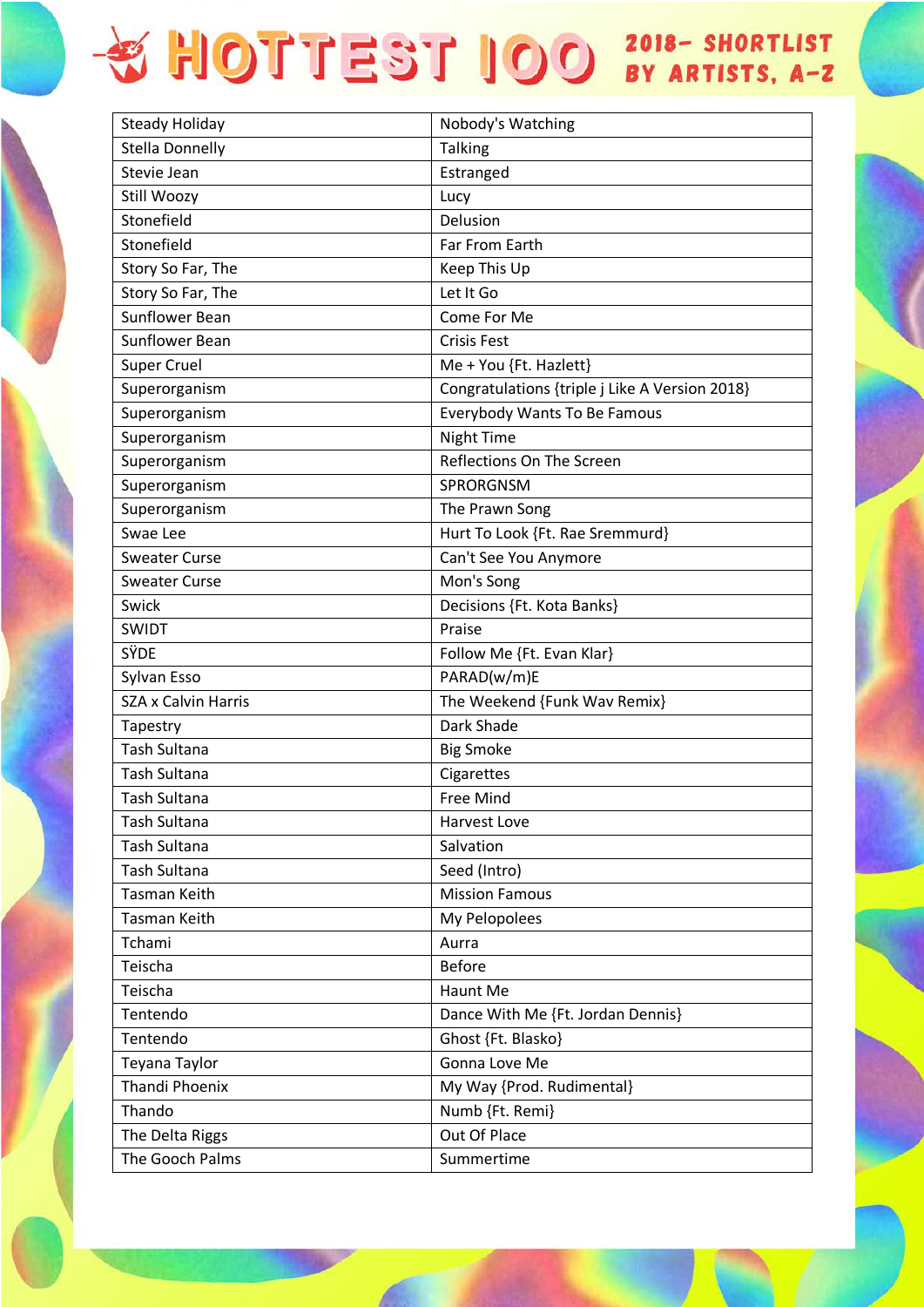| <b>Steady Holiday</b>      | Nobody's Watching                              |
|----------------------------|------------------------------------------------|
| <b>Stella Donnelly</b>     | <b>Talking</b>                                 |
| Stevie Jean                | Estranged                                      |
| Still Woozy                | Lucy                                           |
| Stonefield                 | Delusion                                       |
| Stonefield                 | Far From Earth                                 |
| Story So Far, The          | Keep This Up                                   |
| Story So Far, The          | Let It Go                                      |
| <b>Sunflower Bean</b>      | Come For Me                                    |
| <b>Sunflower Bean</b>      | <b>Crisis Fest</b>                             |
| <b>Super Cruel</b>         | Me + You {Ft. Hazlett}                         |
| Superorganism              | Congratulations {triple j Like A Version 2018} |
| Superorganism              | <b>Everybody Wants To Be Famous</b>            |
| Superorganism              | Night Time                                     |
| Superorganism              | Reflections On The Screen                      |
| Superorganism              | SPRORGNSM                                      |
| Superorganism              | The Prawn Song                                 |
| Swae Lee                   | Hurt To Look {Ft. Rae Sremmurd}                |
| <b>Sweater Curse</b>       | Can't See You Anymore                          |
| <b>Sweater Curse</b>       | Mon's Song                                     |
| Swick                      | Decisions {Ft. Kota Banks}                     |
| <b>SWIDT</b>               | Praise                                         |
| SŸDE                       | Follow Me {Ft. Evan Klar}                      |
| Sylvan Esso                | PARAD(w/m)E                                    |
| <b>SZA x Calvin Harris</b> | The Weekend {Funk Wav Remix}                   |
| Tapestry                   | Dark Shade                                     |
| <b>Tash Sultana</b>        | <b>Big Smoke</b>                               |
| <b>Tash Sultana</b>        | Cigarettes                                     |
| <b>Tash Sultana</b>        | <b>Free Mind</b>                               |
| <b>Tash Sultana</b>        | <b>Harvest Love</b>                            |
| <b>Tash Sultana</b>        | Salvation                                      |
| <b>Tash Sultana</b>        | Seed (Intro)                                   |
| <b>Tasman Keith</b>        | <b>Mission Famous</b>                          |
| Tasman Keith               | My Pelopolees                                  |
| Tchami                     | Aurra                                          |
| Teischa                    | <b>Before</b>                                  |
| Teischa                    | Haunt Me                                       |
| Tentendo                   | Dance With Me {Ft. Jordan Dennis}              |
| Tentendo                   | Ghost {Ft. Blasko}                             |
| Teyana Taylor              | Gonna Love Me                                  |
| Thandi Phoenix             | My Way {Prod. Rudimental}                      |
| Thando                     | Numb {Ft. Remi}                                |
| The Delta Riggs            | Out Of Place                                   |
| The Gooch Palms            | Summertime                                     |
|                            |                                                |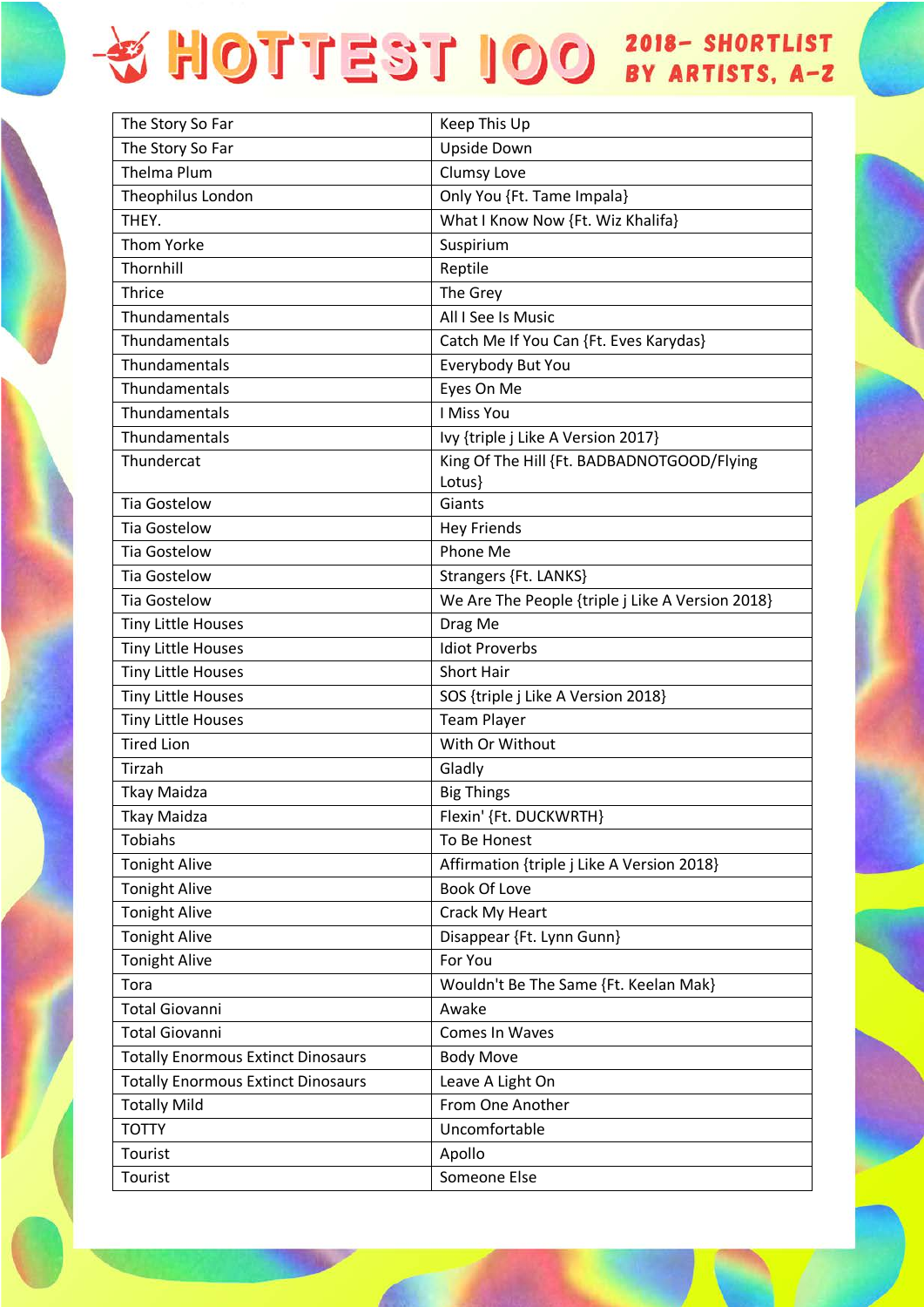| The Story So Far                          | Keep This Up                                     |
|-------------------------------------------|--------------------------------------------------|
| The Story So Far                          | Upside Down                                      |
| <b>Thelma Plum</b>                        | Clumsy Love                                      |
| Theophilus London                         | Only You {Ft. Tame Impala}                       |
| THEY.                                     | What I Know Now {Ft. Wiz Khalifa}                |
| <b>Thom Yorke</b>                         | Suspirium                                        |
| Thornhill                                 | Reptile                                          |
| <b>Thrice</b>                             | The Grey                                         |
| Thundamentals                             | All I See Is Music                               |
| Thundamentals                             | Catch Me If You Can {Ft. Eves Karydas}           |
| Thundamentals                             | Everybody But You                                |
| Thundamentals                             | Eyes On Me                                       |
| Thundamentals                             | I Miss You                                       |
| Thundamentals                             | Ivy {triple j Like A Version 2017}               |
| Thundercat                                | King Of The Hill {Ft. BADBADNOTGOOD/Flying       |
|                                           | Lotus}                                           |
| <b>Tia Gostelow</b>                       | Giants                                           |
| <b>Tia Gostelow</b>                       | <b>Hey Friends</b>                               |
| <b>Tia Gostelow</b>                       | Phone Me                                         |
| <b>Tia Gostelow</b>                       | Strangers {Ft. LANKS}                            |
| <b>Tia Gostelow</b>                       | We Are The People {triple j Like A Version 2018} |
| <b>Tiny Little Houses</b>                 | Drag Me                                          |
| <b>Tiny Little Houses</b>                 | <b>Idiot Proverbs</b>                            |
| <b>Tiny Little Houses</b>                 | <b>Short Hair</b>                                |
| Tiny Little Houses                        | SOS {triple j Like A Version 2018}               |
| <b>Tiny Little Houses</b>                 | <b>Team Player</b>                               |
| <b>Tired Lion</b>                         | With Or Without                                  |
| Tirzah                                    | Gladly                                           |
| <b>Tkay Maidza</b>                        | <b>Big Things</b>                                |
| <b>Tkay Maidza</b>                        | Flexin' {Ft. DUCKWRTH}                           |
| <b>Tobiahs</b>                            | To Be Honest                                     |
| <b>Tonight Alive</b>                      | Affirmation {triple j Like A Version 2018}       |
| <b>Tonight Alive</b>                      | <b>Book Of Love</b>                              |
| <b>Tonight Alive</b>                      | Crack My Heart                                   |
| <b>Tonight Alive</b>                      | Disappear {Ft. Lynn Gunn}                        |
| <b>Tonight Alive</b>                      | For You                                          |
| Tora                                      | Wouldn't Be The Same {Ft. Keelan Mak}            |
| <b>Total Giovanni</b>                     | Awake                                            |
| <b>Total Giovanni</b>                     | Comes In Waves                                   |
| <b>Totally Enormous Extinct Dinosaurs</b> | <b>Body Move</b>                                 |
| <b>Totally Enormous Extinct Dinosaurs</b> | Leave A Light On                                 |
| <b>Totally Mild</b>                       | From One Another                                 |
| <b>TOTTY</b>                              | Uncomfortable                                    |
| Tourist                                   | Apollo                                           |
| Tourist                                   | Someone Else                                     |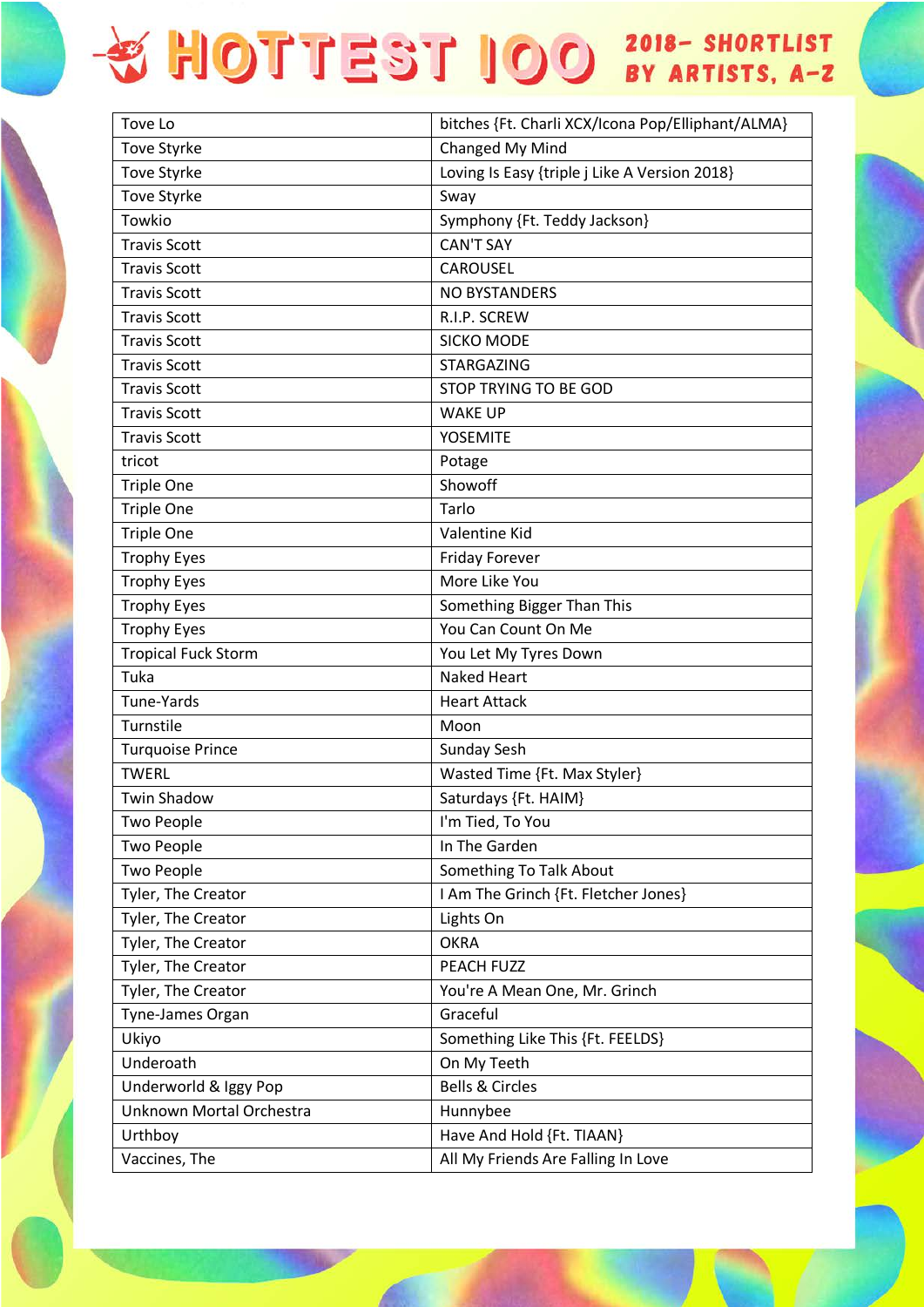| Tove Lo                    | bitches {Ft. Charli XCX/Icona Pop/Elliphant/ALMA} |
|----------------------------|---------------------------------------------------|
| <b>Tove Styrke</b>         | Changed My Mind                                   |
| <b>Tove Styrke</b>         | Loving Is Easy {triple j Like A Version 2018}     |
| <b>Tove Styrke</b>         | Sway                                              |
| Towkio                     | Symphony {Ft. Teddy Jackson}                      |
| <b>Travis Scott</b>        | <b>CAN'T SAY</b>                                  |
| <b>Travis Scott</b>        | <b>CAROUSEL</b>                                   |
| <b>Travis Scott</b>        | NO BYSTANDERS                                     |
| <b>Travis Scott</b>        | R.I.P. SCREW                                      |
| <b>Travis Scott</b>        | SICKO MODE                                        |
| <b>Travis Scott</b>        | <b>STARGAZING</b>                                 |
| <b>Travis Scott</b>        | STOP TRYING TO BE GOD                             |
| <b>Travis Scott</b>        | <b>WAKE UP</b>                                    |
| <b>Travis Scott</b>        | <b>YOSEMITE</b>                                   |
| tricot                     | Potage                                            |
| <b>Triple One</b>          | Showoff                                           |
| <b>Triple One</b>          | Tarlo                                             |
| <b>Triple One</b>          | Valentine Kid                                     |
| <b>Trophy Eyes</b>         | <b>Friday Forever</b>                             |
| <b>Trophy Eyes</b>         | More Like You                                     |
| <b>Trophy Eyes</b>         | Something Bigger Than This                        |
| <b>Trophy Eyes</b>         | You Can Count On Me                               |
| <b>Tropical Fuck Storm</b> | You Let My Tyres Down                             |
| Tuka                       | <b>Naked Heart</b>                                |
| Tune-Yards                 | <b>Heart Attack</b>                               |
| Turnstile                  | Moon                                              |
| <b>Turquoise Prince</b>    | Sunday Sesh                                       |
| <b>TWERL</b>               | Wasted Time {Ft. Max Styler}                      |
| <b>Twin Shadow</b>         | Saturdays {Ft. HAIM}                              |
| <b>Two People</b>          | I'm Tied, To You                                  |
| <b>Two People</b>          | In The Garden                                     |
| <b>Two People</b>          | <b>Something To Talk About</b>                    |
| Tyler, The Creator         | I Am The Grinch {Ft. Fletcher Jones}              |
| Tyler, The Creator         | Lights On                                         |
| Tyler, The Creator         | <b>OKRA</b>                                       |
| Tyler, The Creator         | PEACH FUZZ                                        |
| Tyler, The Creator         | You're A Mean One, Mr. Grinch                     |
| Tyne-James Organ           | Graceful                                          |
| Ukiyo                      | Something Like This {Ft. FEELDS}                  |
| Underoath                  | On My Teeth                                       |
| Underworld & Iggy Pop      | <b>Bells &amp; Circles</b>                        |
| Unknown Mortal Orchestra   | Hunnybee                                          |
| Urthboy                    | Have And Hold {Ft. TIAAN}                         |
| Vaccines, The              | All My Friends Are Falling In Love                |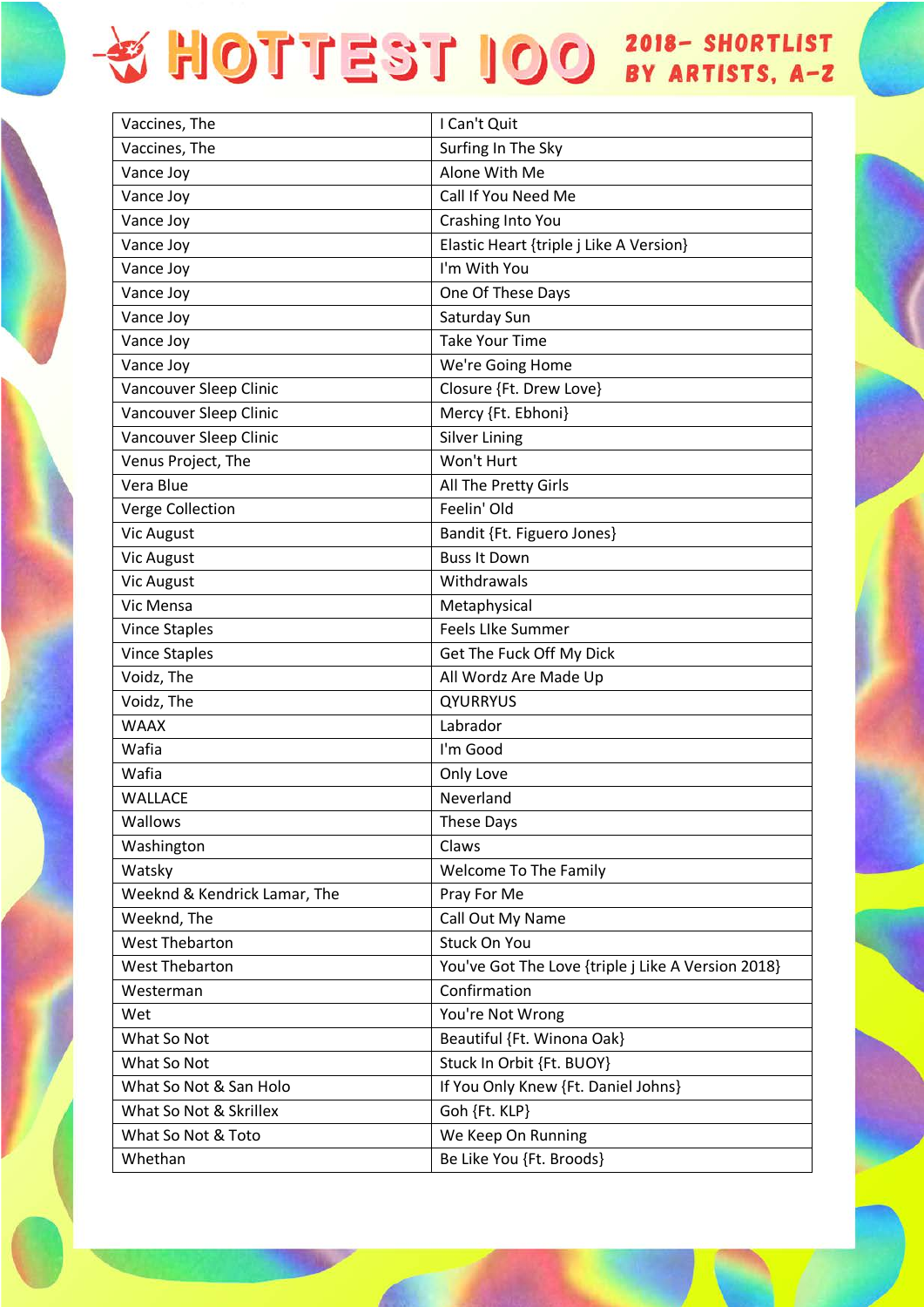| Vaccines, The<br>Surfing In The Sky<br>Alone With Me<br>Vance Joy<br>Call If You Need Me<br>Vance Joy<br>Vance Joy<br>Crashing Into You<br>Vance Joy<br>Elastic Heart {triple j Like A Version}<br>I'm With You<br>Vance Joy<br>Vance Joy<br>One Of These Days<br>Vance Joy<br>Saturday Sun<br><b>Take Your Time</b><br>Vance Joy<br>Vance Joy<br>We're Going Home<br>Closure {Ft. Drew Love}<br>Vancouver Sleep Clinic<br>Vancouver Sleep Clinic<br>Mercy {Ft. Ebhoni}<br>Vancouver Sleep Clinic<br><b>Silver Lining</b><br>Won't Hurt<br>Venus Project, The<br>Vera Blue<br>All The Pretty Girls<br>Feelin' Old<br>Verge Collection<br><b>Vic August</b><br>Bandit {Ft. Figuero Jones}<br><b>Buss It Down</b><br><b>Vic August</b><br><b>Vic August</b><br>Withdrawals<br>Vic Mensa<br>Metaphysical<br><b>Feels Like Summer</b><br><b>Vince Staples</b><br><b>Vince Staples</b><br>Get The Fuck Off My Dick<br>Voidz, The<br>All Wordz Are Made Up<br>Voidz, The<br><b>QYURRYUS</b><br><b>WAAX</b><br>Labrador<br>Wafia<br>I'm Good<br>Wafia<br>Only Love<br>Neverland<br><b>WALLACE</b><br>Wallows<br>These Days<br>Washington<br>Claws<br><b>Welcome To The Family</b><br>Watsky<br>Weeknd & Kendrick Lamar, The<br>Pray For Me<br>Call Out My Name<br>Weeknd, The |
|------------------------------------------------------------------------------------------------------------------------------------------------------------------------------------------------------------------------------------------------------------------------------------------------------------------------------------------------------------------------------------------------------------------------------------------------------------------------------------------------------------------------------------------------------------------------------------------------------------------------------------------------------------------------------------------------------------------------------------------------------------------------------------------------------------------------------------------------------------------------------------------------------------------------------------------------------------------------------------------------------------------------------------------------------------------------------------------------------------------------------------------------------------------------------------------------------------------------------------------------------------------------|
|                                                                                                                                                                                                                                                                                                                                                                                                                                                                                                                                                                                                                                                                                                                                                                                                                                                                                                                                                                                                                                                                                                                                                                                                                                                                        |
|                                                                                                                                                                                                                                                                                                                                                                                                                                                                                                                                                                                                                                                                                                                                                                                                                                                                                                                                                                                                                                                                                                                                                                                                                                                                        |
|                                                                                                                                                                                                                                                                                                                                                                                                                                                                                                                                                                                                                                                                                                                                                                                                                                                                                                                                                                                                                                                                                                                                                                                                                                                                        |
|                                                                                                                                                                                                                                                                                                                                                                                                                                                                                                                                                                                                                                                                                                                                                                                                                                                                                                                                                                                                                                                                                                                                                                                                                                                                        |
|                                                                                                                                                                                                                                                                                                                                                                                                                                                                                                                                                                                                                                                                                                                                                                                                                                                                                                                                                                                                                                                                                                                                                                                                                                                                        |
|                                                                                                                                                                                                                                                                                                                                                                                                                                                                                                                                                                                                                                                                                                                                                                                                                                                                                                                                                                                                                                                                                                                                                                                                                                                                        |
|                                                                                                                                                                                                                                                                                                                                                                                                                                                                                                                                                                                                                                                                                                                                                                                                                                                                                                                                                                                                                                                                                                                                                                                                                                                                        |
|                                                                                                                                                                                                                                                                                                                                                                                                                                                                                                                                                                                                                                                                                                                                                                                                                                                                                                                                                                                                                                                                                                                                                                                                                                                                        |
|                                                                                                                                                                                                                                                                                                                                                                                                                                                                                                                                                                                                                                                                                                                                                                                                                                                                                                                                                                                                                                                                                                                                                                                                                                                                        |
|                                                                                                                                                                                                                                                                                                                                                                                                                                                                                                                                                                                                                                                                                                                                                                                                                                                                                                                                                                                                                                                                                                                                                                                                                                                                        |
|                                                                                                                                                                                                                                                                                                                                                                                                                                                                                                                                                                                                                                                                                                                                                                                                                                                                                                                                                                                                                                                                                                                                                                                                                                                                        |
|                                                                                                                                                                                                                                                                                                                                                                                                                                                                                                                                                                                                                                                                                                                                                                                                                                                                                                                                                                                                                                                                                                                                                                                                                                                                        |
|                                                                                                                                                                                                                                                                                                                                                                                                                                                                                                                                                                                                                                                                                                                                                                                                                                                                                                                                                                                                                                                                                                                                                                                                                                                                        |
|                                                                                                                                                                                                                                                                                                                                                                                                                                                                                                                                                                                                                                                                                                                                                                                                                                                                                                                                                                                                                                                                                                                                                                                                                                                                        |
|                                                                                                                                                                                                                                                                                                                                                                                                                                                                                                                                                                                                                                                                                                                                                                                                                                                                                                                                                                                                                                                                                                                                                                                                                                                                        |
|                                                                                                                                                                                                                                                                                                                                                                                                                                                                                                                                                                                                                                                                                                                                                                                                                                                                                                                                                                                                                                                                                                                                                                                                                                                                        |
|                                                                                                                                                                                                                                                                                                                                                                                                                                                                                                                                                                                                                                                                                                                                                                                                                                                                                                                                                                                                                                                                                                                                                                                                                                                                        |
|                                                                                                                                                                                                                                                                                                                                                                                                                                                                                                                                                                                                                                                                                                                                                                                                                                                                                                                                                                                                                                                                                                                                                                                                                                                                        |
|                                                                                                                                                                                                                                                                                                                                                                                                                                                                                                                                                                                                                                                                                                                                                                                                                                                                                                                                                                                                                                                                                                                                                                                                                                                                        |
|                                                                                                                                                                                                                                                                                                                                                                                                                                                                                                                                                                                                                                                                                                                                                                                                                                                                                                                                                                                                                                                                                                                                                                                                                                                                        |
|                                                                                                                                                                                                                                                                                                                                                                                                                                                                                                                                                                                                                                                                                                                                                                                                                                                                                                                                                                                                                                                                                                                                                                                                                                                                        |
|                                                                                                                                                                                                                                                                                                                                                                                                                                                                                                                                                                                                                                                                                                                                                                                                                                                                                                                                                                                                                                                                                                                                                                                                                                                                        |
|                                                                                                                                                                                                                                                                                                                                                                                                                                                                                                                                                                                                                                                                                                                                                                                                                                                                                                                                                                                                                                                                                                                                                                                                                                                                        |
|                                                                                                                                                                                                                                                                                                                                                                                                                                                                                                                                                                                                                                                                                                                                                                                                                                                                                                                                                                                                                                                                                                                                                                                                                                                                        |
|                                                                                                                                                                                                                                                                                                                                                                                                                                                                                                                                                                                                                                                                                                                                                                                                                                                                                                                                                                                                                                                                                                                                                                                                                                                                        |
|                                                                                                                                                                                                                                                                                                                                                                                                                                                                                                                                                                                                                                                                                                                                                                                                                                                                                                                                                                                                                                                                                                                                                                                                                                                                        |
|                                                                                                                                                                                                                                                                                                                                                                                                                                                                                                                                                                                                                                                                                                                                                                                                                                                                                                                                                                                                                                                                                                                                                                                                                                                                        |
|                                                                                                                                                                                                                                                                                                                                                                                                                                                                                                                                                                                                                                                                                                                                                                                                                                                                                                                                                                                                                                                                                                                                                                                                                                                                        |
|                                                                                                                                                                                                                                                                                                                                                                                                                                                                                                                                                                                                                                                                                                                                                                                                                                                                                                                                                                                                                                                                                                                                                                                                                                                                        |
|                                                                                                                                                                                                                                                                                                                                                                                                                                                                                                                                                                                                                                                                                                                                                                                                                                                                                                                                                                                                                                                                                                                                                                                                                                                                        |
|                                                                                                                                                                                                                                                                                                                                                                                                                                                                                                                                                                                                                                                                                                                                                                                                                                                                                                                                                                                                                                                                                                                                                                                                                                                                        |
|                                                                                                                                                                                                                                                                                                                                                                                                                                                                                                                                                                                                                                                                                                                                                                                                                                                                                                                                                                                                                                                                                                                                                                                                                                                                        |
|                                                                                                                                                                                                                                                                                                                                                                                                                                                                                                                                                                                                                                                                                                                                                                                                                                                                                                                                                                                                                                                                                                                                                                                                                                                                        |
| <b>West Thebarton</b><br>Stuck On You                                                                                                                                                                                                                                                                                                                                                                                                                                                                                                                                                                                                                                                                                                                                                                                                                                                                                                                                                                                                                                                                                                                                                                                                                                  |
| <b>West Thebarton</b><br>You've Got The Love {triple j Like A Version 2018}                                                                                                                                                                                                                                                                                                                                                                                                                                                                                                                                                                                                                                                                                                                                                                                                                                                                                                                                                                                                                                                                                                                                                                                            |
| Confirmation<br>Westerman                                                                                                                                                                                                                                                                                                                                                                                                                                                                                                                                                                                                                                                                                                                                                                                                                                                                                                                                                                                                                                                                                                                                                                                                                                              |
| You're Not Wrong<br>Wet                                                                                                                                                                                                                                                                                                                                                                                                                                                                                                                                                                                                                                                                                                                                                                                                                                                                                                                                                                                                                                                                                                                                                                                                                                                |
| What So Not<br>Beautiful {Ft. Winona Oak}                                                                                                                                                                                                                                                                                                                                                                                                                                                                                                                                                                                                                                                                                                                                                                                                                                                                                                                                                                                                                                                                                                                                                                                                                              |
| Stuck In Orbit {Ft. BUOY}<br>What So Not                                                                                                                                                                                                                                                                                                                                                                                                                                                                                                                                                                                                                                                                                                                                                                                                                                                                                                                                                                                                                                                                                                                                                                                                                               |
| If You Only Knew {Ft. Daniel Johns}<br>What So Not & San Holo                                                                                                                                                                                                                                                                                                                                                                                                                                                                                                                                                                                                                                                                                                                                                                                                                                                                                                                                                                                                                                                                                                                                                                                                          |
| What So Not & Skrillex<br>Goh {Ft. KLP}                                                                                                                                                                                                                                                                                                                                                                                                                                                                                                                                                                                                                                                                                                                                                                                                                                                                                                                                                                                                                                                                                                                                                                                                                                |
| We Keep On Running<br>What So Not & Toto                                                                                                                                                                                                                                                                                                                                                                                                                                                                                                                                                                                                                                                                                                                                                                                                                                                                                                                                                                                                                                                                                                                                                                                                                               |
| Be Like You {Ft. Broods}<br>Whethan                                                                                                                                                                                                                                                                                                                                                                                                                                                                                                                                                                                                                                                                                                                                                                                                                                                                                                                                                                                                                                                                                                                                                                                                                                    |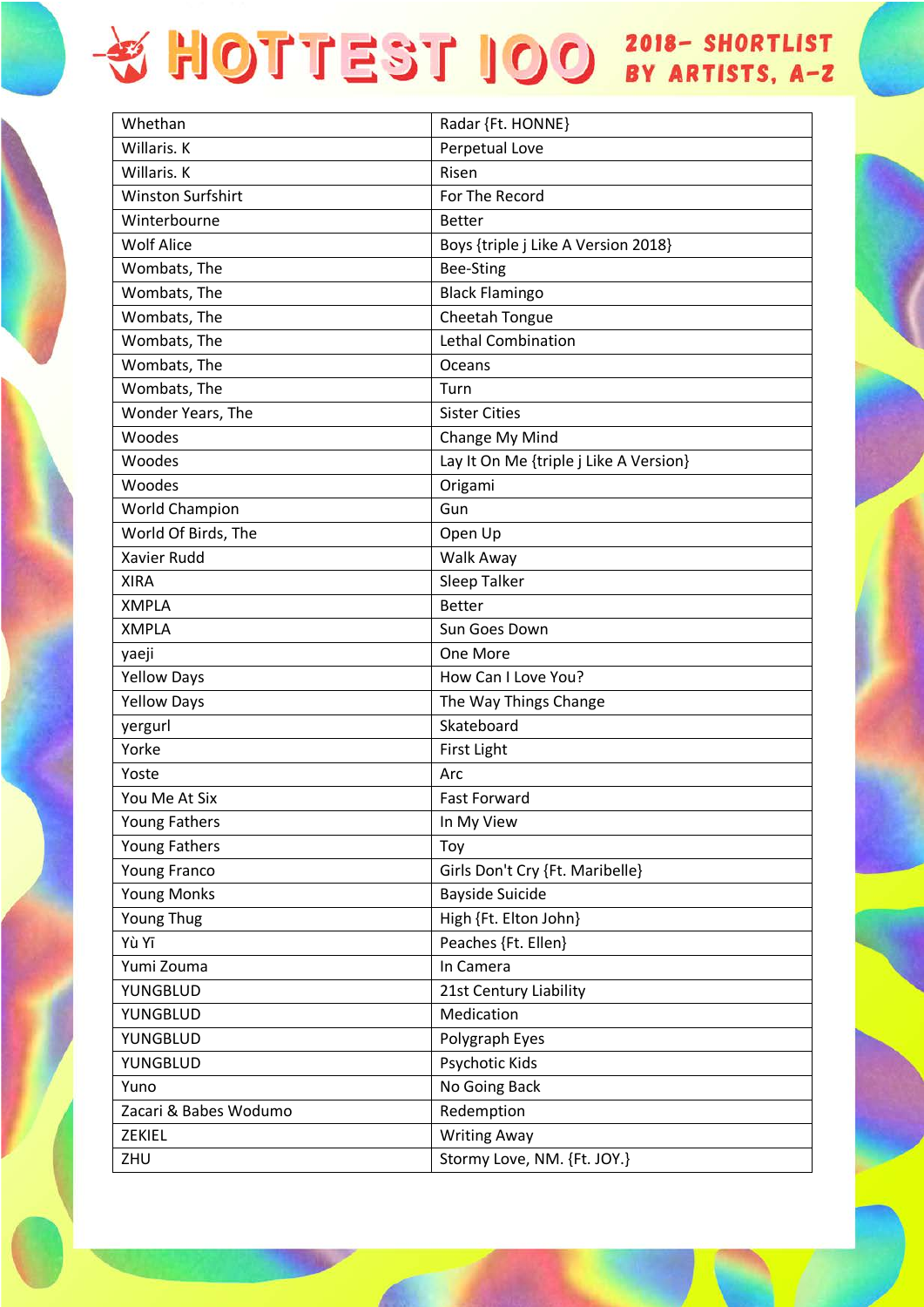## + HOTTEST IOO 2018- SHORTLIST

| Whethan                  | Radar {Ft. HONNE}                      |
|--------------------------|----------------------------------------|
| Willaris. K              | Perpetual Love                         |
| Willaris. K              | Risen                                  |
| <b>Winston Surfshirt</b> | For The Record                         |
| Winterbourne             | <b>Better</b>                          |
| <b>Wolf Alice</b>        | Boys {triple j Like A Version 2018}    |
| Wombats, The             | Bee-Sting                              |
| Wombats, The             | <b>Black Flamingo</b>                  |
| Wombats, The             | Cheetah Tongue                         |
| Wombats, The             | <b>Lethal Combination</b>              |
| Wombats, The             | Oceans                                 |
| Wombats, The             | Turn                                   |
| Wonder Years, The        | <b>Sister Cities</b>                   |
| Woodes                   | Change My Mind                         |
| Woodes                   | Lay It On Me {triple j Like A Version} |
| Woodes                   | Origami                                |
| World Champion           | Gun                                    |
| World Of Birds, The      | Open Up                                |
| <b>Xavier Rudd</b>       | Walk Away                              |
| <b>XIRA</b>              | Sleep Talker                           |
| <b>XMPLA</b>             | <b>Better</b>                          |
| <b>XMPLA</b>             | Sun Goes Down                          |
| yaeji                    | One More                               |
| <b>Yellow Days</b>       | How Can I Love You?                    |
| <b>Yellow Days</b>       | The Way Things Change                  |
| yergurl                  | Skateboard                             |
| Yorke                    | <b>First Light</b>                     |
| Yoste                    | Arc                                    |
| You Me At Six            | <b>Fast Forward</b>                    |
| Young Fathers            | In My View                             |
| Young Fathers            | Toy                                    |
| Young Franco             | Girls Don't Cry {Ft. Maribelle}        |
| <b>Young Monks</b>       | <b>Bayside Suicide</b>                 |
| Young Thug               | High {Ft. Elton John}                  |
| Yù Yī                    | Peaches {Ft. Ellen}                    |
| Yumi Zouma               | In Camera                              |
| YUNGBLUD                 | 21st Century Liability                 |
| YUNGBLUD                 | Medication                             |
| YUNGBLUD                 | Polygraph Eyes                         |
| YUNGBLUD                 | Psychotic Kids                         |
| Yuno                     | No Going Back                          |
| Zacari & Babes Wodumo    | Redemption                             |
| ZEKIEL                   | <b>Writing Away</b>                    |
| ZHU                      | Stormy Love, NM. {Ft. JOY.}            |